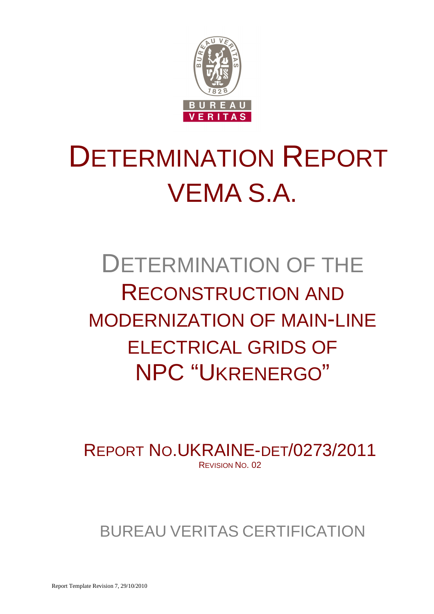

# DETERMINATION REPORT VEMA S.A.

# DETERMINATION OF THE RECONSTRUCTION AND MODERNIZATION OF MAIN-LINE ELECTRICAL GRIDS OF NPC "UKRENERGO"

REPORT NO.UKRAINE-DET/0273/2011 REVISION NO. 02

# BUREAU VERITAS CERTIFICATION

Report Template Revision 7, 29/10/2010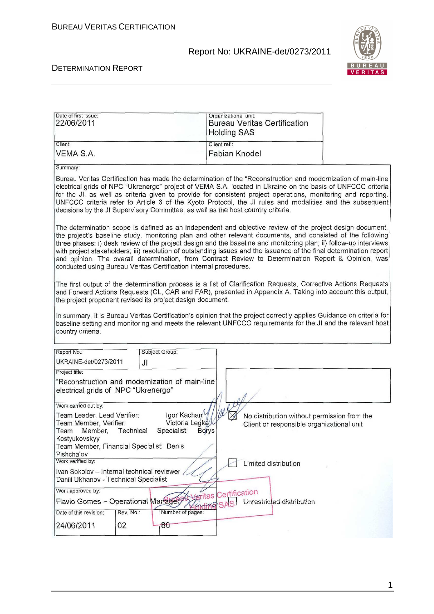

### DETERMINATION REPORT

| Date of first issue:<br>22/06/2011                                                                     |                                              | Organizational unit:<br><b>Bureau Veritas Certification</b><br><b>Holding SAS</b>                                                                                                                                                                                                                                                                                                                                                                                                                                                                                          |  |
|--------------------------------------------------------------------------------------------------------|----------------------------------------------|----------------------------------------------------------------------------------------------------------------------------------------------------------------------------------------------------------------------------------------------------------------------------------------------------------------------------------------------------------------------------------------------------------------------------------------------------------------------------------------------------------------------------------------------------------------------------|--|
| Client:                                                                                                |                                              | Client ref.:                                                                                                                                                                                                                                                                                                                                                                                                                                                                                                                                                               |  |
| VEMA S.A.                                                                                              |                                              | <b>Fabian Knodel</b>                                                                                                                                                                                                                                                                                                                                                                                                                                                                                                                                                       |  |
| Summary:                                                                                               |                                              |                                                                                                                                                                                                                                                                                                                                                                                                                                                                                                                                                                            |  |
|                                                                                                        |                                              | Bureau Veritas Certification has made the determination of the "Reconstruction and modernization of main-line<br>electrical grids of NPC "Ukrenergo" project of VEMA S.A. located in Ukraine on the basis of UNFCCC criteria<br>for the JI, as well as criteria given to provide for consistent project operations, monitoring and reporting.<br>UNFCCC criteria refer to Article 6 of the Kyoto Protocol, the JI rules and modalities and the subsequent<br>decisions by the JI Supervisory Committee, as well as the host country criteria.                              |  |
| conducted using Bureau Veritas Certification internal procedures.                                      |                                              | The determination scope is defined as an independent and objective review of the project design document,<br>the project's baseline study, monitoring plan and other relevant documents, and consisted of the following<br>three phases: i) desk review of the project design and the baseline and monitoring plan; ii) follow-up interviews<br>with project stakeholders; iii) resolution of outstanding issues and the issuance of the final determination report<br>and opinion. The overall determination, from Contract Review to Determination Report & Opinion, was |  |
| the project proponent revised its project design document.                                             |                                              | The first output of the determination process is a list of Clarification Requests, Corrective Actions Requests<br>and Forward Actions Requests (CL, CAR and FAR), presented in Appendix A. Taking into account this output,                                                                                                                                                                                                                                                                                                                                                |  |
| country criteria.                                                                                      |                                              | In summary, it is Bureau Veritas Certification's opinion that the project correctly applies Guidance on criteria for<br>baseline setting and monitoring and meets the relevant UNFCCC requirements for the JI and the relevant host                                                                                                                                                                                                                                                                                                                                        |  |
| Report No.:                                                                                            | Subject Group:                               |                                                                                                                                                                                                                                                                                                                                                                                                                                                                                                                                                                            |  |
| UKRAINE-det/0273/2011                                                                                  | JI                                           |                                                                                                                                                                                                                                                                                                                                                                                                                                                                                                                                                                            |  |
| Project title:                                                                                         |                                              |                                                                                                                                                                                                                                                                                                                                                                                                                                                                                                                                                                            |  |
| "Reconstruction and modernization of main-line<br>electrical grids of NPC "Ukrenergo"                  |                                              |                                                                                                                                                                                                                                                                                                                                                                                                                                                                                                                                                                            |  |
| Work carried out by:                                                                                   |                                              |                                                                                                                                                                                                                                                                                                                                                                                                                                                                                                                                                                            |  |
| Team Leader, Lead Verifier:<br>Team Member, Verifier:<br>Member,<br>Technical<br>Team<br>Kostyukovskyy | Igor Kachan<br>Victoria Legka<br>Specialist: | No distribution without permission from the<br>Client or responsible organizational unit<br><b>Borys</b>                                                                                                                                                                                                                                                                                                                                                                                                                                                                   |  |
| Team Member, Financial Specialist: Denis<br>Pishchalov                                                 |                                              |                                                                                                                                                                                                                                                                                                                                                                                                                                                                                                                                                                            |  |
| Work verified by:                                                                                      |                                              | Limited distribution                                                                                                                                                                                                                                                                                                                                                                                                                                                                                                                                                       |  |
| Ivan Sokolov - Internal technical reviewer<br>Daniil Ukhanov - Technical Specialist                    |                                              |                                                                                                                                                                                                                                                                                                                                                                                                                                                                                                                                                                            |  |
| Work approved by:                                                                                      |                                              | eritas Certification                                                                                                                                                                                                                                                                                                                                                                                                                                                                                                                                                       |  |
| Flavio Gomes - Operational Manager,                                                                    |                                              | Unrestricted distribution<br><b>SAS</b><br>dina                                                                                                                                                                                                                                                                                                                                                                                                                                                                                                                            |  |
| Rev. No.:<br>Date of this revision:                                                                    | Number of pages:                             |                                                                                                                                                                                                                                                                                                                                                                                                                                                                                                                                                                            |  |
| 02<br>24/06/2011                                                                                       | 80                                           |                                                                                                                                                                                                                                                                                                                                                                                                                                                                                                                                                                            |  |

1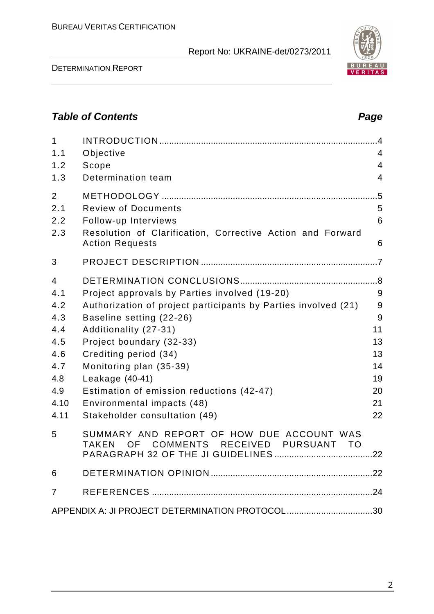DETERMINATION REPORT

# **Table of Contents Page 2014**

| $\mathbf{1}$<br>1.1<br>1.2<br>1.3                                                | Objective<br>Scope<br>Determination team                                                                                                                                                                                                                                                                                                                                            | $\overline{.4}$<br>$\overline{4}$<br>$\overline{4}$<br>$\overline{4}$ |
|----------------------------------------------------------------------------------|-------------------------------------------------------------------------------------------------------------------------------------------------------------------------------------------------------------------------------------------------------------------------------------------------------------------------------------------------------------------------------------|-----------------------------------------------------------------------|
| 2<br>2.1<br>2.2<br>2.3                                                           | <b>Review of Documents</b><br>Follow-up Interviews<br>Resolution of Clarification, Corrective Action and Forward<br><b>Action Requests</b>                                                                                                                                                                                                                                          | .5<br>5<br>6<br>6                                                     |
| 3                                                                                |                                                                                                                                                                                                                                                                                                                                                                                     |                                                                       |
| 4<br>4.1<br>4.2<br>4.3<br>4.4<br>4.5<br>4.6<br>4.7<br>4.8<br>4.9<br>4.10<br>4.11 | Project approvals by Parties involved (19-20)<br>Authorization of project participants by Parties involved (21)<br>Baseline setting (22-26)<br>Additionality (27-31)<br>Project boundary (32-33)<br>Crediting period (34)<br>Monitoring plan (35-39)<br>Leakage (40-41)<br>Estimation of emission reductions (42-47)<br>Environmental impacts (48)<br>Stakeholder consultation (49) | 9<br>9<br>9<br>11<br>13<br>13<br>14<br>19<br>20<br>21<br>22           |
| 5                                                                                | SUMMARY AND REPORT OF HOW DUE ACCOUNT WAS<br>OF COMMENTS RECEIVED PURSUANT TO<br><b>TAKEN</b>                                                                                                                                                                                                                                                                                       |                                                                       |
| 6                                                                                |                                                                                                                                                                                                                                                                                                                                                                                     |                                                                       |
| 7                                                                                |                                                                                                                                                                                                                                                                                                                                                                                     |                                                                       |
|                                                                                  | APPENDIX A: JI PROJECT DETERMINATION PROTOCOL30                                                                                                                                                                                                                                                                                                                                     |                                                                       |

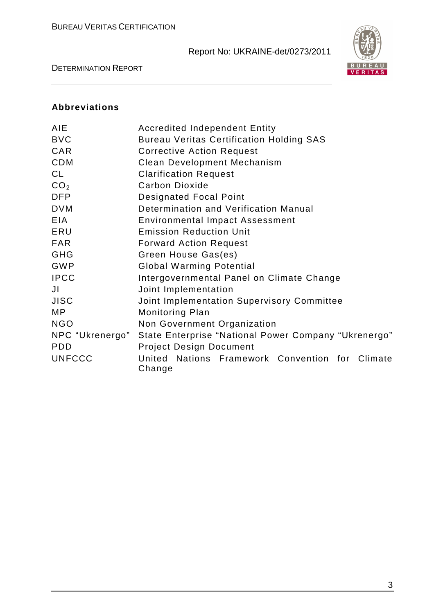

DETERMINATION REPORT

### **Abbreviations**

| <b>AIE</b>      | <b>Accredited Independent Entity</b>                      |
|-----------------|-----------------------------------------------------------|
| <b>BVC</b>      | <b>Bureau Veritas Certification Holding SAS</b>           |
| CAR             | <b>Corrective Action Request</b>                          |
| <b>CDM</b>      | Clean Development Mechanism                               |
| <b>CL</b>       | <b>Clarification Request</b>                              |
| CO <sub>2</sub> | <b>Carbon Dioxide</b>                                     |
| <b>DFP</b>      | <b>Designated Focal Point</b>                             |
| <b>DVM</b>      | Determination and Verification Manual                     |
| <b>EIA</b>      | <b>Environmental Impact Assessment</b>                    |
| ERU             | <b>Emission Reduction Unit</b>                            |
| <b>FAR</b>      | <b>Forward Action Request</b>                             |
| <b>GHG</b>      | Green House Gas(es)                                       |
| <b>GWP</b>      | <b>Global Warming Potential</b>                           |
| <b>IPCC</b>     | Intergovernmental Panel on Climate Change                 |
| JI              | Joint Implementation                                      |
| <b>JISC</b>     | Joint Implementation Supervisory Committee                |
| MP              | Monitoring Plan                                           |
| <b>NGO</b>      | Non Government Organization                               |
| NPC "Ukrenergo" | State Enterprise "National Power Company "Ukrenergo"      |
| <b>PDD</b>      | <b>Project Design Document</b>                            |
| <b>UNFCCC</b>   | United Nations Framework Convention for Climate<br>Change |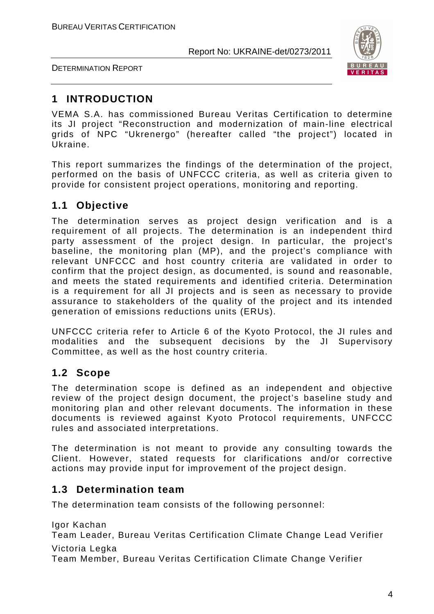



# **1 INTRODUCTION**

VEMA S.A. has commissioned Bureau Veritas Certification to determine its JI project "Reconstruction and modernization of main-line electrical grids of NPC "Ukrenergo" (hereafter called "the project") located in Ukraine.

This report summarizes the findings of the determination of the project, performed on the basis of UNFCCC criteria, as well as criteria given to provide for consistent project operations, monitoring and reporting.

# **1.1 Objective**

The determination serves as project design verification and is a requirement of all projects. The determination is an independent third party assessment of the project design. In particular, the project's baseline, the monitoring plan (MP), and the project's compliance with relevant UNFCCC and host country criteria are validated in order to confirm that the project design, as documented, is sound and reasonable, and meets the stated requirements and identified criteria. Determination is a requirement for all JI projects and is seen as necessary to provide assurance to stakeholders of the quality of the project and its intended generation of emissions reductions units (ERUs).

UNFCCC criteria refer to Article 6 of the Kyoto Protocol, the JI rules and modalities and the subsequent decisions by the JI Supervisory Committee, as well as the host country criteria.

# **1.2 Scope**

The determination scope is defined as an independent and objective review of the project design document, the project's baseline study and monitoring plan and other relevant documents. The information in these documents is reviewed against Kyoto Protocol requirements, UNFCCC rules and associated interpretations.

The determination is not meant to provide any consulting towards the Client. However, stated requests for clarifications and/or corrective actions may provide input for improvement of the project design.

# **1.3 Determination team**

The determination team consists of the following personnel:

Igor Kachan

Team Leader, Bureau Veritas Certification Climate Change Lead Verifier Victoria Legka

Team Member, Bureau Veritas Certification Climate Change Verifier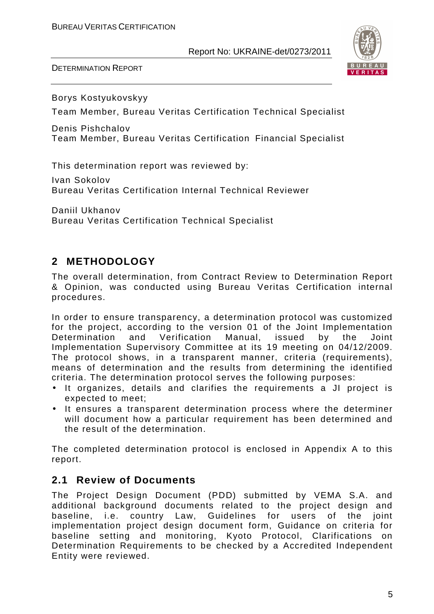DETERMINATION REPORT



Borys Kostyukovskyy

Team Member, Bureau Veritas Certification Technical Specialist

Denis Pishchalov Team Member, Bureau Veritas Certification Financial Specialist

This determination report was reviewed by:

Ivan Sokolov Bureau Veritas Certification Internal Technical Reviewer

Daniil Ukhanov Bureau Veritas Certification Technical Specialist

# **2 METHODOLOGY**

The overall determination, from Contract Review to Determination Report & Opinion, was conducted using Bureau Veritas Certification internal procedures.

In order to ensure transparency, a determination protocol was customized for the project, according to the version 01 of the Joint Implementation Determination and Verification Manual, issued by the Joint Implementation Supervisory Committee at its 19 meeting on 04/12/2009. The protocol shows, in a transparent manner, criteria (requirements), means of determination and the results from determining the identified criteria. The determination protocol serves the following purposes:

- It organizes, details and clarifies the requirements a JI project is expected to meet;
- It ensures a transparent determination process where the determiner will document how a particular requirement has been determined and the result of the determination.

The completed determination protocol is enclosed in Appendix A to this report.

# **2.1 Review of Documents**

The Project Design Document (PDD) submitted by VEMA S.A. and additional background documents related to the project design and baseline, i.e. country Law, Guidelines for users of the joint implementation project design document form, Guidance on criteria for baseline setting and monitoring, Kyoto Protocol, Clarifications on Determination Requirements to be checked by a Accredited Independent Entity were reviewed.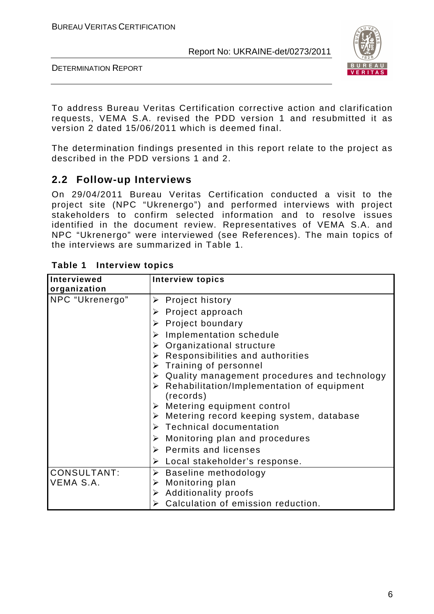

DETERMINATION REPORT

To address Bureau Veritas Certification corrective action and clarification requests, VEMA S.A. revised the PDD version 1 and resubmitted it as version 2 dated 15/06/2011 which is deemed final.

The determination findings presented in this report relate to the project as described in the PDD versions 1 and 2.

# **2.2 Follow-up Interviews**

On 29/04/2011 Bureau Veritas Certification conducted a visit to the project site (NPC "Ukrenergo") and performed interviews with project stakeholders to confirm selected information and to resolve issues identified in the document review. Representatives of VEMA S.A. and NPC "Ukrenergo" were interviewed (see References). The main topics of the interviews are summarized in Table 1.

| Interviewed<br>organization | <b>Interview topics</b>                                                  |
|-----------------------------|--------------------------------------------------------------------------|
| NPC "Ukrenergo"             | $\triangleright$ Project history                                         |
|                             | $\triangleright$ Project approach                                        |
|                             | $\triangleright$ Project boundary                                        |
|                             | $\triangleright$ Implementation schedule                                 |
|                             | $\triangleright$ Organizational structure                                |
|                             | $\triangleright$ Responsibilities and authorities                        |
|                             | $\triangleright$ Training of personnel                                   |
|                             | $\triangleright$ Quality management procedures and technology            |
|                             | $\triangleright$ Rehabilitation/Implementation of equipment<br>(records) |
|                             | $\triangleright$ Metering equipment control                              |
|                             | $\triangleright$ Metering record keeping system, database                |
|                             | $\triangleright$ Technical documentation                                 |
|                             | $\triangleright$ Monitoring plan and procedures                          |
|                             | $\triangleright$ Permits and licenses                                    |
|                             | $\triangleright$ Local stakeholder's response.                           |
| <b>CONSULTANT:</b>          | > Baseline methodology                                                   |
| VEMA S.A.                   | $\triangleright$ Monitoring plan                                         |
|                             | $\triangleright$ Additionality proofs                                    |
|                             | > Calculation of emission reduction.                                     |

### **Table 1 Interview topics**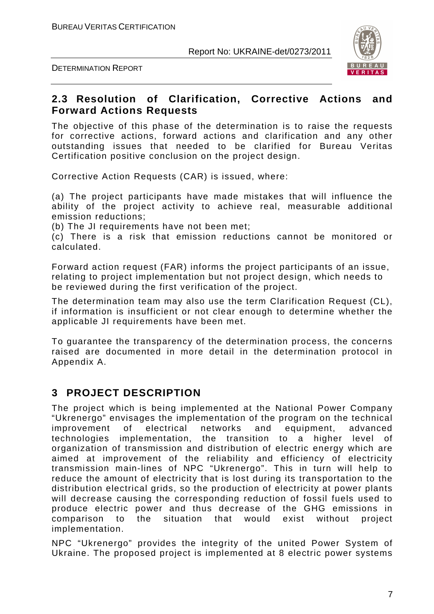DETERMINATION REPORT



### **2.3 Resolution of Clarification, Corrective Actions and Forward Actions Requests**

The objective of this phase of the determination is to raise the requests for corrective actions, forward actions and clarification and any other outstanding issues that needed to be clarified for Bureau Veritas Certification positive conclusion on the project design.

Corrective Action Requests (CAR) is issued, where:

(a) The project participants have made mistakes that will influence the ability of the project activity to achieve real, measurable additional emission reductions;

(b) The JI requirements have not been met;

(c) There is a risk that emission reductions cannot be monitored or calculated.

Forward action request (FAR) informs the project participants of an issue, relating to project implementation but not project design, which needs to be reviewed during the first verification of the project.

The determination team may also use the term Clarification Request (CL), if information is insufficient or not clear enough to determine whether the applicable JI requirements have been met.

To guarantee the transparency of the determination process, the concerns raised are documented in more detail in the determination protocol in Appendix A.

# **3 PROJECT DESCRIPTION**

The project which is being implemented at the National Power Company "Ukrenergo" envisages the implementation of the program on the technical improvement of electrical networks and equipment, advanced technologies implementation, the transition to a higher level of organization of transmission and distribution of electric energy which are aimed at improvement of the reliability and efficiency of electricity transmission main-lines of NPC "Ukrenergo". This in turn will help to reduce the amount of electricity that is lost during its transportation to the distribution electrical grids, so the production of electricity at power plants will decrease causing the corresponding reduction of fossil fuels used to produce electric power and thus decrease of the GHG emissions in comparison to the situation that would exist without project implementation.

NPC "Ukrenergo" provides the integrity of the united Power System of Ukraine. The proposed project is implemented at 8 electric power systems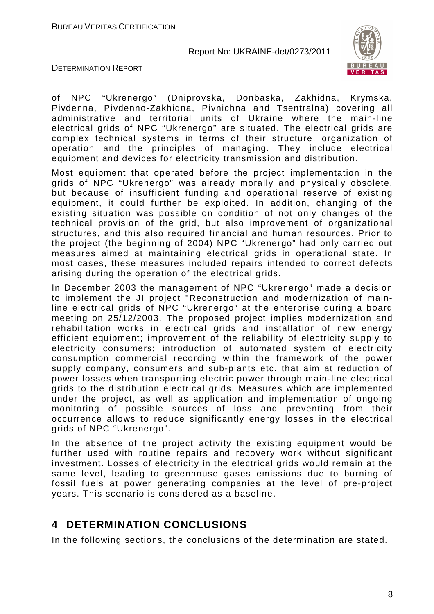

DETERMINATION REPORT

of NPC "Ukrenergo" (Dniprovska, Donbaska, Zakhidna, Krymska, Pivdenna, Pivdenno-Zakhidna, Pivnichna and Tsentralna) covering all administrative and territorial units of Ukraine where the main-line electrical grids of NPC "Ukrenergo" are situated. The electrical grids are complex technical systems in terms of their structure, organization of operation and the principles of managing. They include electrical equipment and devices for electricity transmission and distribution.

Most equipment that operated before the project implementation in the grids of NPC "Ukrenergo" was already morally and physically obsolete, but because of insufficient funding and operational reserve of existing equipment, it could further be exploited. In addition, changing of the existing situation was possible on condition of not only changes of the technical provision of the grid, but also improvement of organizational structures, and this also required financial and human resources. Prior to the project (the beginning of 2004) NPC "Ukrenergo" had only carried out measures aimed at maintaining electrical grids in operational state. In most cases, these measures included repairs intended to correct defects arising during the operation of the electrical grids.

In December 2003 the management of NPC "Ukrenergo" made a decision to implement the JI project "Reconstruction and modernization of mainline electrical grids of NPC "Ukrenergo" at the enterprise during a board meeting on 25/12/2003. The proposed project implies modernization and rehabilitation works in electrical grids and installation of new energy efficient equipment; improvement of the reliability of electricity supply to electricity consumers; introduction of automated system of electricity consumption commercial recording within the framework of the power supply company, consumers and sub-plants etc. that aim at reduction of power losses when transporting electric power through main-line electrical grids to the distribution electrical grids. Measures which are implemented under the project, as well as application and implementation of ongoing monitoring of possible sources of loss and preventing from their occurrence allows to reduce significantly energy losses in the electrical grids of NPC "Ukrenergo".

In the absence of the project activity the existing equipment would be further used with routine repairs and recovery work without significant investment. Losses of electricity in the electrical grids would remain at the same level, leading to greenhouse gases emissions due to burning of fossil fuels at power generating companies at the level of pre-project years. This scenario is considered as a baseline.

# **4 DETERMINATION CONCLUSIONS**

In the following sections, the conclusions of the determination are stated.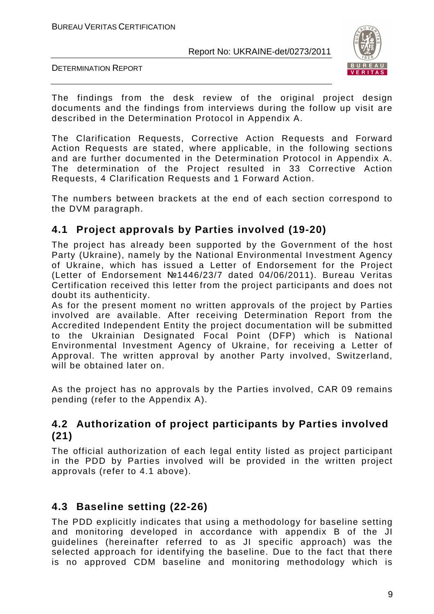

DETERMINATION REPORT

The findings from the desk review of the original project design documents and the findings from interviews during the follow up visit are described in the Determination Protocol in Appendix A.

The Clarification Requests, Corrective Action Requests and Forward Action Requests are stated, where applicable, in the following sections and are further documented in the Determination Protocol in Appendix A. The determination of the Project resulted in 33 Corrective Action Requests, 4 Clarification Requests and 1 Forward Action.

The numbers between brackets at the end of each section correspond to the DVM paragraph.

# **4.1 Project approvals by Parties involved (19-20)**

The project has already been supported by the Government of the host Party (Ukraine), namely by the National Environmental Investment Agency of Ukraine, which has issued a Letter of Endorsement for the Project (Letter of Endorsement №1446/23/7 dated 04/06/2011). Bureau Veritas Certification received this letter from the project participants and does not doubt its authenticity.

As for the present moment no written approvals of the project by Parties involved are available. After receiving Determination Report from the Accredited Independent Entity the project documentation will be submitted to the Ukrainian Designated Focal Point (DFP) which is National Environmental Investment Agency of Ukraine, for receiving a Letter of Approval. The written approval by another Party involved, Switzerland, will be obtained later on.

As the project has no approvals by the Parties involved, CAR 09 remains pending (refer to the Appendix A).

# **4.2 Authorization of project participants by Parties involved (21)**

The official authorization of each legal entity listed as project participant in the PDD by Parties involved will be provided in the written project approvals (refer to 4.1 above).

# **4.3 Baseline setting (22-26)**

The PDD explicitly indicates that using a methodology for baseline setting and monitoring developed in accordance with appendix B of the JI guidelines (hereinafter referred to as JI specific approach) was the selected approach for identifying the baseline. Due to the fact that there is no approved CDM baseline and monitoring methodology which is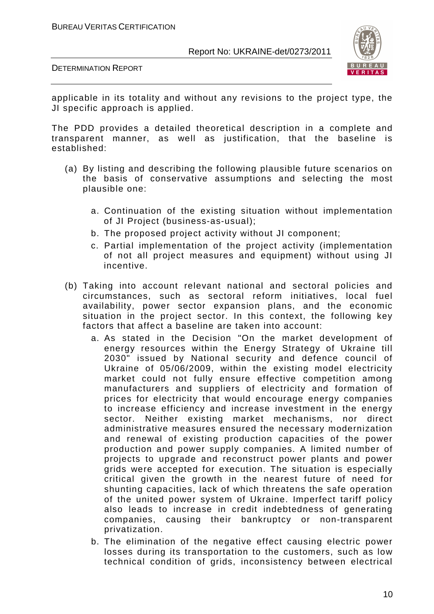

DETERMINATION REPORT

applicable in its totality and without any revisions to the project type, the JI specific approach is applied.

The PDD provides a detailed theoretical description in a complete and transparent manner, as well as justification, that the baseline is established:

- (a) By listing and describing the following plausible future scenarios on the basis of conservative assumptions and selecting the most plausible one:
	- a. Continuation of the existing situation without implementation of JI Project (business-as-usual);
	- b. The proposed project activity without JI component;
	- c. Partial implementation of the project activity (implementation of not all project measures and equipment) without using JI incentive.
- (b) Taking into account relevant national and sectoral policies and circumstances, such as sectoral reform initiatives, local fuel availability, power sector expansion plans, and the economic situation in the project sector. In this context, the following key factors that affect a baseline are taken into account:
	- a. As stated in the Decision "On the market development of energy resources within the Energy Strategy of Ukraine till 2030" issued by National security and defence council of Ukraine of 05/06/2009, within the existing model electricity market could not fully ensure effective competition among manufacturers and suppliers of electricity and formation of prices for electricity that would encourage energy companies to increase efficiency and increase investment in the energy sector. Neither existing market mechanisms, nor direct administrative measures ensured the necessary modernization and renewal of existing production capacities of the power production and power supply companies. A limited number of projects to upgrade and reconstruct power plants and power grids were accepted for execution. The situation is especially critical given the growth in the nearest future of need for shunting capacities, lack of which threatens the safe operation of the united power system of Ukraine. Imperfect tariff policy also leads to increase in credit indebtedness of generating companies, causing their bankruptcy or non-transparent privatization.
	- b. The elimination of the negative effect causing electric power losses during its transportation to the customers, such as low technical condition of grids, inconsistency between electrical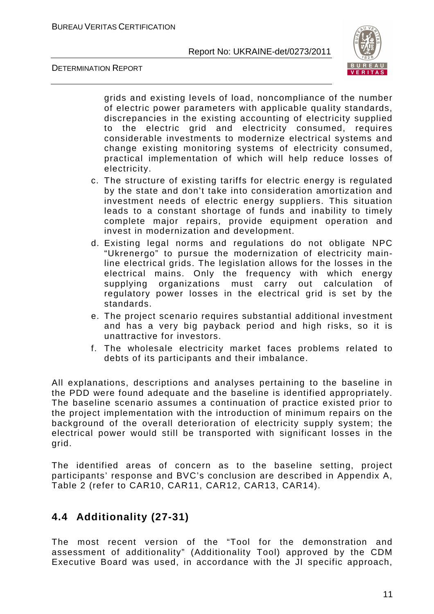DETERMINATION REPORT



grids and existing levels of load, noncompliance of the number of electric power parameters with applicable quality standards, discrepancies in the existing accounting of electricity supplied to the electric grid and electricity consumed, requires considerable investments to modernize electrical systems and change existing monitoring systems of electricity consumed, practical implementation of which will help reduce losses of electricity.

- c. The structure of existing tariffs for electric energy is regulated by the state and don't take into consideration amortization and investment needs of electric energy suppliers. This situation leads to a constant shortage of funds and inability to timely complete major repairs, provide equipment operation and invest in modernization and development.
- d. Existing legal norms and regulations do not obligate NPC "Ukrenergo" to pursue the modernization of electricity mainline electrical grids. The legislation allows for the losses in the electrical mains. Only the frequency with which energy supplying organizations must carry out calculation of regulatory power losses in the electrical grid is set by the standards.
- e. The project scenario requires substantial additional investment and has a very big payback period and high risks, so it is unattractive for investors.
- f. The wholesale electricity market faces problems related to debts of its participants and their imbalance.

All explanations, descriptions and analyses pertaining to the baseline in the PDD were found adequate and the baseline is identified appropriately. The baseline scenario assumes a continuation of practice existed prior to the project implementation with the introduction of minimum repairs on the background of the overall deterioration of electricity supply system; the electrical power would still be transported with significant losses in the grid.

The identified areas of concern as to the baseline setting, project participants' response and BVC's conclusion are described in Appendix A, Table 2 (refer to CAR10, CAR11, CAR12, CAR13, CAR14).

# **4.4 Additionality (27-31)**

The most recent version of the "Tool for the demonstration and assessment of additionality" (Additionality Tool) approved by the CDM Executive Board was used, in accordance with the JI specific approach,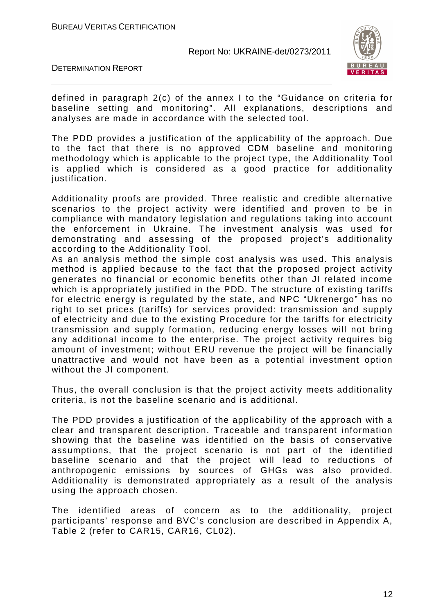



defined in paragraph 2(c) of the annex I to the "Guidance on criteria for baseline setting and monitoring". All explanations, descriptions and analyses are made in accordance with the selected tool.

The PDD provides a justification of the applicability of the approach. Due to the fact that there is no approved CDM baseline and monitoring methodology which is applicable to the project type, the Additionality Tool is applied which is considered as a good practice for additionality justification.

Additionality proofs are provided. Three realistic and credible alternative scenarios to the project activity were identified and proven to be in compliance with mandatory legislation and regulations taking into account the enforcement in Ukraine. The investment analysis was used for demonstrating and assessing of the proposed project's additionality according to the Additionality Tool.

As an analysis method the simple cost analysis was used. This analysis method is applied because to the fact that the proposed project activity generates no financial or economic benefits other than JI related income which is appropriately justified in the PDD. The structure of existing tariffs for electric energy is regulated by the state, and NPC "Ukrenergo" has no right to set prices (tariffs) for services provided: transmission and supply of electricity and due to the existing Procedure for the tariffs for electricity transmission and supply formation, reducing energy losses will not bring any additional income to the enterprise. The project activity requires big amount of investment; without ERU revenue the project will be financially unattractive and would not have been as a potential investment option without the JI component.

Thus, the overall conclusion is that the project activity meets additionality criteria, is not the baseline scenario and is additional.

The PDD provides a justification of the applicability of the approach with a clear and transparent description. Traceable and transparent information showing that the baseline was identified on the basis of conservative assumptions, that the project scenario is not part of the identified baseline scenario and that the project will lead to reductions of anthropogenic emissions by sources of GHGs was also provided. Additionality is demonstrated appropriately as a result of the analysis using the approach chosen.

The identified areas of concern as to the additionality, project participants' response and BVC's conclusion are described in Appendix A, Table 2 (refer to CAR15, CAR16, CL02).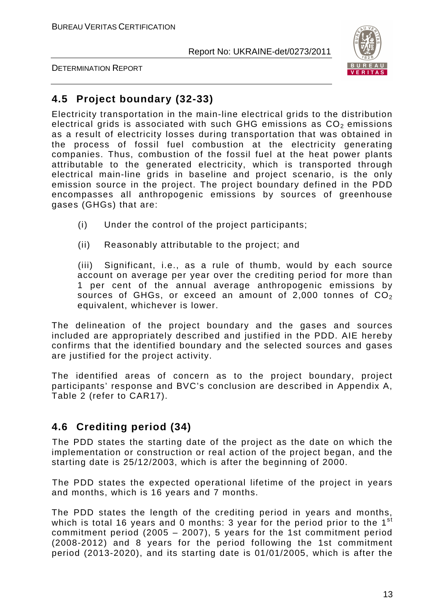

DETERMINATION REPORT

# **4.5 Project boundary (32-33)**

Electricity transportation in the main-line electrical grids to the distribution electrical grids is associated with such GHG emissions as  $CO<sub>2</sub>$  emissions as a result of electricity losses during transportation that was obtained in the process of fossil fuel combustion at the electricity generating companies. Thus, combustion of the fossil fuel at the heat power plants attributable to the generated electricity, which is transported through electrical main-line grids in baseline and project scenario, is the only emission source in the project. The project boundary defined in the PDD encompasses all anthropogenic emissions by sources of greenhouse gases (GHGs) that are:

- (i) Under the control of the project participants;
- (ii) Reasonably attributable to the project; and

(iii) Significant, i.e., as a rule of thumb, would by each source account on average per year over the crediting period for more than 1 per cent of the annual average anthropogenic emissions by sources of GHGs, or exceed an amount of 2,000 tonnes of  $CO<sub>2</sub>$ equivalent, whichever is lower.

The delineation of the project boundary and the gases and sources included are appropriately described and justified in the PDD. AIE hereby confirms that the identified boundary and the selected sources and gases are justified for the project activity.

The identified areas of concern as to the project boundary, project participants' response and BVC's conclusion are described in Appendix A, Table 2 (refer to CAR17).

# **4.6 Crediting period (34)**

The PDD states the starting date of the project as the date on which the implementation or construction or real action of the project began, and the starting date is 25/12/2003, which is after the beginning of 2000.

The PDD states the expected operational lifetime of the project in years and months, which is 16 years and 7 months.

The PDD states the length of the crediting period in years and months, which is total 16 years and 0 months: 3 year for the period prior to the  $1<sup>st</sup>$ commitment period (2005 – 2007), 5 years for the 1st commitment period (2008-2012) and 8 years for the period following the 1st commitment period (2013-2020), and its starting date is 01/01/2005, which is after the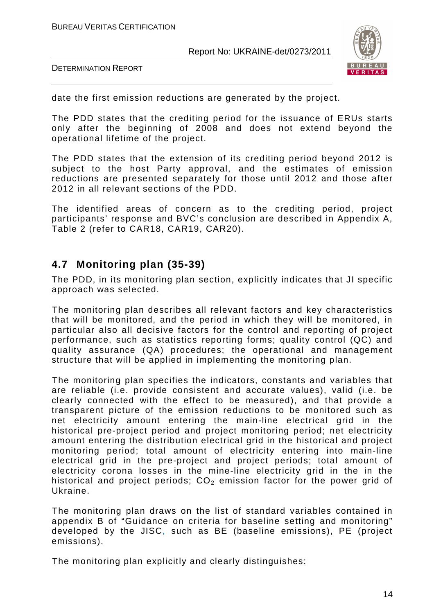

DETERMINATION REPORT

date the first emission reductions are generated by the project.

The PDD states that the crediting period for the issuance of ERUs starts only after the beginning of 2008 and does not extend beyond the operational lifetime of the project.

The PDD states that the extension of its crediting period beyond 2012 is subject to the host Party approval, and the estimates of emission reductions are presented separately for those until 2012 and those after 2012 in all relevant sections of the PDD.

The identified areas of concern as to the crediting period, project participants' response and BVC's conclusion are described in Appendix A, Table 2 (refer to CAR18, CAR19, CAR20).

### **4.7 Monitoring plan (35-39)**

The PDD, in its monitoring plan section, explicitly indicates that JI specific approach was selected.

The monitoring plan describes all relevant factors and key characteristics that will be monitored, and the period in which they will be monitored, in particular also all decisive factors for the control and reporting of project performance, such as statistics reporting forms; quality control (QC) and quality assurance (QA) procedures; the operational and management structure that will be applied in implementing the monitoring plan.

The monitoring plan specifies the indicators, constants and variables that are reliable (i.e. provide consistent and accurate values), valid (i.e. be clearly connected with the effect to be measured), and that provide a transparent picture of the emission reductions to be monitored such as net electricity amount entering the main-line electrical grid in the historical pre-project period and project monitoring period; net electricity amount entering the distribution electrical grid in the historical and project monitoring period; total amount of electricity entering into main-line electrical grid in the pre-project and project periods; total amount of electricity corona losses in the mine-line electricity grid in the in the historical and project periods;  $CO<sub>2</sub>$  emission factor for the power grid of Ukraine.

The monitoring plan draws on the list of standard variables contained in appendix B of "Guidance on criteria for baseline setting and monitoring" developed by the JISC, such as BE (baseline emissions), PE (project emissions).

The monitoring plan explicitly and clearly distinguishes: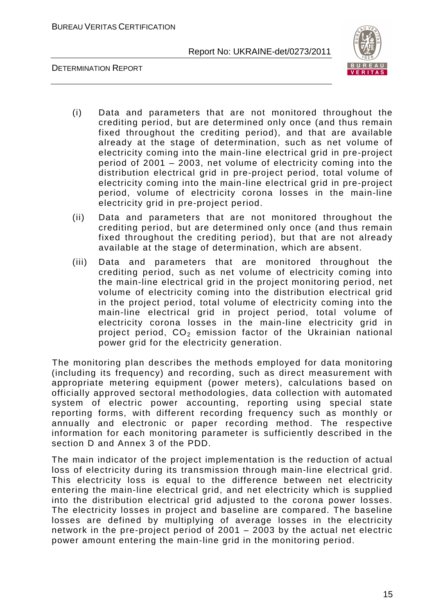BUREAU VERITAS CERTIFICATION

Report No: UKRAINE-det/0273/2011



DETERMINATION REPORT

- (i) Data and parameters that are not monitored throughout the crediting period, but are determined only once (and thus remain fixed throughout the crediting period), and that are available already at the stage of determination, such as net volume of electricity coming into the main-line electrical grid in pre-project period of 2001 – 2003, net volume of electricity coming into the distribution electrical grid in pre-project period, total volume of electricity coming into the main-line electrical grid in pre-project period, volume of electricity corona losses in the main-line electricity grid in pre-project period.
- (ii) Data and parameters that are not monitored throughout the crediting period, but are determined only once (and thus remain fixed throughout the crediting period), but that are not already available at the stage of determination, which are absent.
- (iii) Data and parameters that are monitored throughout the crediting period, such as net volume of electricity coming into the main-line electrical grid in the project monitoring period, net volume of electricity coming into the distribution electrical grid in the project period, total volume of electricity coming into the main-line electrical grid in project period, total volume of electricity corona losses in the main-line electricity grid in project period,  $CO<sub>2</sub>$  emission factor of the Ukrainian national power grid for the electricity generation.

The monitoring plan describes the methods employed for data monitoring (including its frequency) and recording, such as direct measurement with appropriate metering equipment (power meters), calculations based on officially approved sectoral methodologies, data collection with automated system of electric power accounting, reporting using special state reporting forms, with different recording frequency such as monthly or annually and electronic or paper recording method. The respective information for each monitoring parameter is sufficiently described in the section D and Annex 3 of the PDD.

The main indicator of the project implementation is the reduction of actual loss of electricity during its transmission through main-line electrical grid. This electricity loss is equal to the difference between net electricity entering the main-line electrical grid, and net electricity which is supplied into the distribution electrical grid adjusted to the corona power losses. The electricity losses in project and baseline are compared. The baseline losses are defined by multiplying of average losses in the electricity network in the pre-project period of 2001 – 2003 by the actual net electric power amount entering the main-line grid in the monitoring period.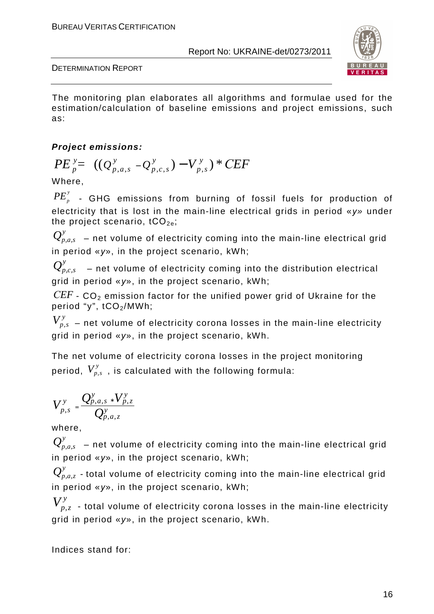

DETERMINATION REPORT

The monitoring plan elaborates all algorithms and formulae used for the estimation/calculation of baseline emissions and project emissions, such as:

# **Project emissions:**

$$
PE_{p}^{y} = ((Q_{p,a,s}^{y} - Q_{p,c,s}^{y}) - V_{p,s}^{y}) * CEF
$$

Where,

 $PE_{_{p}}^{\mathrm{y}}$  - GHG emissions from burning of fossil fuels for production of electricity that is lost in the main-line electrical grids in period «*у*» under the project scenario,  $tCO_{2e}$ ;

 $\mathcal{Q}^y_{p,a,s}\,$  – net volume of electricity coming into the main-line electrical grid in period «*у*», in the project scenario, kWh;

 $\mathcal{Q}^y_{p,c,s}$   $\,$  – net volume of electricity coming into the distribution electrical grid in period «*у*», in the project scenario, kWh;

 $CEF$  - CO<sub>2</sub> emission factor for the unified power grid of Ukraine for the period "y", tCO<sub>2</sub>/MWh;

 $V_{p,s}^y$  – net volume of electricity corona losses in the main-line electricity grid in period «y», in the project scenario, kWh.

The net volume of electricity corona losses in the project monitoring period,  $V^y_{p,s}$  , is calculated with the following formula:

$$
V_{p,s}^y = \frac{Q_{p,a,s}^y \cdot V_{p,z}^y}{Q_{p,a,z}^y}
$$

where,

 $\mathcal{Q}^y_{p,a,s}\,$  – net volume of electricity coming into the main-line electrical grid in period «*у*», in the project scenario, kWh;

 $\mathcal{Q}_{p,a,z}^y$  - total volume of electricity coming into the main-line electrical grid in period «*у*», in the project scenario, kWh;

 $V_{p,z}^y$  - total volume of electricity corona losses in the main-line electricity grid in period «y», in the project scenario, kWh.

Indices stand for: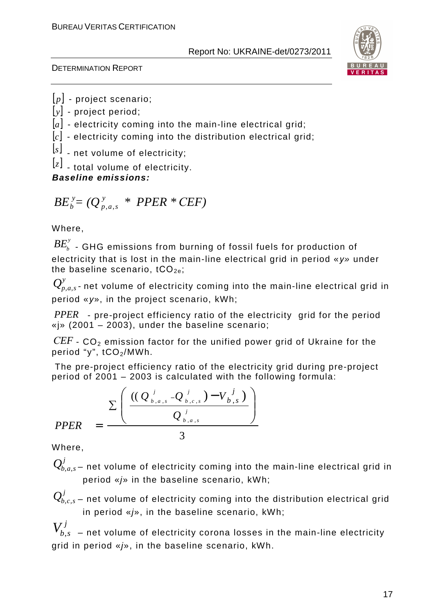

DETERMINATION REPORT

[*p*] - project scenario;

- [*y*] project period;
- [a] electricity coming into the main-line electrical grid;
- [*c*] electricity coming into the distribution electrical grid;

[*s*] - net volume of electricity;

[*z*] - total volume of electricity.

**Baseline emissions:**

#### $BE_b^y = (Q_{p,a,s}^y * PPER * CEF)$ *y*  $b^y = (Q^y_{p,a,s} * PPER *$

Where,

 $B\!E_b^\mathrm{y}$  . GHG emissions from burning of fossil fuels for production of electricity that is lost in the main-line electrical grid in period «*у*» under the baseline scenario,  $tCO_{2e}$ ;

 $\mathcal{Q}_{\scriptscriptstyle\!}^{\scriptscriptstyle y}$ ,  $\scriptstyle\!$  and the volume of electricity coming into the main-line electrical grid in period «*у*», in the project scenario, kWh;

*PPER* - pre-project efficiency ratio of the electricity grid for the period «j» (2001 – 2003), under the baseline scenario;

*СEF* - CO2 emission factor for the unified power grid of Ukraine for the period "y", tCO<sub>2</sub>/MWh.

 The pre-project efficiency ratio of the electricity grid during pre-project period of 2001 – 2003 is calculated with the following formula:

$$
PPER = \frac{\sum \left( \frac{((Q_{b,a,s}^{j} - Q_{b,c,s}^{j}) - V_{b,s}^{j})}{Q_{b,a,s}^{j}} \right)}{3}
$$

Where,

 $\mathcal{Q}_{b.a.s}^J$ – net volume of electricity coming into the main-line electrical grid in period  $\frac{e}{p}$  in the baseline scenario, kWh;

 $Q_{b,c,s}^{\prime}$  – net volume of electricity coming into the distribution electrical grid in period «j», in the baseline scenario, kWh;

 $V_{b,s}^{\,j}\,$  – net volume of electricity corona losses in the main-line electricity grid in period «j», in the baseline scenario, kWh.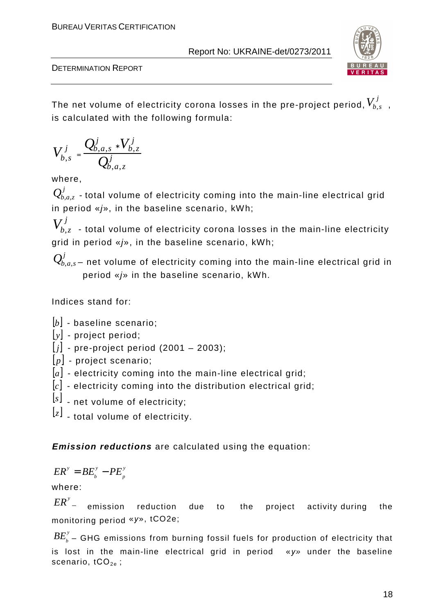

DETERMINATION REPORT

The net volume of electricity corona losses in the pre-project period,  $V_{b,s-\tau}^j$ is calculated with the following formula:

$$
V_{b,s}^j = \frac{Q_{b,a,s}^j \cdot V_{b,z}^j}{Q_{b,a,z}^j}
$$

where,

 $\mathcal{Q}_{b,a,z}^j$  - total volume of electricity coming into the main-line electrical grid in period  $\frac{e}{e}$ , in the baseline scenario, kWh;

 $V_{b,z}^{\it j}$  - total volume of electricity corona losses in the main-line electricity grid in period «j», in the baseline scenario, kWh;

 $\mathcal{Q}_{b,a,s}^{\prime}$ – net volume of electricity coming into the main-line electrical grid in period  $\frac{e}{v}$  in the baseline scenario, kWh.

Indices stand for:

[*b*] - baseline scenario;

[*y*] - project period;

 $[j]$  - pre-project period (2001 – 2003);

[*p*] - project scenario;

[a] - electricity coming into the main-line electrical grid;

- [*c*] electricity coming into the distribution electrical grid;
- [*s*] net volume of electricity;

[*z*] - total volume of electricity.

**Emission reductions** are calculated using the equation:

$$
ER^{\mathrm{y}}=BE_{\mathrm{b}}^{\mathrm{y}}-PE_{\mathrm{p}}^{\mathrm{y}}
$$

where:

 $ER^{\prime}$ <sub>-</sub> emission reduction due to the project activity during the monitoring period «*у*», tCO2e;

 $B E_{\textit{b}}^{\textit{y}}$  – GHG emissions from burning fossil fuels for production of electricity that is lost in the main-line electrical grid in period «*у*» under the baseline scenario,  $tCO_{2e}$ ;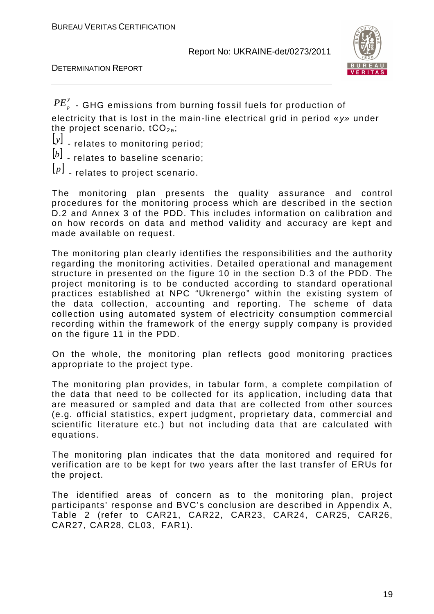DETERMINATION REPORT



 $PE_{_{p}}^{\rm y}$  - GHG emissions from burning fossil fuels for production of electricity that is lost in the main-line electrical grid in period «*у*» under the project scenario,  $tCO_{2e}$ ;

- [*y*] relates to monitoring period;
- [*b*] relates to baseline scenario;
- [*p*] relates to project scenario.

The monitoring plan presents the quality assurance and control procedures for the monitoring process which are described in the section D.2 and Annex 3 of the PDD. This includes information on calibration and on how records on data and method validity and accuracy are kept and made available on request.

The monitoring plan clearly identifies the responsibilities and the authority regarding the monitoring activities. Detailed operational and management structure in presented on the figure 10 in the section D.3 of the PDD. The project monitoring is to be conducted according to standard operational practices established at NPC "Ukrenergo" within the existing system of the data collection, accounting and reporting. The scheme of data collection using automated system of electricity consumption commercial recording within the framework of the energy supply company is provided on the figure 11 in the PDD.

On the whole, the monitoring plan reflects good monitoring practices appropriate to the project type.

The monitoring plan provides, in tabular form, a complete compilation of the data that need to be collected for its application, including data that are measured or sampled and data that are collected from other sources (e.g. official statistics, expert judgment, proprietary data, commercial and scientific literature etc.) but not including data that are calculated with equations.

The monitoring plan indicates that the data monitored and required for verification are to be kept for two years after the last transfer of ERUs for the project.

The identified areas of concern as to the monitoring plan, project participants' response and BVC's conclusion are described in Appendix A, Table 2 (refer to CAR21, CAR22, CAR23, CAR24, CAR25, CAR26, CAR27, CAR28, CL03, FAR1).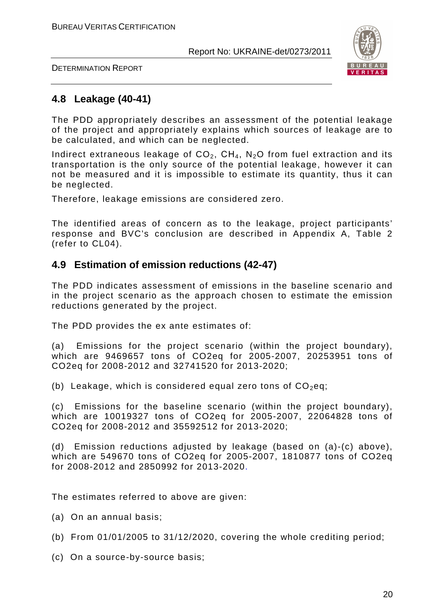DETERMINATION REPORT



### **4.8 Leakage (40-41)**

The PDD appropriately describes an assessment of the potential leakage of the project and appropriately explains which sources of leakage are to be calculated, and which can be neglected.

Indirect extraneous leakage of  $CO<sub>2</sub>$ ,  $CH<sub>4</sub>$ , N<sub>2</sub>O from fuel extraction and its transportation is the only source of the potential leakage, however it can not be measured and it is impossible to estimate its quantity, thus it can be neglected.

Therefore, leakage emissions are considered zero.

The identified areas of concern as to the leakage, project participants' response and BVC's conclusion are described in Appendix A, Table 2 (refer to CL04).

### **4.9 Estimation of emission reductions (42-47)**

The PDD indicates assessment of emissions in the baseline scenario and in the project scenario as the approach chosen to estimate the emission reductions generated by the project.

The PDD provides the ex ante estimates of:

(a) Emissions for the project scenario (within the project boundary), which are 9469657 tons of CO2eq for 2005-2007, 20253951 tons of CO2eq for 2008-2012 and 32741520 for 2013-2020;

(b) Leakage, which is considered equal zero tons of  $CO<sub>2</sub>$ eq;

(c) Emissions for the baseline scenario (within the project boundary), which are 10019327 tons of CO2eq for 2005-2007, 22064828 tons of CO2eq for 2008-2012 and 35592512 for 2013-2020;

(d) Emission reductions adjusted by leakage (based on (a)-(c) above), which are 549670 tons of CO2eq for 2005-2007, 1810877 tons of CO2eq for 2008-2012 and 2850992 for 2013-2020.

The estimates referred to above are given:

- (a) On an annual basis;
- (b) From 01/01/2005 to 31/12/2020, covering the whole crediting period;
- (c) On a source-by-source basis;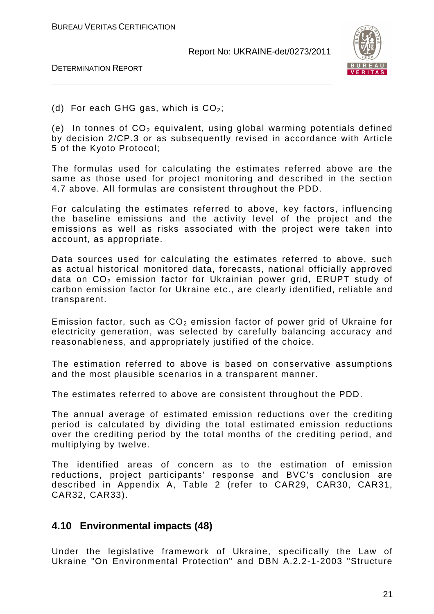



(d) For each GHG gas, which is  $CO<sub>2</sub>$ ;

(e) In tonnes of  $CO<sub>2</sub>$  equivalent, using global warming potentials defined by decision 2/CP.3 or as subsequently revised in accordance with Article 5 of the Kyoto Protocol;

The formulas used for calculating the estimates referred above are the same as those used for project monitoring and described in the section 4.7 above. All formulas are consistent throughout the PDD.

For calculating the estimates referred to above, key factors, influencing the baseline emissions and the activity level of the project and the emissions as well as risks associated with the project were taken into account, as appropriate.

Data sources used for calculating the estimates referred to above, such as actual historical monitored data, forecasts, national officially approved data on  $CO<sub>2</sub>$  emission factor for Ukrainian power grid, ERUPT study of carbon emission factor for Ukraine etc., are clearly identified, reliable and transparent.

Emission factor, such as  $CO<sub>2</sub>$  emission factor of power grid of Ukraine for electricity generation, was selected by carefully balancing accuracy and reasonableness, and appropriately justified of the choice.

The estimation referred to above is based on conservative assumptions and the most plausible scenarios in a transparent manner.

The estimates referred to above are consistent throughout the PDD.

The annual average of estimated emission reductions over the crediting period is calculated by dividing the total estimated emission reductions over the crediting period by the total months of the crediting period, and multiplying by twelve.

The identified areas of concern as to the estimation of emission reductions, project participants' response and BVC's conclusion are described in Appendix A, Table 2 (refer to CAR29, CAR30, CAR31, CAR32, CAR33).

### **4.10 Environmental impacts (48)**

Under the legislative framework of Ukraine, specifically the Law of Ukraine "On Environmental Protection" and DBN А.2.2-1-2003 "Structure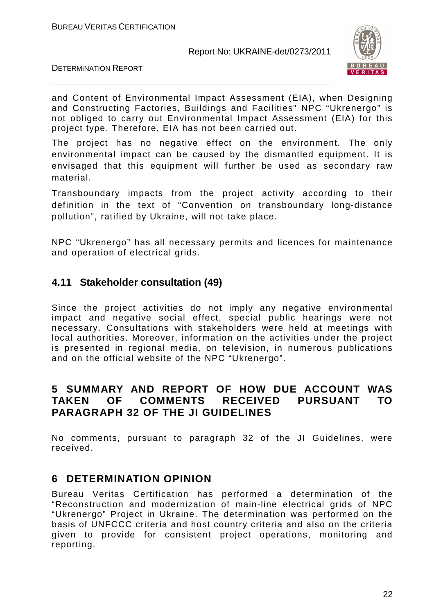

DETERMINATION REPORT

and Content of Environmental Impact Assessment (EIA), when Designing and Constructing Factories, Buildings and Facilities" NPC "Ukrenergo" is not obliged to carry out Environmental Impact Assessment (EIA) for this project type. Therefore, EIA has not been carried out.

The project has no negative effect on the environment. The only environmental impact can be caused by the dismantled equipment. It is envisaged that this equipment will further be used as secondary raw material.

Transboundary impacts from the project activity according to their definition in the text of "Convention on transboundary long-distance pollution", ratified by Ukraine, will not take place.

NPC "Ukrenergo" has all necessary permits and licences for maintenance and operation of electrical grids.

### **4.11 Stakeholder consultation (49)**

Since the project activities do not imply any negative environmental impact and negative social effect, special public hearings were not necessary. Consultations with stakeholders were held at meetings with local authorities. Moreover, information on the activities under the project is presented in regional media, on television, in numerous publications and on the official website of the NPC "Ukrenergo".

# **5 SUMMARY AND REPORT OF HOW DUE ACCOUNT WAS TAKEN OF COMMENTS RECEIVED PURSUANT TO PARAGRAPH 32 OF THE JI GUIDELINES**

No comments, pursuant to paragraph 32 of the JI Guidelines, were received.

# **6 DETERMINATION OPINION**

Bureau Veritas Certification has performed a determination of the "Reconstruction and modernization of main-line electrical grids of NPC "Ukrenergo" Project in Ukraine. The determination was performed on the basis of UNFCCC criteria and host country criteria and also on the criteria given to provide for consistent project operations, monitoring and reporting.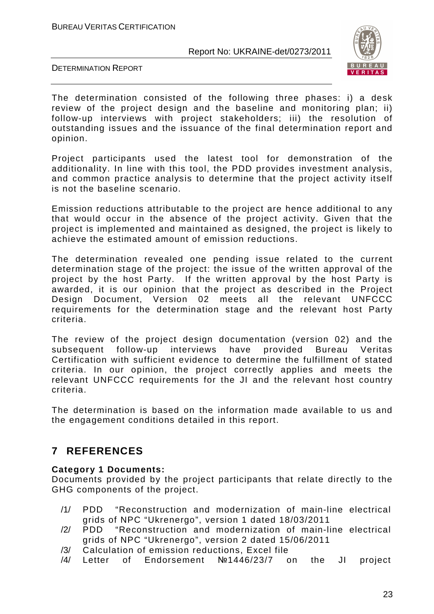

DETERMINATION REPORT

The determination consisted of the following three phases: i) a desk review of the project design and the baseline and monitoring plan; ii) follow-up interviews with project stakeholders; iii) the resolution of outstanding issues and the issuance of the final determination report and opinion.

Project participants used the latest tool for demonstration of the additionality. In line with this tool, the PDD provides investment analysis, and common practice analysis to determine that the project activity itself is not the baseline scenario.

Emission reductions attributable to the project are hence additional to any that would occur in the absence of the project activity. Given that the project is implemented and maintained as designed, the project is likely to achieve the estimated amount of emission reductions.

The determination revealed one pending issue related to the current determination stage of the project: the issue of the written approval of the project by the host Party. If the written approval by the host Party is awarded, it is our opinion that the project as described in the Project Design Document, Version 02 meets all the relevant UNFCCC requirements for the determination stage and the relevant host Party criteria.

The review of the project design documentation (version 02) and the subsequent follow-up interviews have provided Bureau Veritas Certification with sufficient evidence to determine the fulfillment of stated criteria. In our opinion, the project correctly applies and meets the relevant UNFCCC requirements for the JI and the relevant host country criteria.

The determination is based on the information made available to us and the engagement conditions detailed in this report.

# **7 REFERENCES**

### **Category 1 Documents:**

Documents provided by the project participants that relate directly to the GHG components of the project.

- /1/ PDD "Reconstruction and modernization of main-line electrical grids of NPC "Ukrenergo", version 1 dated 18/03/2011
- /2/ PDD "Reconstruction and modernization of main-line electrical grids of NPC "Ukrenergo", version 2 dated 15/06/2011
- /3/ Calculation of emission reductions, Excel file
- /4/ Letter of Endorsement №1446/23/7 on the JI project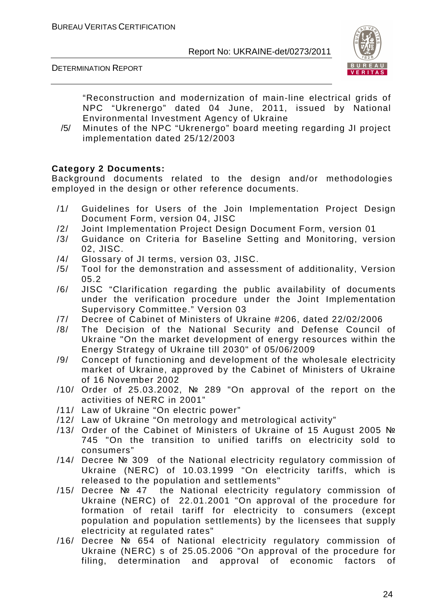



"Reconstruction and modernization of main-line electrical grids of NPC "Ukrenergo" dated 04 June, 2011, issued by National Environmental Investment Agency of Ukraine

/5/ Minutes of the NPC "Ukrenergo" board meeting regarding JI project implementation dated 25/12/2003

### **Category 2 Documents:**

Background documents related to the design and/or methodologies employed in the design or other reference documents.

- /1/ Guidelines for Users of the Join Implementation Project Design Document Form, version 04, JISC
- /2/ Joint Implementation Project Design Document Form, version 01
- /3/ Guidance on Criteria for Baseline Setting and Monitoring, version 02, JISC.
- /4/ Glossary of JI terms, version 03, JISC.
- /5/ Tool for the demonstration and assessment of additionality, Version 05.2
- /6/ JISC "Clarification regarding the public availability of documents under the verification procedure under the Joint Implementation Supervisory Committee." Version 03
- /7/ Decree of Cabinet of Ministers of Ukraine #206, dated 22/02/2006
- /8/ The Decision of the National Security and Defense Council of Ukraine "On the market development of energy resources within the Energy Strategy of Ukraine till 2030" of 05/06/2009
- /9/ Concept of functioning and development of the wholesale electricity market of Ukraine, approved by the Cabinet of Ministers of Ukraine of 16 November 2002
- /10/ Order of 25.03.2002, № 289 "On approval of the report on the activities of NERC in 2001"
- /11/ Law of Ukraine "On electric power"
- /12/ Law of Ukraine "On metrology and metrological activity"
- /13/ Order of the Cabinet of Ministers of Ukraine of 15 August 2005 № 745 "On the transition to unified tariffs on electricity sold to consumers"
- /14/ Decree № 309 of the National electricity regulatory commission of Ukraine (NERC) of 10.03.1999 "On electricity tariffs, which is released to the population and settlements"
- /15/ Decree № 47 the National electricity regulatory commission of Ukraine (NERC) of 22.01.2001 "On approval of the procedure for formation of retail tariff for electricity to consumers (except population and population settlements) by the licensees that supply electricity at regulated rates"
- /16/ Decree № 654 of National electricity regulatory commission of Ukraine (NERC) s of 25.05.2006 "On approval of the procedure for filing, determination and approval of economic factors of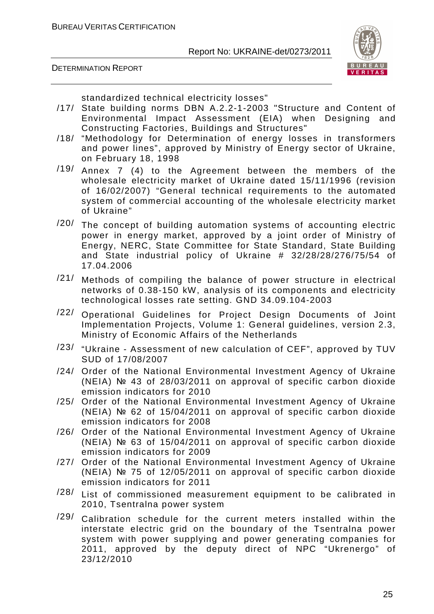



standardized technical electricity losses"

- /17/ State building norms DBN A.2.2-1-2003 "Structure and Content of Environmental Impact Assessment (EIA) when Designing and Constructing Factories, Buildings and Structures"
- /18/ "Methodology for Determination of energy losses in transformers and power lines", approved by Ministry of Energy sector of Ukraine, on February 18, 1998
- /19/ Annex 7 (4) to the Agreement between the members of the wholesale electricity market of Ukraine dated 15/11/1996 (revision of 16/02/2007) "General technical requirements to the automated system of commercial accounting of the wholesale electricity market of Ukraine"
- /20/ The concept of building automation systems of accounting electric power in energy market, approved by a joint order of Ministry of Energy, NERC, State Committee for State Standard, State Building and State industrial policy of Ukraine # 32/28/28/276/75/54 of 17.04.2006
- $/21/$  Methods of compiling the balance of power structure in electrical networks of 0.38-150 kW, analysis of its components and electricity technological losses rate setting. GND 34.09.104-2003
- /22/ Operational Guidelines for Project Design Documents of Joint Implementation Projects, Volume 1: General guidelines, version 2.3, Ministry of Economic Affairs of the Netherlands
- $/23/$  "Ukraine Assessment of new calculation of CEF", approved by TUV SUD of 17/08/2007
- /24/ Order of the National Environmental Investment Agency of Ukraine (NEIA) № 43 of 28/03/2011 on approval of specific carbon dioxide emission indicators for 2010
- /25/ Order of the National Environmental Investment Agency of Ukraine (NEIA) № 62 of 15/04/2011 on approval of specific carbon dioxide emission indicators for 2008
- /26/ Order of the National Environmental Investment Agency of Ukraine (NEIA) № 63 of 15/04/2011 on approval of specific carbon dioxide emission indicators for 2009
- /27/ Order of the National Environmental Investment Agency of Ukraine (NEIA) № 75 of 12/05/2011 on approval of specific carbon dioxide emission indicators for 2011
- /28/ List of commissioned measurement equipment to be calibrated in 2010, Tsentralna power system
- $\frac{1297}{291}$  Calibration schedule for the current meters installed within the interstate electric grid on the boundary of the Tsentralna power system with power supplying and power generating companies for 2011, approved by the deputy direct of NPC "Ukrenergo" of 23/12/2010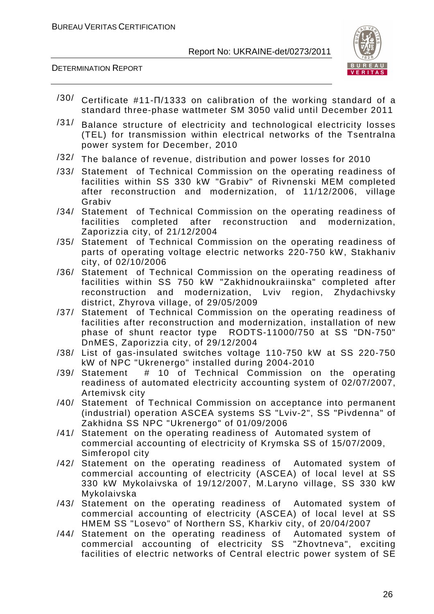



- $/30/$  Certificate #11- $\Pi$ /1333 on calibration of the working standard of a standard three-phase wattmeter SM 3050 valid until December 2011
- $/31/$  Balance structure of electricity and technological electricity losses (TEL) for transmission within electrical networks of the Tsentralna power system for December, 2010
- /32/ The balance of revenue, distribution and power losses for 2010
- /33/ Statement of Technical Commission on the operating readiness of facilities within SS 330 kW "Grabiv" of Rivnenski MEM completed after reconstruction and modernization, of 11/12/2006, village Grabiv
- /34/ Statement of Technical Commission on the operating readiness of facilities completed after reconstruction and modernization, Zaporizzia city, of 21/12/2004
- /35/ Statement of Technical Commission on the operating readiness of parts of operating voltage electric networks 220-750 kW, Stakhaniv city, of 02/10/2006
- /36/ Statement of Technical Commission on the operating readiness of facilities within SS 750 kW "Zakhidnoukraiinska" completed after reconstruction and modernization, Lviv region, Zhydachivsky district, Zhyrova village, of 29/05/2009
- /37/ Statement of Technical Commission on the operating readiness of facilities after reconstruction and modernization, installation of new phase of shunt reactor type RODTS-11000/750 at SS "DN-750" DnMES, Zaporizzia city, of 29/12/2004
- /38/ List of gas-insulated switches voltage 110-750 kW at SS 220-750 kW of NPC "Ukrenergo" installed during 2004-2010
- /39/ Statement # 10 of Technical Commission on the operating readiness of automated electricity accounting system of 02/07/2007, Artemivsk city
- /40/ Statement of Technical Commission on acceptance into permanent (industrial) operation ASCEA systems SS "Lviv-2", SS "Pivdenna" of Zakhidna SS NPC "Ukrenergo" of 01/09/2006
- /41/ Statement on the operating readiness of Automated system of commercial accounting of electricity of Krymska SS of 15/07/2009, Simferopol city
- /42/ Statement on the operating readiness of Automated system of commercial accounting of electricity (ASCEA) of local level at SS 330 kW Mykolaivska of 19/12/2007, M.Laryno village, SS 330 kW Mykolaivska
- /43/ Statement on the operating readiness of Automated system of commercial accounting of electricity (ASCEA) of local level at SS HMEM SS "Losevo" of Northern SS, Kharkiv city, of 20/04/2007
- /44/ Statement on the operating readiness of Automated system of commercial accounting of electricity SS "Zhovtneva", exciting facilities of electric networks of Central electric power system of SE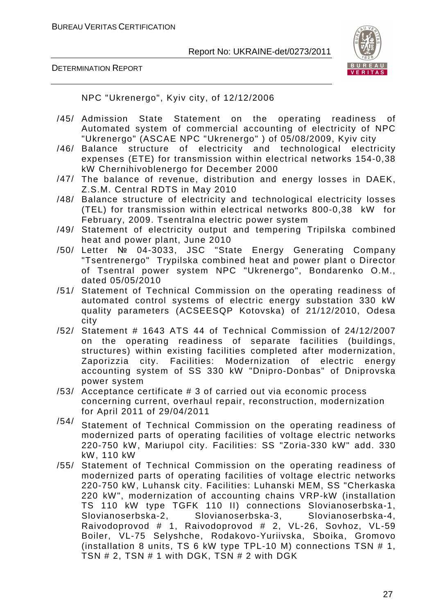

DETERMINATION REPORT

NPC "Ukrenergo", Kyiv city, of 12/12/2006

- /45/ Admission State Statement on the operating readiness of Automated system of commercial accounting of electricity of NPC "Ukrenergo" (ASCAE NPC "Ukrenergo" ) of 05/08/2009, Kyiv city
- /46/ Balance structure of electricity and technological electricity expenses (ETE) for transmission within electrical networks 154-0,38 kW Chernihivoblenergo for December 2000
- /47/ The balance of revenue, distribution and energy losses in DAEK, Z.S.M. Central RDTS in May 2010
- /48/ Balance structure of electricity and technological electricity losses (TEL) for transmission within electrical networks 800-0,38 kW for February, 2009. Tsentralna electric power system
- /49/ Statement of electricity output and tempering Tripilska combined heat and power plant, June 2010
- /50/ Letter № 04-3033, JSC "State Energy Generating Company "Tsentrenergo" Trypilska combined heat and power plant o Director of Tsentral power system NPC "Ukrenergo", Bondarenko O.M., dated 05/05/2010
- /51/ Statement of Technical Commission on the operating readiness of automated control systems of electric energy substation 330 kW quality parameters (ACSEESQP Kotovska) of 21/12/2010, Odesa city
- /52/ Statement # 1643 ATS 44 of Technical Commission of 24/12/2007 on the operating readiness of separate facilities (buildings, structures) within existing facilities completed after modernization, Zaporizzia city. Facilities: Modernization of electric energy accounting system of SS 330 kW "Dnipro-Donbas" of Dniprovska power system
- /53/ Acceptance certificate # 3 of carried out via economic process concerning current, overhaul repair, reconstruction, modernization for April 2011 of 29/04/2011
- $/54/$  Statement of Technical Commission on the operating readiness of modernized parts of operating facilities of voltage electric networks 220-750 kW, Mariupol city. Facilities: SS "Zoria-330 kW" add. 330 kW, 110 kW
- /55/ Statement of Technical Commission on the operating readiness of modernized parts of operating facilities of voltage electric networks 220-750 kW, Luhansk city. Facilities: Luhanski MEM, SS "Cherkaska 220 kW", modernization of accounting chains VRP-kW (installation TS 110 kW type TGFK 110 II) connections Slovianoserbska-1, Slovianoserbska-2, Slovianoserbska-3, Slovianoserbska-4, Raivodoprovod # 1, Raivodoprovod # 2, VL-26, Sovhoz, VL-59 Boiler, VL-75 Selyshche, Rodakovo-Yuriivska, Sboika, Gromovo (installation 8 units, TS 6 kW type TPL-10 M) connections TSN # 1, TSN # 2, TSN # 1 with DGK, TSN # 2 with DGK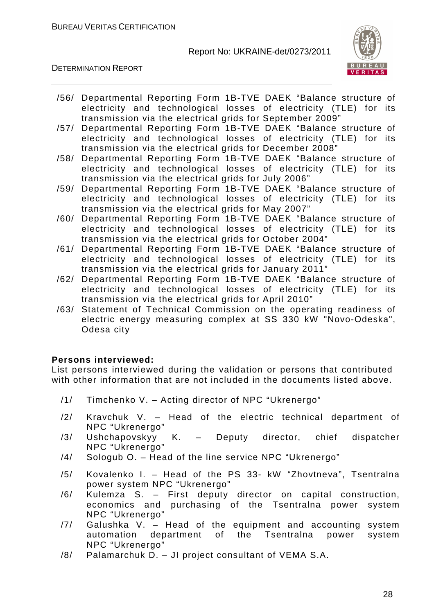

### DETERMINATION REPORT

- /56/ Departmental Reporting Form 1B-TVE DAEK "Balance structure of electricity and technological losses of electricity (TLE) for its transmission via the electrical grids for September 2009"
- /57/ Departmental Reporting Form 1B-TVE DAEK "Balance structure of electricity and technological losses of electricity (TLE) for its transmission via the electrical grids for December 2008"
- /58/ Departmental Reporting Form 1B-TVE DAEK "Balance structure of electricity and technological losses of electricity (TLE) for its transmission via the electrical grids for July 2006"
- /59/ Departmental Reporting Form 1B-TVE DAEK "Balance structure of electricity and technological losses of electricity (TLE) for its transmission via the electrical grids for May 2007"
- /60/ Departmental Reporting Form 1B-TVE DAEK "Balance structure of electricity and technological losses of electricity (TLE) for its transmission via the electrical grids for October 2004"
- /61/ Departmental Reporting Form 1B-TVE DAEK "Balance structure of electricity and technological losses of electricity (TLE) for its transmission via the electrical grids for January 2011"
- /62/ Departmental Reporting Form 1B-TVE DAEK "Balance structure of electricity and technological losses of electricity (TLE) for its transmission via the electrical grids for April 2010"
- /63/ Statement of Technical Commission on the operating readiness of electric energy measuring complex at SS 330 kW "Novo-Odeska", Odesa city

### **Persons interviewed:**

List persons interviewed during the validation or persons that contributed with other information that are not included in the documents listed above.

- /1/ Timchenko V. Acting director of NPC "Ukrenergo"
- /2/ Kravchuk V. Head of the electric technical department of NPC "Ukrenergo"
- /3/ Ushchapovskyy K. Deputy director, chief dispatcher NPC "Ukrenergo"
- /4/ Sologub O. Head of the line service NPC "Ukrenergo"
- /5/ Kovalenko I. Head of the PS 33- kW "Zhovtneva", Tsentralna power system NPC "Ukrenergo"
- /6/ Kulemza S. First deputy director on capital construction, economics and purchasing of the Tsentralna power system NPC "Ukrenergo"
- /7/ Galushka V. Head of the equipment and accounting system automation department of the Tsentralna power system NPC "Ukrenergo"
- /8/ Palamarchuk D. JI project consultant of VEMA S.A.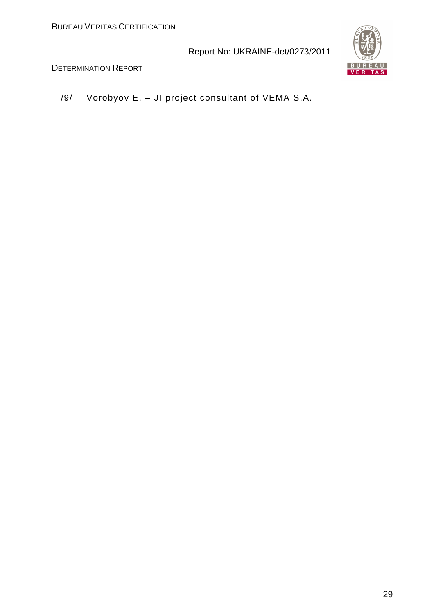

DETERMINATION REPORT

/9/ Vorobyov E. – JI project consultant of VEMA S.A.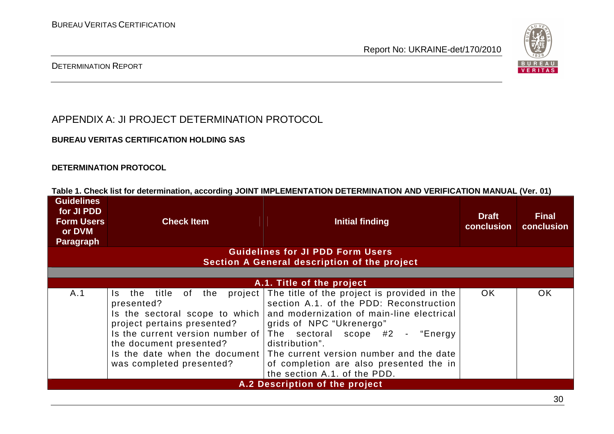

### DETERMINATION REPORT

APPENDIX A: JI PROJECT DETERMINATION PROTOCOL

### **BUREAU VERITAS CERTIFICATION HOLDING SAS**

### **DETERMINATION PROTOCOL**

| <b>Guidelines</b><br>for JI PDD<br><b>Form Users</b><br>or DVM<br><b>Paragraph</b> | <b>Check Item</b>                                                                                                                                                                                              | <b>Initial finding</b>                                                                                                                                                                                                                                                                                                                                                   | <b>Draft</b><br>conclusion | <b>Final</b><br>conclusion |  |
|------------------------------------------------------------------------------------|----------------------------------------------------------------------------------------------------------------------------------------------------------------------------------------------------------------|--------------------------------------------------------------------------------------------------------------------------------------------------------------------------------------------------------------------------------------------------------------------------------------------------------------------------------------------------------------------------|----------------------------|----------------------------|--|
|                                                                                    |                                                                                                                                                                                                                | <b>Guidelines for JI PDD Form Users</b>                                                                                                                                                                                                                                                                                                                                  |                            |                            |  |
|                                                                                    |                                                                                                                                                                                                                | Section A General description of the project                                                                                                                                                                                                                                                                                                                             |                            |                            |  |
|                                                                                    |                                                                                                                                                                                                                | A.1. Title of the project                                                                                                                                                                                                                                                                                                                                                |                            |                            |  |
| A.1                                                                                | the title of the<br>project  <br>Is.<br>presented?<br>Is the sectoral scope to which<br>project pertains presented?<br>Is the current version number of<br>the document presented?<br>was completed presented? | The title of the project is provided in the<br>section A.1. of the PDD: Reconstruction<br>and modernization of main-line electrical<br>grids of NPC "Ukrenergo"<br>The sectoral scope #2 - "Energy<br>distribution".<br>Is the date when the document The current version number and the date<br>of completion are also presented the in<br>the section A.1. of the PDD. | OK.                        | <b>OK</b>                  |  |
| A.2 Description of the project                                                     |                                                                                                                                                                                                                |                                                                                                                                                                                                                                                                                                                                                                          |                            |                            |  |

**Table 1. Check list for determination, according JOINT IMPLEMENTATION DETERMINATION AND VERIFICATION MANUAL (Ver. 01)**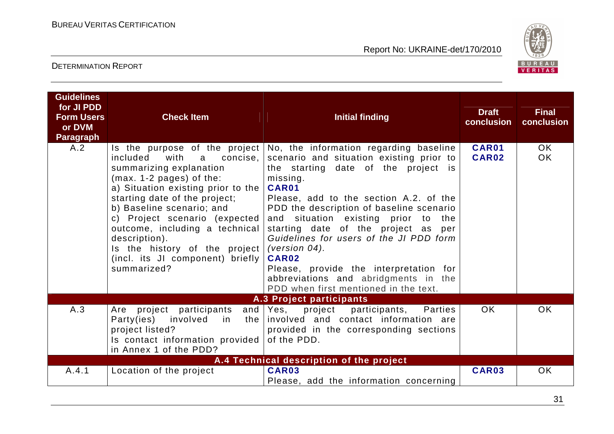

| <b>Guidelines</b><br>for JI PDD<br><b>Form Users</b><br>or DVM<br>Paragraph | <b>Check Item</b>                                                                                                                                                                                                                                                                                                                                                      | <b>Initial finding</b>                                                                                                                                                                                                                                                                                                                                                                                                                                                                                                                                      | <b>Draft</b><br>conclusion | <b>Final</b><br>conclusion |
|-----------------------------------------------------------------------------|------------------------------------------------------------------------------------------------------------------------------------------------------------------------------------------------------------------------------------------------------------------------------------------------------------------------------------------------------------------------|-------------------------------------------------------------------------------------------------------------------------------------------------------------------------------------------------------------------------------------------------------------------------------------------------------------------------------------------------------------------------------------------------------------------------------------------------------------------------------------------------------------------------------------------------------------|----------------------------|----------------------------|
| A.2                                                                         | included<br>with<br>a<br>concise,<br>summarizing explanation<br>$(max. 1-2 pages)$ of the:<br>a) Situation existing prior to the<br>starting date of the project;<br>b) Baseline scenario; and<br>c) Project scenario (expected<br>outcome, including a technical<br>description).<br>Is the history of the project<br>(incl. its JI component) briefly<br>summarized? | Is the purpose of the project $\vert$ No, the information regarding baseline<br>scenario and situation existing prior to<br>the starting date of the project is<br>missing.<br>CAR01<br>Please, add to the section A.2. of the<br>PDD the description of baseline scenario<br>and situation existing prior to the<br>starting date of the project as per<br>Guidelines for users of the JI PDD form<br>(version $04$ ).<br>CAR02<br>Please, provide the interpretation for<br>abbreviations and abridgments in the<br>PDD when first mentioned in the text. | <b>CAR01</b><br>CAR02      | OK.<br><b>OK</b>           |
|                                                                             |                                                                                                                                                                                                                                                                                                                                                                        | A.3 Project participants                                                                                                                                                                                                                                                                                                                                                                                                                                                                                                                                    |                            |                            |
| A.3                                                                         | project participants<br>Are<br>Party(ies)<br>involved<br>in<br>the I<br>project listed?<br>Is contact information provided<br>in Annex 1 of the PDD?                                                                                                                                                                                                                   | and Yes,<br>project participants,<br>Parties<br>involved and contact information are<br>provided in the corresponding sections<br>of the PDD.                                                                                                                                                                                                                                                                                                                                                                                                               | OK.                        | <b>OK</b>                  |
|                                                                             |                                                                                                                                                                                                                                                                                                                                                                        | A.4 Technical description of the project                                                                                                                                                                                                                                                                                                                                                                                                                                                                                                                    |                            |                            |
| A.4.1                                                                       | Location of the project                                                                                                                                                                                                                                                                                                                                                | CAR03<br>Please, add the information concerning                                                                                                                                                                                                                                                                                                                                                                                                                                                                                                             | CAR03                      | <b>OK</b>                  |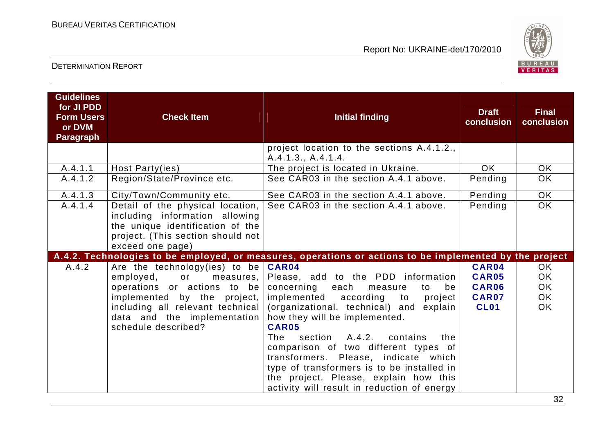

| <b>Guidelines</b><br>for JI PDD<br><b>Form Users</b><br>or DVM<br><b>Paragraph</b> | <b>Check Item</b>                                                                                                                                                                                                             | <b>Initial finding</b>                                                                                                                                                                                                                                                                                                                                                                                                                                                                  | <b>Draft</b><br>conclusion                                    | <b>Final</b><br>conclusion                                    |
|------------------------------------------------------------------------------------|-------------------------------------------------------------------------------------------------------------------------------------------------------------------------------------------------------------------------------|-----------------------------------------------------------------------------------------------------------------------------------------------------------------------------------------------------------------------------------------------------------------------------------------------------------------------------------------------------------------------------------------------------------------------------------------------------------------------------------------|---------------------------------------------------------------|---------------------------------------------------------------|
|                                                                                    |                                                                                                                                                                                                                               | project location to the sections A.4.1.2.,<br>A.4.1.3., A.4.1.4.                                                                                                                                                                                                                                                                                                                                                                                                                        |                                                               |                                                               |
| A.4.1.1                                                                            | Host Party(ies)                                                                                                                                                                                                               | The project is located in Ukraine.                                                                                                                                                                                                                                                                                                                                                                                                                                                      | <b>OK</b>                                                     | <b>OK</b>                                                     |
| A.4.1.2                                                                            | Region/State/Province etc.                                                                                                                                                                                                    | See CAR03 in the section A.4.1 above.                                                                                                                                                                                                                                                                                                                                                                                                                                                   | Pending                                                       | OK                                                            |
| A.4.1.3                                                                            | City/Town/Community etc.                                                                                                                                                                                                      | See CAR03 in the section A.4.1 above.                                                                                                                                                                                                                                                                                                                                                                                                                                                   | Pending                                                       | <b>OK</b>                                                     |
| A.4.1.4                                                                            | Detail of the physical location,<br>including information allowing<br>the unique identification of the<br>project. (This section should not<br>exceed one page)                                                               | See CAR03 in the section A.4.1 above.                                                                                                                                                                                                                                                                                                                                                                                                                                                   | Pending                                                       | <b>OK</b>                                                     |
|                                                                                    |                                                                                                                                                                                                                               | A.4.2. Technologies to be employed, or measures, operations or actions to be implemented by the project                                                                                                                                                                                                                                                                                                                                                                                 |                                                               |                                                               |
| A.4.2                                                                              | Are the technology(ies) to be $CRRO4$<br>employed,<br>or<br>measures,<br>operations or actions to be<br>implemented by the project,<br>including all relevant technical<br>data and the implementation<br>schedule described? | Please, add to the PDD information<br>concerning<br>each<br>be<br>measure<br>to<br>implemented according<br>to<br>project<br>(organizational, technical) and<br>explain<br>how they will be implemented.<br><b>CAR05</b><br>section A.4.2, contains<br>The<br>the<br>comparison of two different types of<br>transformers. Please, indicate which<br>type of transformers is to be installed in<br>the project. Please, explain how this<br>activity will result in reduction of energy | CAR04<br><b>CAR05</b><br>CAR06<br><b>CAR07</b><br><b>CL01</b> | <b>OK</b><br><b>OK</b><br><b>OK</b><br><b>OK</b><br><b>OK</b> |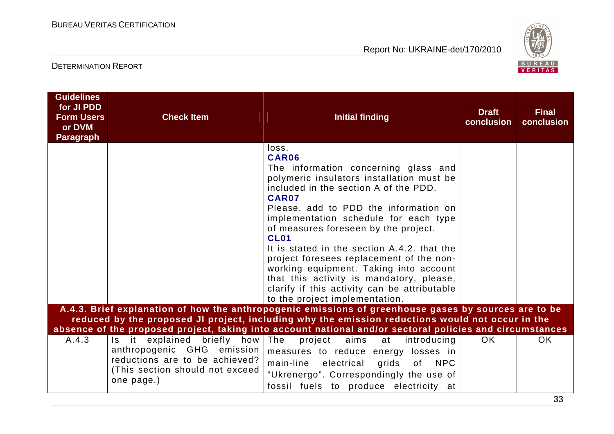

| <b>Guidelines</b><br>for JI PDD<br><b>Form Users</b><br>or DVM<br><b>Paragraph</b> | <b>Check Item</b>                                                                                                                                | <b>Initial finding</b>                                                                                                                                                                                                                                                                                                                                                                                                                                                                                                                                            | <b>Draft</b><br>conclusion | <b>Final</b><br>conclusion |
|------------------------------------------------------------------------------------|--------------------------------------------------------------------------------------------------------------------------------------------------|-------------------------------------------------------------------------------------------------------------------------------------------------------------------------------------------------------------------------------------------------------------------------------------------------------------------------------------------------------------------------------------------------------------------------------------------------------------------------------------------------------------------------------------------------------------------|----------------------------|----------------------------|
|                                                                                    |                                                                                                                                                  | loss.<br>CAR06<br>The information concerning glass and<br>polymeric insulators installation must be<br>included in the section A of the PDD.<br>CAR07<br>Please, add to PDD the information on<br>implementation schedule for each type<br>of measures foreseen by the project.<br><b>CL01</b><br>It is stated in the section A.4.2, that the<br>project foresees replacement of the non-<br>working equipment. Taking into account<br>that this activity is mandatory, please,<br>clarify if this activity can be attributable<br>to the project implementation. |                            |                            |
|                                                                                    |                                                                                                                                                  | A.4.3. Brief explanation of how the anthropogenic emissions of greenhouse gases by sources are to be<br>reduced by the proposed JI project, including why the emission reductions would not occur in the<br>absence of the proposed project, taking into account national and/or sectoral policies and circumstances                                                                                                                                                                                                                                              |                            |                            |
| A.4.3                                                                              | Is it explained briefly how The<br>anthropogenic GHG emission<br>reductions are to be achieved?<br>(This section should not exceed<br>one page.) | project aims<br>at<br>introducing<br>measures to reduce energy losses in<br>main-line electrical<br>grids<br><b>NPC</b><br>of<br>"Ukrenergo". Correspondingly the use of<br>fossil fuels to produce electricity at                                                                                                                                                                                                                                                                                                                                                | OK.                        | OK.                        |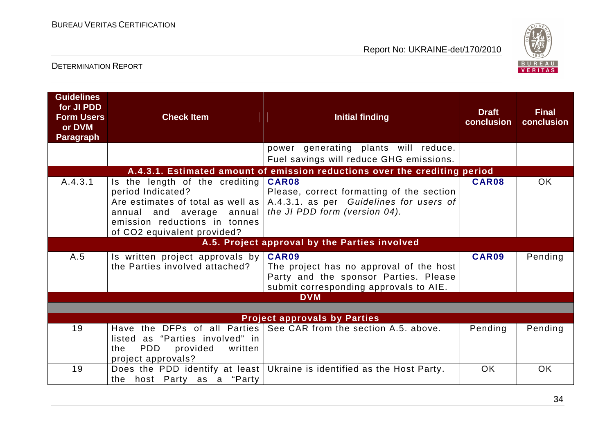

| <b>Guidelines</b><br>for JI PDD<br><b>Form Users</b><br>or DVM<br><b>Paragraph</b> | <b>Check Item</b>                                                                                                                                                                       | <b>Initial finding</b>                                                                                                                     | <b>Draft</b><br>conclusion | <b>Final</b><br>conclusion |  |  |
|------------------------------------------------------------------------------------|-----------------------------------------------------------------------------------------------------------------------------------------------------------------------------------------|--------------------------------------------------------------------------------------------------------------------------------------------|----------------------------|----------------------------|--|--|
|                                                                                    |                                                                                                                                                                                         | power generating plants will reduce.<br>Fuel savings will reduce GHG emissions.                                                            |                            |                            |  |  |
|                                                                                    |                                                                                                                                                                                         | A.4.3.1. Estimated amount of emission reductions over the crediting period                                                                 |                            |                            |  |  |
| A.4.3.1                                                                            | Is the length of the crediting<br>period Indicated?<br>Are estimates of total as well as  <br>annual and average annual<br>emission reductions in tonnes<br>of CO2 equivalent provided? | CAR08<br>Please, correct formatting of the section<br>A.4.3.1. as per Guidelines for users of<br>the JI PDD form (version 04).             | CAR08                      | <b>OK</b>                  |  |  |
|                                                                                    |                                                                                                                                                                                         | A.5. Project approval by the Parties involved                                                                                              |                            |                            |  |  |
| A.5                                                                                | Is written project approvals by $ $<br>the Parties involved attached?                                                                                                                   | <b>CAR09</b><br>The project has no approval of the host<br>Party and the sponsor Parties. Please<br>submit corresponding approvals to AIE. | CAR09                      | Pending                    |  |  |
|                                                                                    |                                                                                                                                                                                         | <b>DVM</b>                                                                                                                                 |                            |                            |  |  |
|                                                                                    |                                                                                                                                                                                         |                                                                                                                                            |                            |                            |  |  |
|                                                                                    | <b>Project approvals by Parties</b>                                                                                                                                                     |                                                                                                                                            |                            |                            |  |  |
| 19                                                                                 | listed as "Parties involved" in<br><b>PDD</b><br>provided<br>written<br>the<br>project approvals?                                                                                       | Have the DFPs of all Parties See CAR from the section A.5. above.                                                                          | Pending                    | Pending                    |  |  |
| 19                                                                                 | the host Party as a "Party"                                                                                                                                                             | Does the PDD identify at least Ukraine is identified as the Host Party.                                                                    | <b>OK</b>                  | <b>OK</b>                  |  |  |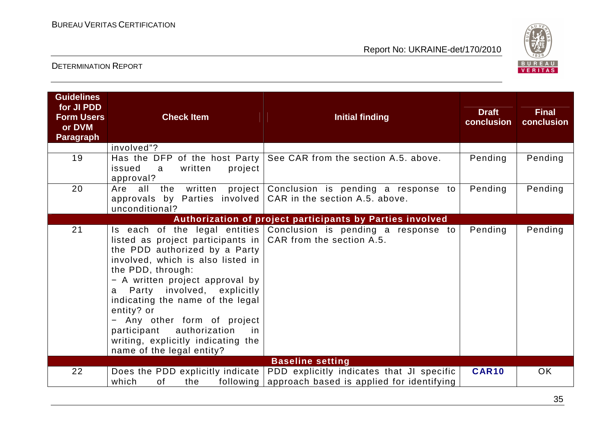

| <b>Guidelines</b><br>for JI PDD<br><b>Form Users</b><br>or DVM<br><b>Paragraph</b> | <b>Check Item</b>                                                                                                                                                                                                                                                                                                                                                                                                          | <b>Initial finding</b>                                                                 | <b>Draft</b><br>conclusion | <b>Final</b><br>conclusion |
|------------------------------------------------------------------------------------|----------------------------------------------------------------------------------------------------------------------------------------------------------------------------------------------------------------------------------------------------------------------------------------------------------------------------------------------------------------------------------------------------------------------------|----------------------------------------------------------------------------------------|----------------------------|----------------------------|
| 19                                                                                 | involved"?<br>Has the DFP of the host Party<br>issued<br>written<br>project<br>a<br>approval?                                                                                                                                                                                                                                                                                                                              | See CAR from the section A.5. above.                                                   | Pending                    | Pending                    |
| 20                                                                                 | Are all the<br>written<br>approvals by Parties involved $  CAR$ in the section A.5. above.<br>unconditional?                                                                                                                                                                                                                                                                                                               | project Conclusion is pending a response to                                            | Pending                    | Pending                    |
|                                                                                    |                                                                                                                                                                                                                                                                                                                                                                                                                            | Authorization of project participants by Parties involved                              |                            |                            |
| 21                                                                                 | listed as project participants in $ $ CAR from the section A.5.<br>the PDD authorized by a Party<br>involved, which is also listed in<br>the PDD, through:<br>- A written project approval by<br>Party involved, explicitly<br>a<br>indicating the name of the legal<br>entity? or<br>- Any other form of project<br>authorization<br>participant<br>in<br>writing, explicitly indicating the<br>name of the legal entity? | Is each of the legal entities Conclusion is pending a response to                      | Pending                    | Pending                    |
|                                                                                    |                                                                                                                                                                                                                                                                                                                                                                                                                            | <b>Baseline setting</b>                                                                |                            |                            |
| 22                                                                                 | Does the PDD explicitly indicate<br>which<br>0f<br>the<br>following                                                                                                                                                                                                                                                                                                                                                        | PDD explicitly indicates that JI specific<br>approach based is applied for identifying | <b>CAR10</b>               | <b>OK</b>                  |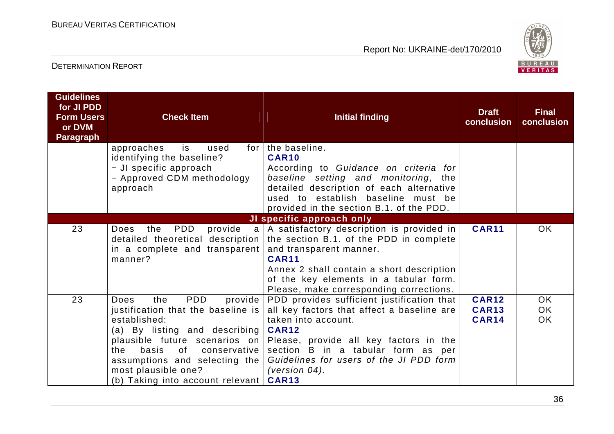

| <b>Guidelines</b><br>for JI PDD<br><b>Form Users</b><br>or DVM<br><b>Paragraph</b> | <b>Check Item</b>                                                                                                                                                                                                                                                             | <b>Initial finding</b>                                                                                                                                                                                                                                                                                           | <b>Draft</b><br>conclusion                   | <b>Final</b><br>conclusion |
|------------------------------------------------------------------------------------|-------------------------------------------------------------------------------------------------------------------------------------------------------------------------------------------------------------------------------------------------------------------------------|------------------------------------------------------------------------------------------------------------------------------------------------------------------------------------------------------------------------------------------------------------------------------------------------------------------|----------------------------------------------|----------------------------|
|                                                                                    | approaches<br>is<br>used<br>identifying the baseline?<br>- JI specific approach<br>- Approved CDM methodology<br>approach                                                                                                                                                     | for   the baseline.<br>CAR <sub>10</sub><br>According to Guidance on criteria for<br>baseline setting and monitoring, the<br>detailed description of each alternative<br>used to establish baseline must be<br>provided in the section B.1. of the PDD.                                                          |                                              |                            |
|                                                                                    |                                                                                                                                                                                                                                                                               | JI specific approach only                                                                                                                                                                                                                                                                                        |                                              |                            |
| 23                                                                                 | PDD<br>the<br>Does<br>in a complete and transparent<br>manner?                                                                                                                                                                                                                | provide a   A satisfactory description is provided in<br>detailed theoretical description   the section B.1. of the PDD in complete<br>and transparent manner.<br><b>CAR11</b><br>Annex 2 shall contain a short description<br>of the key elements in a tabular form.<br>Please, make corresponding corrections. | <b>CAR11</b>                                 | <b>OK</b>                  |
| 23                                                                                 | <b>PDD</b><br>the<br>provide  <br>Does<br>justification that the baseline is<br>established:<br>(a) By listing and describing<br>basis<br>0f<br>conservative  <br>the<br>assumptions and selecting the  <br>most plausible one?<br>(b) Taking into account relevant $ $ CAR13 | PDD provides sufficient justification that<br>all key factors that affect a baseline are<br>taken into account.<br><b>CAR12</b><br>plausible future scenarios on Please, provide all key factors in the<br>section B in a tabular form as per<br>Guidelines for users of the JI PDD form<br>(version $04$ ).     | <b>CAR12</b><br><b>CAR13</b><br><b>CAR14</b> | OK.<br>OK.<br><b>OK</b>    |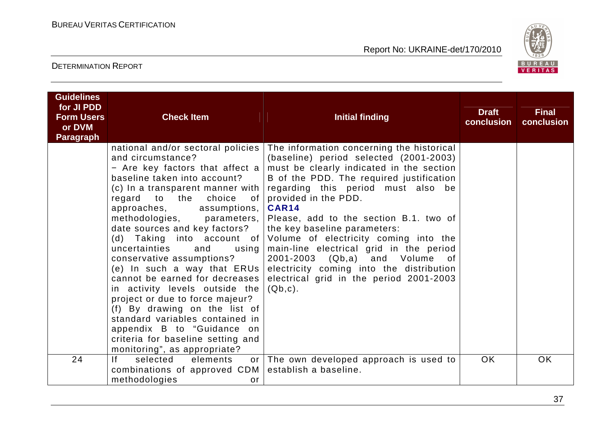

| <b>Guidelines</b><br>for JI PDD |                                                                                                                                                                                                                                                                                                                                                                                                                                                                                                                                                                                                                                                                                        |                                                                                                                                                                                                                                                                                                                                                                                                                                                                                                                                                                                            | <b>Draft</b> | <b>Final</b> |
|---------------------------------|----------------------------------------------------------------------------------------------------------------------------------------------------------------------------------------------------------------------------------------------------------------------------------------------------------------------------------------------------------------------------------------------------------------------------------------------------------------------------------------------------------------------------------------------------------------------------------------------------------------------------------------------------------------------------------------|--------------------------------------------------------------------------------------------------------------------------------------------------------------------------------------------------------------------------------------------------------------------------------------------------------------------------------------------------------------------------------------------------------------------------------------------------------------------------------------------------------------------------------------------------------------------------------------------|--------------|--------------|
| <b>Form Users</b><br>or DVM     | <b>Check Item</b>                                                                                                                                                                                                                                                                                                                                                                                                                                                                                                                                                                                                                                                                      | <b>Initial finding</b>                                                                                                                                                                                                                                                                                                                                                                                                                                                                                                                                                                     | conclusion   | conclusion   |
| <b>Paragraph</b>                |                                                                                                                                                                                                                                                                                                                                                                                                                                                                                                                                                                                                                                                                                        |                                                                                                                                                                                                                                                                                                                                                                                                                                                                                                                                                                                            |              |              |
|                                 | national and/or sectoral policies  <br>and circumstance?<br>- Are key factors that affect a<br>baseline taken into account?<br>(c) In a transparent manner with $ $<br>regard to the<br>choice<br>of l<br>approaches,<br>assumptions,  <br>methodologies,<br>parameters,<br>date sources and key factors?<br>uncertainties<br>and<br>using  <br>conservative assumptions?<br>(e) In such a way that ERUs<br>cannot be earned for decreases<br>in activity levels outside the<br>project or due to force majeur?<br>(f) By drawing on the list of<br>standard variables contained in<br>appendix B to "Guidance on<br>criteria for baseline setting and<br>monitoring", as appropriate? | The information concerning the historical<br>(baseline) period selected (2001-2003)<br>must be clearly indicated in the section<br>B of the PDD. The required justification<br>regarding this period must also be<br>provided in the PDD.<br><b>CAR14</b><br>Please, add to the section B.1. two of<br>the key baseline parameters:<br>(d) Taking into account of Volume of electricity coming into the<br>main-line electrical grid in the period<br>2001-2003 (Qb,a) and Volume of<br>electricity coming into the distribution<br>electrical grid in the period 2001-2003<br>$(Qb, c)$ . |              |              |
| 24                              | f <br>selected<br>elements<br>or 1<br>combinations of approved CDM<br>methodologies<br>or                                                                                                                                                                                                                                                                                                                                                                                                                                                                                                                                                                                              | The own developed approach is used to<br>establish a baseline.                                                                                                                                                                                                                                                                                                                                                                                                                                                                                                                             | OK.          | <b>OK</b>    |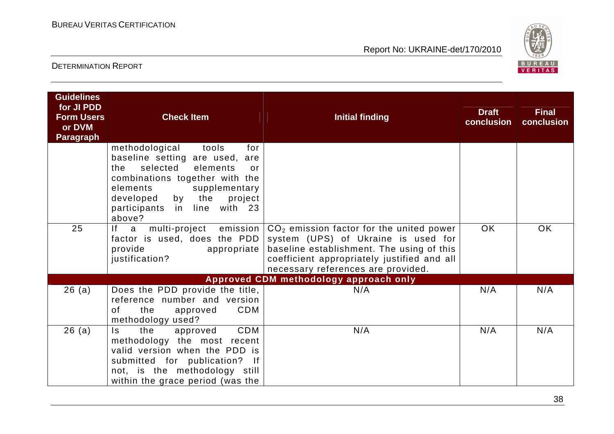

| <b>Guidelines</b><br>for JI PDD<br><b>Form Users</b><br>or DVM<br><b>Paragraph</b> | <b>Check Item</b>                                                                                                                                                                                                                                | <b>Initial finding</b>                                                                                                                                                                                              | <b>Draft</b><br>conclusion | <b>Final</b><br>conclusion |
|------------------------------------------------------------------------------------|--------------------------------------------------------------------------------------------------------------------------------------------------------------------------------------------------------------------------------------------------|---------------------------------------------------------------------------------------------------------------------------------------------------------------------------------------------------------------------|----------------------------|----------------------------|
|                                                                                    | methodological<br>tools<br>for<br>baseline setting are used, are<br>selected<br>elements<br>the<br>or<br>combinations together with the<br>elements<br>supplementary<br>by the<br>developed<br>project<br>participants in line with 23<br>above? |                                                                                                                                                                                                                     |                            |                            |
| 25                                                                                 | If a<br>multi-project emission<br>factor is used, does the PDD<br>provide<br>appropriate<br>justification?                                                                                                                                       | $CO2$ emission factor for the united power<br>system (UPS) of Ukraine is used for<br>baseline establishment. The using of this<br>coefficient appropriately justified and all<br>necessary references are provided. | <b>OK</b>                  | OK                         |
|                                                                                    |                                                                                                                                                                                                                                                  | Approved CDM methodology approach only                                                                                                                                                                              |                            |                            |
| 26(a)                                                                              | Does the PDD provide the title,<br>reference number and version<br>CDM<br>the<br>of<br>approved<br>methodology used?                                                                                                                             | N/A                                                                                                                                                                                                                 | N/A                        | N/A                        |
| 26(a)                                                                              | CDM<br>ls.<br>the<br>approved<br>methodology the most recent<br>valid version when the PDD is<br>submitted for publication?<br>$\mathsf{If}$<br>not, is the methodology still<br>within the grace period (was the                                | N/A                                                                                                                                                                                                                 | N/A                        | N/A                        |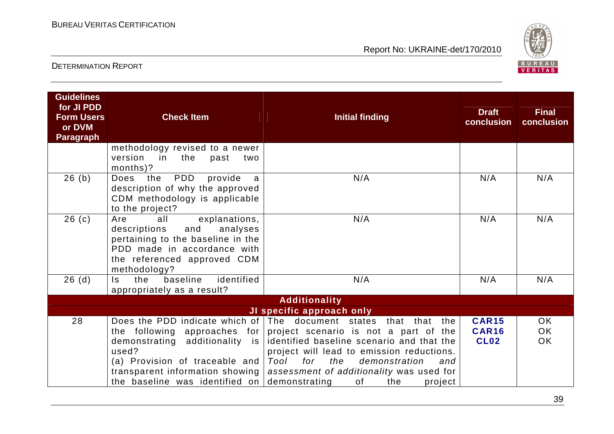

| <b>Guidelines</b><br>for JI PDD<br><b>Form Users</b><br>or DVM<br><b>Paragraph</b> | <b>Check Item</b>                                                                                                                                                                                                                                         | <b>Initial finding</b>                                                                                                                                                                                                                                                                       | <b>Draft</b><br>conclusion                  | <b>Final</b><br>conclusion          |
|------------------------------------------------------------------------------------|-----------------------------------------------------------------------------------------------------------------------------------------------------------------------------------------------------------------------------------------------------------|----------------------------------------------------------------------------------------------------------------------------------------------------------------------------------------------------------------------------------------------------------------------------------------------|---------------------------------------------|-------------------------------------|
|                                                                                    | methodology revised to a newer<br>version<br>in the<br>past<br>two<br>months)?                                                                                                                                                                            |                                                                                                                                                                                                                                                                                              |                                             |                                     |
| 26(b)                                                                              | PDD<br>provide<br>Does<br>the<br>a<br>description of why the approved<br>CDM methodology is applicable<br>to the project?                                                                                                                                 | N/A                                                                                                                                                                                                                                                                                          | N/A                                         | N/A                                 |
| 26(c)                                                                              | explanations,<br>Are<br>all<br>analyses<br>descriptions<br>and<br>pertaining to the baseline in the<br>PDD made in accordance with<br>the referenced approved CDM<br>methodology?                                                                         | N/A                                                                                                                                                                                                                                                                                          | N/A                                         | N/A                                 |
| 26(d)                                                                              | baseline<br>identified<br>the<br>Is.<br>appropriately as a result?                                                                                                                                                                                        | N/A                                                                                                                                                                                                                                                                                          | N/A                                         | N/A                                 |
|                                                                                    |                                                                                                                                                                                                                                                           | <b>Additionality</b>                                                                                                                                                                                                                                                                         |                                             |                                     |
| 28                                                                                 | Does the PDD indicate which of The document states<br>the following<br>approaches for<br>demonstrating additionality is<br>used?<br>(a) Provision of traceable and $ $<br>transparent information showing<br>the baseline was identified on demonstrating | JI specific approach only<br>that that the<br>project scenario is not a part of the<br>identified baseline scenario and that the<br>project will lead to emission reductions.<br>Tool for<br>the<br>demonstration<br>and<br>assessment of additionality was used for<br>of<br>the<br>project | <b>CAR15</b><br><b>CAR16</b><br><b>CL02</b> | <b>OK</b><br><b>OK</b><br><b>OK</b> |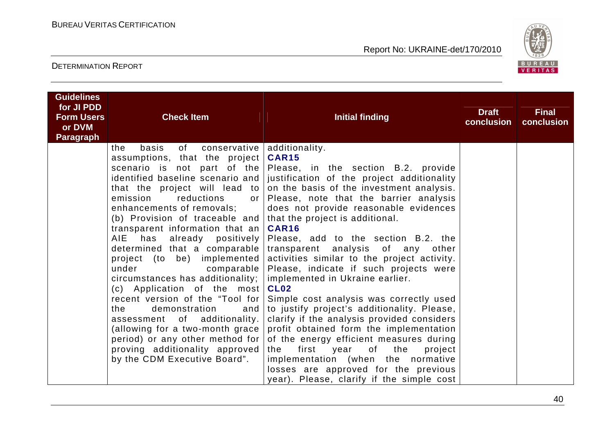

| <b>Guidelines</b><br>for JI PDD<br><b>Form Users</b><br>or DVM<br><b>Paragraph</b> | <b>Check Item</b>                                                                                                                                                                                                                                                                                                                                                                                                                                                                                                                                                                                                                                                  | <b>Initial finding</b>                                                                                                                                                                                                                                                                                                                                                                                                                                                                                                                                                                                                                                                                                                                                                                                                                                                                                                                                                 | <b>Draft</b><br>conclusion | <b>Final</b><br>conclusion |
|------------------------------------------------------------------------------------|--------------------------------------------------------------------------------------------------------------------------------------------------------------------------------------------------------------------------------------------------------------------------------------------------------------------------------------------------------------------------------------------------------------------------------------------------------------------------------------------------------------------------------------------------------------------------------------------------------------------------------------------------------------------|------------------------------------------------------------------------------------------------------------------------------------------------------------------------------------------------------------------------------------------------------------------------------------------------------------------------------------------------------------------------------------------------------------------------------------------------------------------------------------------------------------------------------------------------------------------------------------------------------------------------------------------------------------------------------------------------------------------------------------------------------------------------------------------------------------------------------------------------------------------------------------------------------------------------------------------------------------------------|----------------------------|----------------------------|
|                                                                                    | the<br>basis<br>of<br>assumptions, that the project<br>that the project will lead to<br>reductions<br>emission<br>or 1<br>enhancements of removals;<br>(b) Provision of traceable and<br>transparent information that an<br>has already positively<br>AIE<br>determined that a comparable  <br>project (to be) implemented<br>under<br>comparable  <br>circumstances has additionality;  <br>(c) Application of the most<br>recent version of the "Tool for<br>demonstration<br>the<br>and<br>assessment of additionality.<br>(allowing for a two-month grace<br>period) or any other method for<br>proving additionality approved<br>by the CDM Executive Board". | conservative   additionality.<br><b>CAR15</b><br>scenario is not part of the Please, in the section B.2. provide<br>identified baseline scenario and   justification of the project additionality<br>on the basis of the investment analysis.<br>Please, note that the barrier analysis<br>does not provide reasonable evidences<br>that the project is additional.<br><b>CAR16</b><br>Please, add to the section B.2. the<br>transparent analysis of any other<br>activities similar to the project activity.<br>Please, indicate if such projects were<br>implemented in Ukraine earlier.<br><b>CL02</b><br>Simple cost analysis was correctly used<br>to justify project's additionality. Please,<br>clarify if the analysis provided considers<br>profit obtained form the implementation<br>of the energy efficient measures during<br>first<br>of<br>the<br>year<br>project<br>the<br>implementation (when the normative<br>losses are approved for the previous |                            |                            |
|                                                                                    |                                                                                                                                                                                                                                                                                                                                                                                                                                                                                                                                                                                                                                                                    | year). Please, clarify if the simple cost                                                                                                                                                                                                                                                                                                                                                                                                                                                                                                                                                                                                                                                                                                                                                                                                                                                                                                                              |                            |                            |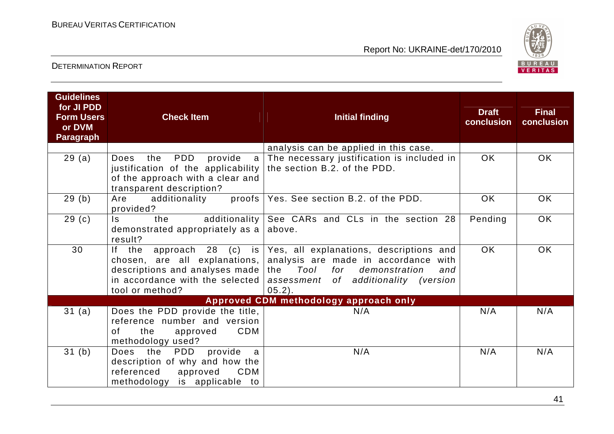

| <b>Guidelines</b><br>for JI PDD<br><b>Form Users</b><br>or DVM<br><b>Paragraph</b> | <b>Check Item</b>                                                                                                                                   | <b>Initial finding</b>                                                                                                                                                                                                                                              | <b>Draft</b><br>conclusion | <b>Final</b><br>conclusion |
|------------------------------------------------------------------------------------|-----------------------------------------------------------------------------------------------------------------------------------------------------|---------------------------------------------------------------------------------------------------------------------------------------------------------------------------------------------------------------------------------------------------------------------|----------------------------|----------------------------|
|                                                                                    |                                                                                                                                                     | analysis can be applied in this case.                                                                                                                                                                                                                               |                            |                            |
| 29(a)                                                                              | PDD<br>provide<br>Does<br>the<br>$\mathsf{a}$<br>justification of the applicability<br>of the approach with a clear and<br>transparent description? | The necessary justification is included in<br>the section B.2. of the PDD.                                                                                                                                                                                          | <b>OK</b>                  | <b>OK</b>                  |
| 29(b)                                                                              | Are<br>additionality<br>provided?                                                                                                                   | proofs   Yes. See section B.2. of the PDD.                                                                                                                                                                                                                          | OK.                        | OK                         |
| 29 <sub>(c)</sub>                                                                  | additionality<br>Is.<br>the<br>demonstrated appropriately as a<br>result?                                                                           | See CARs and CLs in the section 28<br>above.                                                                                                                                                                                                                        | Pending                    | <b>OK</b>                  |
| 30                                                                                 | descriptions and analyses made $ $ the<br>tool or method?                                                                                           | If the approach 28 (c) is Yes, all explanations, descriptions and<br>chosen, are all explanations, analysis are made in accordance<br>with<br>Tool<br>for demonstration<br>and<br>in accordance with the selected assessment of additionality (version<br>$05.2$ ). | <b>OK</b>                  | <b>OK</b>                  |
|                                                                                    |                                                                                                                                                     | Approved CDM methodology approach only                                                                                                                                                                                                                              |                            |                            |
| 31 (a)                                                                             | Does the PDD provide the title,<br>reference number and version<br>CDM<br>the<br>of<br>approved<br>methodology used?                                | N/A                                                                                                                                                                                                                                                                 | N/A                        | N/A                        |
| 31(b)                                                                              | Does the<br>provide<br><b>PDD</b><br>a<br>description of why and how the<br>referenced<br>approved<br>CDM<br>methodology is applicable to           | N/A                                                                                                                                                                                                                                                                 | N/A                        | N/A                        |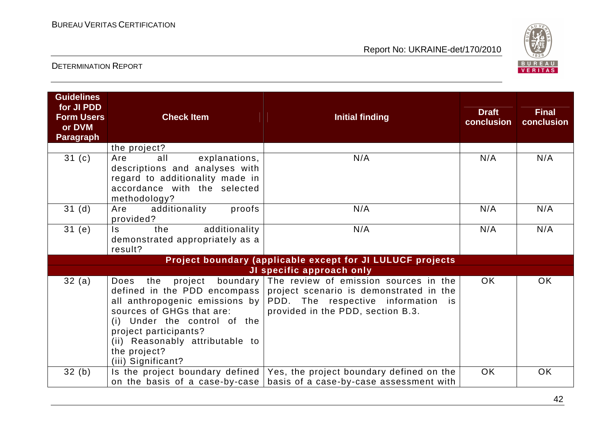

| <b>Guidelines</b><br>for JI PDD<br><b>Form Users</b><br>or DVM<br><b>Paragraph</b> | <b>Check Item</b>                                                                                                                                                          | <b>Initial finding</b>                                                                                                                                                                                                                   | <b>Draft</b><br>conclusion | <b>Final</b><br>conclusion |
|------------------------------------------------------------------------------------|----------------------------------------------------------------------------------------------------------------------------------------------------------------------------|------------------------------------------------------------------------------------------------------------------------------------------------------------------------------------------------------------------------------------------|----------------------------|----------------------------|
|                                                                                    | the project?                                                                                                                                                               |                                                                                                                                                                                                                                          |                            |                            |
| 31(c)                                                                              | all<br>explanations,<br>Are<br>descriptions and analyses with<br>regard to additionality made in<br>accordance with the selected<br>methodology?                           | N/A                                                                                                                                                                                                                                      | N/A                        | N/A                        |
| 31 <sub>(d)</sub>                                                                  | additionality<br>proofs<br>Are<br>provided?                                                                                                                                | N/A                                                                                                                                                                                                                                      | N/A                        | N/A                        |
| 31(e)                                                                              | additionality<br>$\mathsf{ls}$<br>the<br>demonstrated appropriately as a<br>result?                                                                                        | N/A                                                                                                                                                                                                                                      | N/A                        | N/A                        |
|                                                                                    |                                                                                                                                                                            | Project boundary (applicable except for JI LULUCF projects                                                                                                                                                                               |                            |                            |
|                                                                                    |                                                                                                                                                                            | JI specific approach only                                                                                                                                                                                                                |                            |                            |
| 32(a)                                                                              | Does<br>the<br>sources of GHGs that are:<br>(i) Under the control of the<br>project participants?<br>(ii) Reasonably attributable to<br>the project?<br>(iii) Significant? | project boundary The review of emission sources in the<br>defined in the PDD encompass project scenario is demonstrated in the<br>all anthropogenic emissions by PDD. The respective information is<br>provided in the PDD, section B.3. | <b>OK</b>                  | <b>OK</b>                  |
| 32(b)                                                                              |                                                                                                                                                                            | Is the project boundary defined $\sqrt{ }$ Yes, the project boundary defined on the<br>on the basis of a case-by-case   basis of a case-by-case assessment with                                                                          | <b>OK</b>                  | <b>OK</b>                  |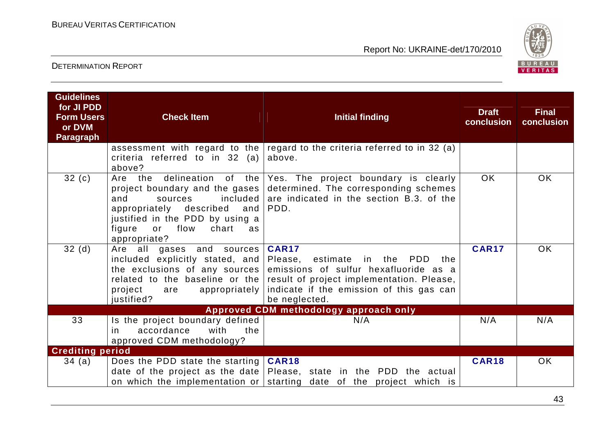

| <b>Guidelines</b><br>for JI PDD<br><b>Form Users</b><br>or DVM<br><b>Paragraph</b> | <b>Check Item</b>                                                                                                                                                                                                  | <b>Initial finding</b>                                                                                                                                                                                                                            | <b>Draft</b><br>conclusion | <b>Final</b><br>conclusion |
|------------------------------------------------------------------------------------|--------------------------------------------------------------------------------------------------------------------------------------------------------------------------------------------------------------------|---------------------------------------------------------------------------------------------------------------------------------------------------------------------------------------------------------------------------------------------------|----------------------------|----------------------------|
|                                                                                    | criteria referred to in 32 (a)<br>above?                                                                                                                                                                           | assessment with regard to the regard to the criteria referred to in 32 (a)<br>above.                                                                                                                                                              |                            |                            |
| 32(c)                                                                              | delineation<br>Are the<br>project boundary and the gases<br>included<br>and<br>sources<br>appropriately described<br>and<br>justified in the PDD by using a<br>flow<br>figure<br>or<br>chart<br>as<br>appropriate? | of the Yes. The project boundary is clearly<br>determined. The corresponding schemes<br>are indicated in the section B.3. of the<br>PDD.                                                                                                          | <b>OK</b>                  | OK.                        |
| 32(d)                                                                              | Are all gases and sources<br>included explicitly stated, and<br>the exclusions of any sources $ $<br>project<br>appropriately  <br>are<br>justified?                                                               | <b>CAR17</b><br>estimate in the<br>Please,<br><b>PDD</b><br>the<br>emissions of sulfur hexafluoride as a<br>related to the baseline or the result of project implementation. Please,<br>indicate if the emission of this gas can<br>be neglected. | <b>CAR17</b>               | <b>OK</b>                  |
|                                                                                    |                                                                                                                                                                                                                    | Approved CDM methodology approach only                                                                                                                                                                                                            |                            |                            |
| 33                                                                                 | Is the project boundary defined<br>accordance<br>with<br>the<br>in.<br>approved CDM methodology?                                                                                                                   | N/A                                                                                                                                                                                                                                               | N/A                        | N/A                        |
| <b>Crediting period</b>                                                            |                                                                                                                                                                                                                    |                                                                                                                                                                                                                                                   |                            |                            |
| 34(a)                                                                              | Does the PDD state the starting<br>on which the implementation or                                                                                                                                                  | <b>CAR18</b><br>date of the project as the date $\vert$ Please, state in the PDD the actual<br>starting date of the project which is                                                                                                              | <b>CAR18</b>               | OK.                        |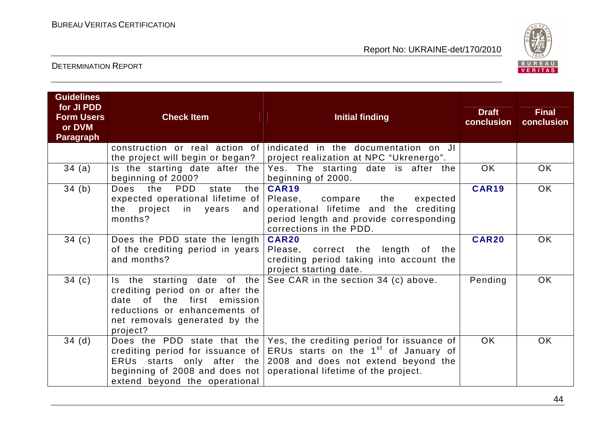

| <b>Guidelines</b><br>for JI PDD<br><b>Form Users</b><br>or DVM<br><b>Paragraph</b> | <b>Check Item</b>                                                                                                                            | <b>Initial finding</b>                                                                                                                                                                                                                                                                                              | <b>Draft</b><br>conclusion | <b>Final</b><br>conclusion |
|------------------------------------------------------------------------------------|----------------------------------------------------------------------------------------------------------------------------------------------|---------------------------------------------------------------------------------------------------------------------------------------------------------------------------------------------------------------------------------------------------------------------------------------------------------------------|----------------------------|----------------------------|
|                                                                                    |                                                                                                                                              | construction or real action of indicated in the documentation on JI<br>the project will begin or began?   project realization at NPC "Ukrenergo".                                                                                                                                                                   |                            |                            |
| 34(a)                                                                              | beginning of 2000?                                                                                                                           | Is the starting date after the $Yes.$ The starting date is after the<br>beginning of 2000.                                                                                                                                                                                                                          | OK.                        | OK.                        |
| 34(b)                                                                              | PDD<br>state<br>Does the<br>the<br>expected operational lifetime of Please,<br>the project in years<br>and<br>months?                        | <b>CAR19</b><br>the<br>expected<br>compare<br>operational lifetime and the crediting<br>period length and provide corresponding<br>corrections in the PDD.                                                                                                                                                          | <b>CAR19</b>               | OK                         |
| 34(c)                                                                              | Does the PDD state the length   CAR20<br>of the crediting period in years<br>and months?                                                     | Please, correct the length of the<br>crediting period taking into account the<br>project starting date.                                                                                                                                                                                                             | <b>CAR20</b>               | OK.                        |
| 34(c)                                                                              | crediting period on or after the<br>date of the first emission<br>reductions or enhancements of<br>net removals generated by the<br>project? | Is the starting date of the $\text{See } \text{CAR }$ in the section 34 (c) above.                                                                                                                                                                                                                                  | Pending                    | <b>OK</b>                  |
| 34(d)                                                                              | extend beyond the operational                                                                                                                | Does the PDD state that the $\sqrt{e}$ Yes, the crediting period for issuance of<br>crediting period for issuance of $ ERUs$ starts on the 1 <sup>st</sup> of January of<br>ERUs starts only after the $2008$ and does not extend beyond the<br>beginning of 2008 and does not operational lifetime of the project. | OK.                        | <b>OK</b>                  |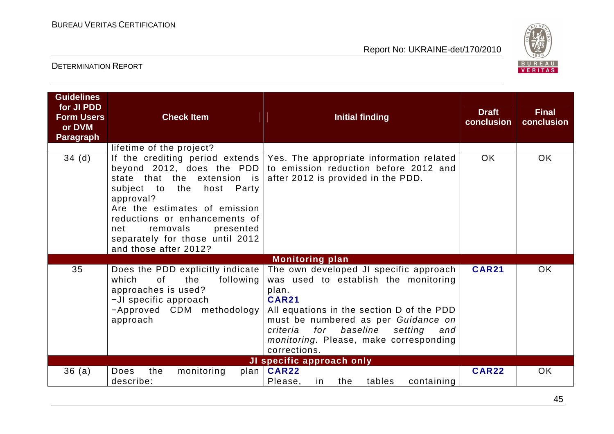

| <b>Guidelines</b><br>for JI PDD<br><b>Form Users</b><br>or DVM<br><b>Paragraph</b> | <b>Check Item</b>                                                                                                                                                                                                                                                                                                                                | <b>Initial finding</b>                                                                                                                                                                                                                                                                                                           | <b>Draft</b><br>conclusion | <b>Final</b><br>conclusion |
|------------------------------------------------------------------------------------|--------------------------------------------------------------------------------------------------------------------------------------------------------------------------------------------------------------------------------------------------------------------------------------------------------------------------------------------------|----------------------------------------------------------------------------------------------------------------------------------------------------------------------------------------------------------------------------------------------------------------------------------------------------------------------------------|----------------------------|----------------------------|
| 34(d)                                                                              | lifetime of the project?<br>If the crediting period extends  <br>beyond 2012, does the PDD<br>state that the<br>extension is<br>to<br>the<br>host<br>Party<br>subject<br>approval?<br>Are the estimates of emission<br>reductions or enhancements of<br>removals<br>net<br>presented<br>separately for those until 2012<br>and those after 2012? | Yes. The appropriate information related<br>to emission reduction before 2012 and<br>after 2012 is provided in the PDD.                                                                                                                                                                                                          | <b>OK</b>                  | <b>OK</b>                  |
| 35                                                                                 | Does the PDD explicitly indicate<br>which<br>0f<br>the<br>following<br>approaches is used?<br>-JI specific approach<br>-Approved CDM methodology<br>approach                                                                                                                                                                                     | <b>Monitoring plan</b><br>The own developed JI specific approach<br>was used to establish the monitoring<br>plan.<br><b>CAR21</b><br>All equations in the section D of the PDD<br>must be numbered as per Guidance on<br>baseline<br>for<br>setting<br>criteria<br>and<br>monitoring. Please, make corresponding<br>corrections. | <b>CAR21</b>               | <b>OK</b>                  |
| 36(a)                                                                              | Does<br>the<br>monitoring<br>describe:                                                                                                                                                                                                                                                                                                           | JI specific approach only<br>plan   CAR22<br>Please,<br>the<br>tables<br>containing<br>in.                                                                                                                                                                                                                                       | <b>CAR22</b>               | <b>OK</b>                  |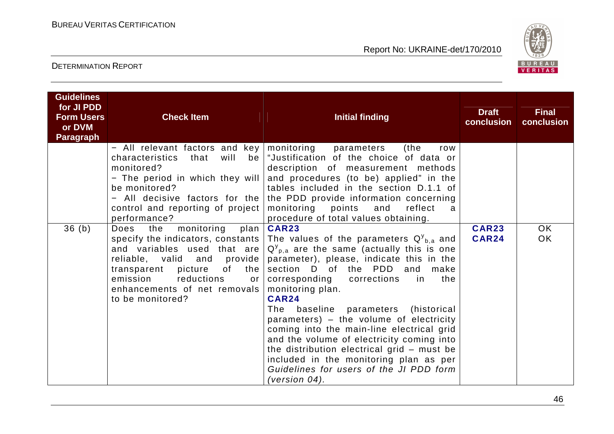

| <b>Guidelines</b><br>for JI PDD<br><b>Form Users</b><br>or DVM<br>Paragraph | <b>Check Item</b>                                                                                                                                                                                                              | <b>Initial finding</b>                                                                                                                                                                                                                                                                                                                                                                                                                                                                                                                                                                                                                             | <b>Draft</b><br>conclusion   | <b>Final</b><br>conclusion |
|-----------------------------------------------------------------------------|--------------------------------------------------------------------------------------------------------------------------------------------------------------------------------------------------------------------------------|----------------------------------------------------------------------------------------------------------------------------------------------------------------------------------------------------------------------------------------------------------------------------------------------------------------------------------------------------------------------------------------------------------------------------------------------------------------------------------------------------------------------------------------------------------------------------------------------------------------------------------------------------|------------------------------|----------------------------|
|                                                                             | - All relevant factors and key   monitoring<br>characteristics<br>will<br>that<br>bel<br>monitored?<br>- The period in which they will<br>be monitored?<br>control and reporting of project<br>performance?                    | (the<br>parameters<br>row<br>"Justification of the choice of data or<br>description of measurement methods<br>and procedures (to be) applied" in the<br>tables included in the section D.1.1 of<br>- All decisive factors for the the PDD provide information concerning<br>monitoring points and<br>reflect<br>a<br>procedure of total values obtaining.                                                                                                                                                                                                                                                                                          |                              |                            |
| 36(b)                                                                       | monitoring<br>Does the<br>plan<br>and variables used that are<br>reliable, valid and provide<br>of the<br>transparent picture<br>reductions<br>emission<br>or <sub>l</sub><br>enhancements of net removals<br>to be monitored? | <b>CAR23</b><br>specify the indicators, constants The values of the parameters $Q_{b,a}^y$ and<br>$Q_{p,a}^{\gamma}$ are the same (actually this is one<br>parameter), please, indicate this in the<br>section D of the PDD and make<br>corresponding corrections in<br>the<br>monitoring plan.<br><b>CAR24</b><br>baseline parameters (historical<br>The<br>parameters) – the volume of electricity<br>coming into the main-line electrical grid<br>and the volume of electricity coming into<br>the distribution electrical grid - must be<br>included in the monitoring plan as per<br>Guidelines for users of the JI PDD form<br>(version 04). | <b>CAR23</b><br><b>CAR24</b> | OK<br><b>OK</b>            |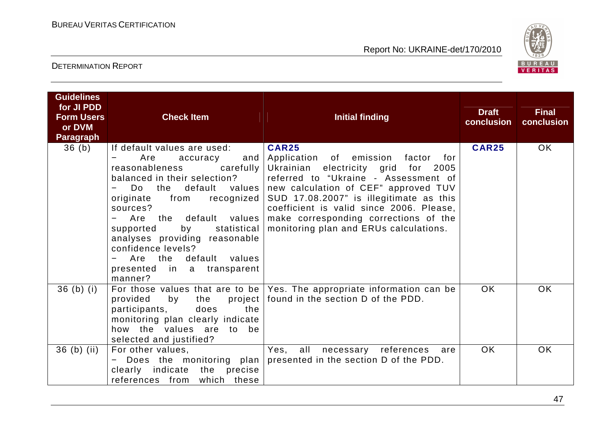

| <b>Guidelines</b><br>for JI PDD<br><b>Form Users</b><br>or DVM<br><b>Paragraph</b> | <b>Check Item</b>                                                                                                                                                                                                                                                                                                                                                                       | <b>Initial finding</b>                                                                                                                                                                                                                                                                                                                                                     | <b>Draft</b><br>conclusion | <b>Final</b><br>conclusion |
|------------------------------------------------------------------------------------|-----------------------------------------------------------------------------------------------------------------------------------------------------------------------------------------------------------------------------------------------------------------------------------------------------------------------------------------------------------------------------------------|----------------------------------------------------------------------------------------------------------------------------------------------------------------------------------------------------------------------------------------------------------------------------------------------------------------------------------------------------------------------------|----------------------------|----------------------------|
| 36 <sub>(b)</sub>                                                                  | If default values are used:<br>Are<br>accuracy<br>reasonableness<br>carefully<br>balanced in their selection?<br>Do.<br>$\overline{\phantom{0}}$<br>from recognized  <br>originate<br>sources?<br>Are the default values<br>statistical<br>by<br>supported<br>analyses providing reasonable<br>confidence levels?<br>default values<br>Are the<br>presented in a transparent<br>manner? | <b>CAR25</b><br>and Application of emission factor for<br>Ukrainian electricity grid for 2005<br>referred to "Ukraine - Assessment of<br>the default values new calculation of CEF" approved TUV<br>SUD 17.08.2007" is illegitimate as this<br>coefficient is valid since 2006. Please,<br>make corresponding corrections of the<br>monitoring plan and ERUs calculations. | <b>CAR25</b>               | <b>OK</b>                  |
| $36$ (b) (i)                                                                       | provided<br>the<br>by<br>the<br>participants,<br>does<br>monitoring plan clearly indicate<br>how the values are to be<br>selected and justified?                                                                                                                                                                                                                                        | For those values that are to be $ $ Yes. The appropriate information can be<br>project   found in the section D of the PDD.                                                                                                                                                                                                                                                | <b>OK</b>                  | <b>OK</b>                  |
| $36$ (b) (ii)                                                                      | For other values,<br>Does the monitoring plan<br>clearly indicate<br>the precise<br>references from which these                                                                                                                                                                                                                                                                         | Yes, all necessary references<br>are<br>presented in the section D of the PDD.                                                                                                                                                                                                                                                                                             | OK.                        | <b>OK</b>                  |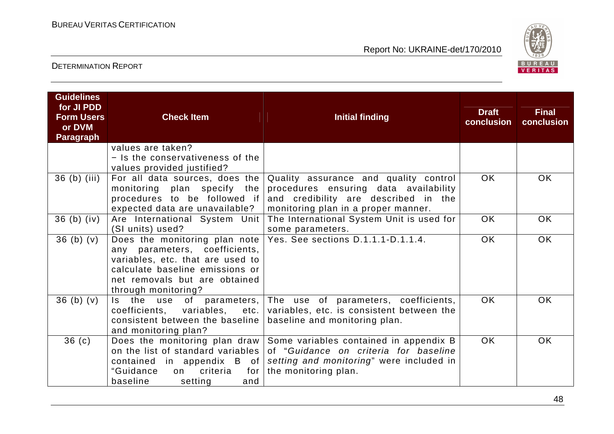

| <b>Guidelines</b><br>for JI PDD<br><b>Form Users</b><br>or DVM<br><b>Paragraph</b> | <b>Check Item</b>                                                                                                                                            | <b>Initial finding</b>                                                                                                                                                                                                                           | <b>Draft</b><br>conclusion | <b>Final</b><br>conclusion |
|------------------------------------------------------------------------------------|--------------------------------------------------------------------------------------------------------------------------------------------------------------|--------------------------------------------------------------------------------------------------------------------------------------------------------------------------------------------------------------------------------------------------|----------------------------|----------------------------|
|                                                                                    | values are taken?<br>- Is the conservativeness of the<br>values provided justified?                                                                          |                                                                                                                                                                                                                                                  |                            |                            |
| 36 (b) (iii)                                                                       | monitoring plan specify the<br>expected data are unavailable?                                                                                                | For all data sources, does the Quality assurance and quality control<br>procedures ensuring data availability<br>procedures to be followed if and credibility are described in the<br>monitoring plan in a proper manner.                        | <b>OK</b>                  | OK.                        |
| $36$ (b) (iv)                                                                      | (SI units) used?                                                                                                                                             | Are International System Unit   The International System Unit is used for<br>some parameters.                                                                                                                                                    | <b>OK</b>                  | <b>OK</b>                  |
| 36(b)(v)                                                                           | any parameters, coefficients,<br>variables, etc. that are used to<br>calculate baseline emissions or<br>net removals but are obtained<br>through monitoring? | Does the monitoring plan note Yes. See sections $D.1.1.1 - D.1.1.4$ .                                                                                                                                                                            | <b>OK</b>                  | <b>OK</b>                  |
| 36(b)(v)                                                                           | consistent between the baseline<br>and monitoring plan?                                                                                                      | Is the use of parameters, The use of parameters, coefficients,<br>coefficients, variables, etc.   variables, etc. is consistent between the<br>baseline and monitoring plan.                                                                     | OK.                        | <b>OK</b>                  |
| 36 <sub>(c)</sub>                                                                  | "Guidance<br>criteria<br>for $ $<br>on<br>baseline<br>setting<br>and                                                                                         | Does the monitoring plan draw Some variables contained in appendix B<br>on the list of standard variables of "Guidance on criteria for baseline<br>contained in appendix $B$ of setting and monitoring" were included in<br>the monitoring plan. | <b>OK</b>                  | <b>OK</b>                  |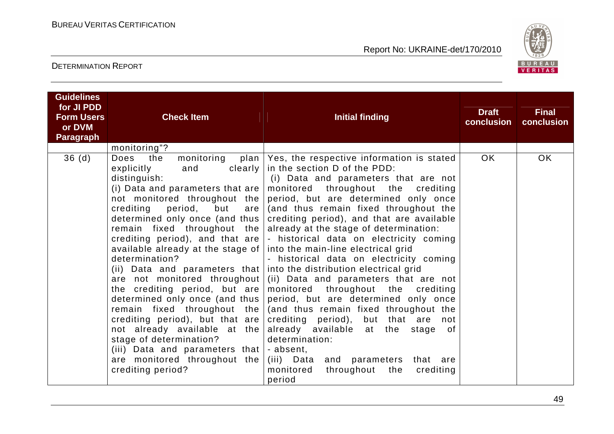

| <b>Form Users</b><br><b>Check Item</b><br><b>Initial finding</b><br>conclusion<br>or DVM<br><b>Paragraph</b>                                                                                                                                                                                                                                                                                                                                                                                                                                                                                                                                                                                                                                                                                                                                                                                                                                                                                                                                                                                                                                                                                                                                                                                                                                                                                                                                                                                                                                                                                                                     |    |
|----------------------------------------------------------------------------------------------------------------------------------------------------------------------------------------------------------------------------------------------------------------------------------------------------------------------------------------------------------------------------------------------------------------------------------------------------------------------------------------------------------------------------------------------------------------------------------------------------------------------------------------------------------------------------------------------------------------------------------------------------------------------------------------------------------------------------------------------------------------------------------------------------------------------------------------------------------------------------------------------------------------------------------------------------------------------------------------------------------------------------------------------------------------------------------------------------------------------------------------------------------------------------------------------------------------------------------------------------------------------------------------------------------------------------------------------------------------------------------------------------------------------------------------------------------------------------------------------------------------------------------|----|
| monitoring"?                                                                                                                                                                                                                                                                                                                                                                                                                                                                                                                                                                                                                                                                                                                                                                                                                                                                                                                                                                                                                                                                                                                                                                                                                                                                                                                                                                                                                                                                                                                                                                                                                     |    |
| 36(d)<br>OK.<br>monitoring<br>Does the<br>plan   Yes, the respective information is stated<br>clearly $ $ in the section D of the PDD:<br>explicitly<br>and<br>distinguish:<br>(i) Data and parameters that are not<br>monitored throughout the crediting<br>(i) Data and parameters that are $ $<br>not monitored throughout the<br>period, but are determined only once<br>(and thus remain fixed throughout the<br>crediting<br>period,<br>but<br>are<br>determined only once (and thus  <br>crediting period), and that are available<br>remain fixed throughout the<br>already at the stage of determination:<br>crediting period), and that are $\vert$ - historical data on electricity coming<br>into the main-line electrical grid<br>available already at the stage of  <br>determination?<br>- historical data on electricity coming<br>(ii) Data and parameters that   into the distribution electrical grid<br>(ii) Data and parameters that are not<br>are not monitored throughout<br>the crediting period, but are monitored throughout the crediting<br>period, but are determined only once<br>determined only once (and thus  <br>(and thus remain fixed throughout the<br>remain fixed throughout the<br>crediting period), but that are<br>crediting period), but that are not<br>not already available at the<br>already available at the<br>stage of<br>stage of determination?<br>determination:<br>(iii) Data and parameters that $\vert$ - absent,<br>are monitored throughout the<br>(iii) Data and parameters that are<br>crediting period?<br>monitored<br>throughout<br>the<br>crediting<br>period | OK |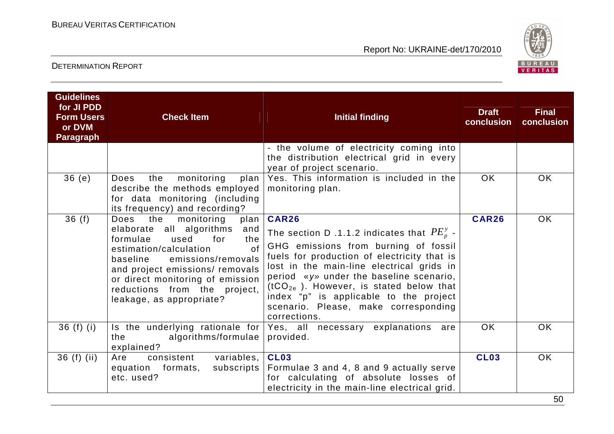

| <b>Guidelines</b><br>for JI PDD<br><b>Form Users</b><br>or DVM<br><b>Paragraph</b> | <b>Check Item</b>                                                                                                                                                                                                                                                                                              | <b>Initial finding</b>                                                                                                                                                                                                                                                                                                                                                                   | <b>Draft</b><br>conclusion | <b>Final</b><br>conclusion |
|------------------------------------------------------------------------------------|----------------------------------------------------------------------------------------------------------------------------------------------------------------------------------------------------------------------------------------------------------------------------------------------------------------|------------------------------------------------------------------------------------------------------------------------------------------------------------------------------------------------------------------------------------------------------------------------------------------------------------------------------------------------------------------------------------------|----------------------------|----------------------------|
|                                                                                    |                                                                                                                                                                                                                                                                                                                | - the volume of electricity coming into<br>the distribution electrical grid in every<br>year of project scenario.                                                                                                                                                                                                                                                                        |                            |                            |
| 36(e)                                                                              | monitoring<br>the<br>Does<br>$plan \mid$<br>describe the methods employed<br>for data monitoring (including<br>its frequency) and recording?                                                                                                                                                                   | Yes. This information is included in the<br>monitoring plan.                                                                                                                                                                                                                                                                                                                             | <b>OK</b>                  | <b>OK</b>                  |
| 36(f)                                                                              | the monitoring<br>Does<br>plan<br>elaborate all algorithms<br>and<br>used<br>for<br>formulae<br>the<br>$\Omega$<br>estimation/calculation<br>emissions/removals<br>baseline<br>and project emissions/ removals<br>or direct monitoring of emission<br>reductions from the project,<br>leakage, as appropriate? | CAR26<br>The section D .1.1.2 indicates that $PE_p^y$ .<br>GHG emissions from burning of fossil<br>fuels for production of electricity that is<br>lost in the main-line electrical grids in<br>period «y» under the baseline scenario,<br>$(tCO_{2e}$ ). However, is stated below that<br>index "p" is applicable to the project<br>scenario. Please, make corresponding<br>corrections. | <b>CAR26</b>               | <b>OK</b>                  |
| $36(f)$ (i)                                                                        | algorithms/formulae<br>the the state of the state of the state of the state of the state of the state of the state of the state of the<br>explained?                                                                                                                                                           | Is the underlying rationale for Yes, all necessary explanations are<br>provided.                                                                                                                                                                                                                                                                                                         | <b>OK</b>                  | <b>OK</b>                  |
| $36(f)$ (ii)                                                                       | consistent variables,<br>Are<br>equation formats,<br>subscripts  <br>etc. used?                                                                                                                                                                                                                                | <b>CL03</b><br>Formulae 3 and 4, 8 and 9 actually serve<br>for calculating of absolute losses of<br>electricity in the main-line electrical grid.                                                                                                                                                                                                                                        | <b>CL03</b>                | <b>OK</b>                  |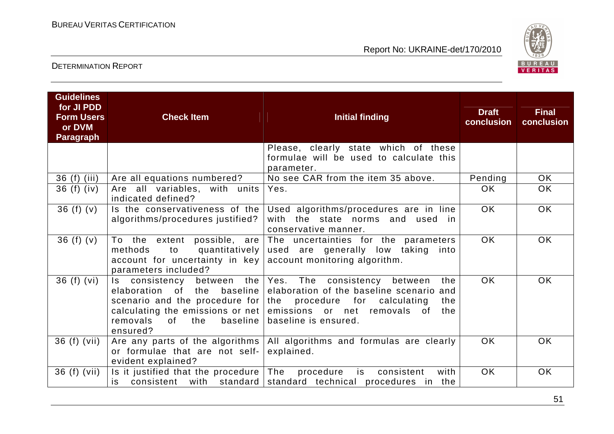

| <b>Guidelines</b><br>for JI PDD<br><b>Form Users</b><br>or DVM<br><b>Paragraph</b> | <b>Check Item</b>                                                                                                       | <b>Initial finding</b>                                                                                                                                                                                                                                                            | <b>Draft</b><br>conclusion | <b>Final</b><br>conclusion |
|------------------------------------------------------------------------------------|-------------------------------------------------------------------------------------------------------------------------|-----------------------------------------------------------------------------------------------------------------------------------------------------------------------------------------------------------------------------------------------------------------------------------|----------------------------|----------------------------|
|                                                                                    |                                                                                                                         | Please, clearly state which of these<br>formulae will be used to calculate this<br>parameter.                                                                                                                                                                                     |                            |                            |
| 36 (f) (iii)                                                                       | Are all equations numbered?                                                                                             | No see CAR from the item 35 above.                                                                                                                                                                                                                                                | Pending                    | OK.                        |
| 36(f)(iv)                                                                          | Are all variables, with units<br>indicated defined?                                                                     | Yes.                                                                                                                                                                                                                                                                              | <b>OK</b>                  | <b>OK</b>                  |
| 36 $(f)(v)$                                                                        | Is the conservativeness of the<br>algorithms/procedures justified?                                                      | Used algorithms/procedures are in line<br>the state norms and used<br>with<br>in.<br>conservative manner.                                                                                                                                                                         | <b>OK</b>                  | <b>OK</b>                  |
| 36 (f) $(v)$                                                                       | quantitatively<br>methods<br>to<br>account for uncertainty in key account monitoring algorithm.<br>parameters included? | To the extent possible, are The uncertainties for the parameters<br>used are generally low taking<br>into                                                                                                                                                                         | <b>OK</b>                  | <b>OK</b>                  |
| 36(f)(vi)                                                                          | baseline<br>elaboration<br>of<br>the<br>removals<br>of<br>the<br>baseline  <br>ensured?                                 | Is consistency between the Yes. The consistency between<br>the<br>elaboration of the baseline scenario and<br>scenario and the procedure for the procedure for calculating<br>the<br>calculating the emissions or net emissions or net removals of<br>the<br>baseline is ensured. | <b>OK</b>                  | <b>OK</b>                  |
| 36 (f) (vii)                                                                       | or formulae that are not self-<br>evident explained?                                                                    | Are any parts of the algorithms   All algorithms and formulas are clearly<br>explained.                                                                                                                                                                                           | <b>OK</b>                  | <b>OK</b>                  |
| 36 (f) (vii)                                                                       | Is it justified that the procedure $\vert$ The<br>is.                                                                   | procedure<br>consistent<br>with<br>is<br>consistent with standard standard technical procedures in the                                                                                                                                                                            | <b>OK</b>                  | <b>OK</b>                  |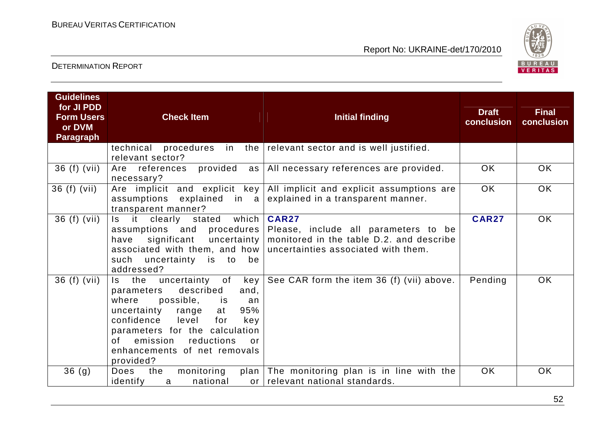

| <b>Guidelines</b><br>for JI PDD<br><b>Form Users</b><br>or DVM<br><b>Paragraph</b> | <b>Check Item</b>                                                                                                                                                                                                                                                                                                                                                                                                                                                                                                              | <b>Initial finding</b>                                                                                                                                                                            | <b>Draft</b><br>conclusion | <b>Final</b><br>conclusion |
|------------------------------------------------------------------------------------|--------------------------------------------------------------------------------------------------------------------------------------------------------------------------------------------------------------------------------------------------------------------------------------------------------------------------------------------------------------------------------------------------------------------------------------------------------------------------------------------------------------------------------|---------------------------------------------------------------------------------------------------------------------------------------------------------------------------------------------------|----------------------------|----------------------------|
|                                                                                    | procedures<br>technical<br>relevant sector?                                                                                                                                                                                                                                                                                                                                                                                                                                                                                    | in the $ $ relevant sector and is well justified.                                                                                                                                                 |                            |                            |
| 36 (f) (vii)                                                                       | provided<br>Are references<br>necessary?                                                                                                                                                                                                                                                                                                                                                                                                                                                                                       | as   All necessary references are provided.                                                                                                                                                       | <b>OK</b>                  | <b>OK</b>                  |
| 36 (f) (vii)                                                                       | Are implicit and explicit key<br>assumptions explained in $a$<br>transparent manner?                                                                                                                                                                                                                                                                                                                                                                                                                                           | All implicit and explicit assumptions are<br>explained in a transparent manner.                                                                                                                   | <b>OK</b>                  | <b>OK</b>                  |
| $36(f)$ (vii)                                                                      | Is it<br>clearly<br>stated<br>significant uncertainty<br>have<br>such<br>uncertainty is<br>to<br>be<br>addressed?                                                                                                                                                                                                                                                                                                                                                                                                              | which   CAR27<br>assumptions and procedures Please, include all parameters to be<br>monitored in the table D.2. and describe<br>associated with them, and how uncertainties associated with them. | <b>CAR27</b>               | <b>OK</b>                  |
| 36 (f) (vii)                                                                       | Is the uncertainty of<br>key  <br>described<br>and,<br>parameters<br>possible, is<br>where<br>an<br>95%<br>uncertainty<br>range<br>at<br>confidence<br>level<br>for<br>key<br>parameters for the calculation<br>emission<br>reductions<br>of the origin of the original policies in the content of the content of the content of the content of the conte<br>Separate the content of the content of the content of the content of the content of the content of the content<br>or<br>enhancements of net removals<br>provided? | See CAR form the item 36 (f) (vii) above.                                                                                                                                                         | Pending                    | <b>OK</b>                  |
| 36 <sub>(g)</sub>                                                                  | the<br>Does<br>monitoring<br>identify<br>national<br>a                                                                                                                                                                                                                                                                                                                                                                                                                                                                         | plan The monitoring plan is in line with the<br>or relevant national standards.                                                                                                                   | <b>OK</b>                  | <b>OK</b>                  |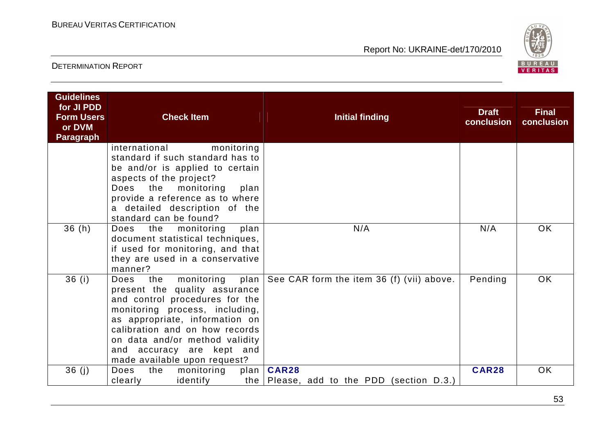

| <b>Guidelines</b><br>for JI PDD<br><b>Form Users</b><br>or DVM<br><b>Paragraph</b> | <b>Check Item</b>                                                                                                                                                                                                                                                                                   | <b>Initial finding</b>                                            | <b>Draft</b><br>conclusion | <b>Final</b><br>conclusion |
|------------------------------------------------------------------------------------|-----------------------------------------------------------------------------------------------------------------------------------------------------------------------------------------------------------------------------------------------------------------------------------------------------|-------------------------------------------------------------------|----------------------------|----------------------------|
|                                                                                    | international<br>monitoring<br>standard if such standard has to<br>be and/or is applied to certain<br>aspects of the project?<br>the<br>monitoring<br>Does<br>plan<br>provide a reference as to where<br>a detailed description of the<br>standard can be found?                                    |                                                                   |                            |                            |
| 36(h)                                                                              | Does<br>the monitoring<br>plan<br>document statistical techniques,<br>if used for monitoring, and that<br>they are used in a conservative<br>manner?                                                                                                                                                | N/A                                                               | N/A                        | OK.                        |
| 36(i)                                                                              | the monitoring plan<br>Does<br>present the quality assurance<br>and control procedures for the<br>monitoring process, including,<br>as appropriate, information on<br>calibration and on how records<br>on data and/or method validity<br>and accuracy are kept and<br>made available upon request? | See CAR form the item 36 (f) (vii) above.                         | Pending                    | OK.                        |
| 36(j)                                                                              | <b>Does</b><br>the<br>monitoring<br>plan<br>identify<br>clearly                                                                                                                                                                                                                                     | <b>CAR28</b><br>the $\vert$ Please, add to the PDD (section D.3.) | <b>CAR28</b>               | <b>OK</b>                  |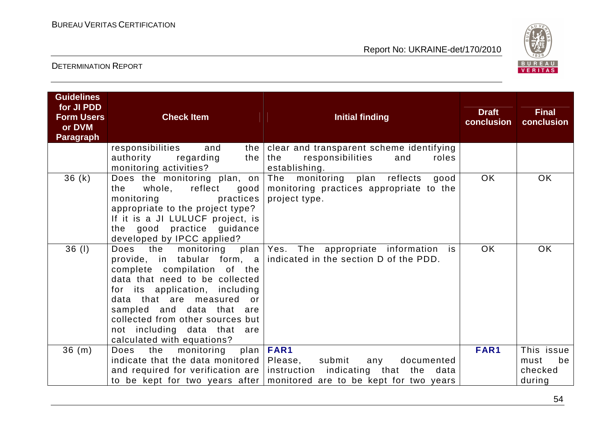

| <b>Guidelines</b><br>for JI PDD<br><b>Form Users</b><br>or DVM | <b>Check Item</b>                                                                                                                                                                                                                                                                                                                                      | <b>Initial finding</b>                                                                                                                                                      | <b>Draft</b><br>conclusion | <b>Final</b><br>conclusion                    |
|----------------------------------------------------------------|--------------------------------------------------------------------------------------------------------------------------------------------------------------------------------------------------------------------------------------------------------------------------------------------------------------------------------------------------------|-----------------------------------------------------------------------------------------------------------------------------------------------------------------------------|----------------------------|-----------------------------------------------|
| <b>Paragraph</b>                                               |                                                                                                                                                                                                                                                                                                                                                        |                                                                                                                                                                             |                            |                                               |
|                                                                | responsibilities<br>and<br>the<br>authority<br>regarding<br>the<br>monitoring activities?                                                                                                                                                                                                                                                              | clear and transparent scheme identifying<br>the<br>responsibilities<br>and<br>roles<br>establishing.                                                                        |                            |                                               |
| 36(k)                                                          | Does the monitoring plan, on<br>whole, reflect good<br>the<br>practices<br>monitoring<br>appropriate to the project type?<br>If it is a JI LULUCF project, is<br>the good practice guidance<br>developed by IPCC applied?                                                                                                                              | The monitoring plan reflects<br>good<br>monitoring practices appropriate to the<br>project type.                                                                            | <b>OK</b>                  | OK.                                           |
| 36 (1)                                                         | Does<br>the<br>monitoring<br>provide, in tabular form, $a \mid$<br>complete compilation of the<br>data that need to be collected<br>for its application, including<br>data that are measured<br>$\overline{\mathsf{or}}$<br>sampled and data that are<br>collected from other sources but<br>not including data that are<br>calculated with equations? | plan Yes. The appropriate information<br>is<br>indicated in the section D of the PDD.                                                                                       | <b>OK</b>                  | <b>OK</b>                                     |
| 36(m)                                                          | monitoring<br>Does<br>the<br>indicate that the data monitored<br>and required for verification are                                                                                                                                                                                                                                                     | plan   FAR1<br>Please,<br>submit<br>documented<br>any<br>instruction indicating that the<br>data<br>to be kept for two years after   monitored are to be kept for two years | FAR1                       | This issue<br>must<br>be<br>checked<br>during |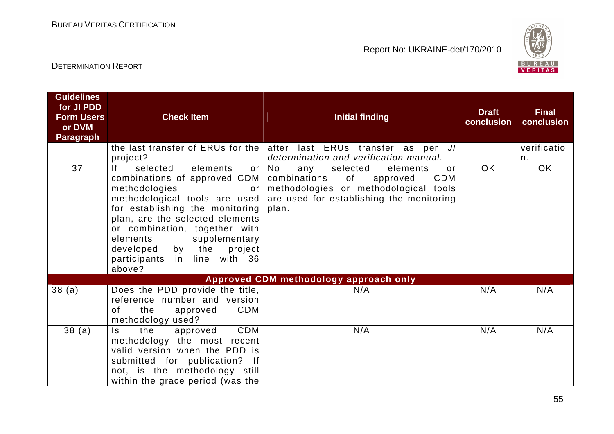

| <b>Guidelines</b><br>for JI PDD<br><b>Form Users</b><br>or DVM<br><b>Paragraph</b> | <b>Check Item</b>                                                                                                                                                                                                                                                                                                                                     | <b>Initial finding</b>                                                                                                                                                                | <b>Draft</b><br>conclusion | <b>Final</b><br>conclusion |
|------------------------------------------------------------------------------------|-------------------------------------------------------------------------------------------------------------------------------------------------------------------------------------------------------------------------------------------------------------------------------------------------------------------------------------------------------|---------------------------------------------------------------------------------------------------------------------------------------------------------------------------------------|----------------------------|----------------------------|
|                                                                                    | project?                                                                                                                                                                                                                                                                                                                                              | the last transfer of ERUs for the after last ERUs transfer as per JI<br>determination and verification manual.                                                                        |                            | verificatio<br>n.          |
| 37                                                                                 | selected<br>lf –<br>elements<br>or I<br>combinations of approved CDM<br>methodologies<br>or<br>methodological tools are used<br>for establishing the monitoring<br>plan, are the selected elements<br>or combination, together with<br>elements<br>supplementary<br>the<br>developed<br>by<br>project<br>line with 36<br>participants<br>in<br>above? | No<br>selected<br>any<br>elements<br>or<br><b>CDM</b><br>combinations<br>of<br>approved<br>methodologies or methodological tools<br>are used for establishing the monitoring<br>plan. | <b>OK</b>                  | OK                         |
|                                                                                    |                                                                                                                                                                                                                                                                                                                                                       | <b>Approved CDM methodology approach only</b>                                                                                                                                         |                            |                            |
| 38(a)                                                                              | Does the PDD provide the title,<br>reference number and version<br>CDM<br>the<br>of<br>approved<br>methodology used?                                                                                                                                                                                                                                  | N/A                                                                                                                                                                                   | N/A                        | N/A                        |
| 38(a)                                                                              | CDM<br>Is.<br>the<br>approved<br>methodology the most recent<br>valid version when the PDD is<br>submitted for publication? If<br>not, is the methodology still<br>within the grace period (was the                                                                                                                                                   | N/A                                                                                                                                                                                   | N/A                        | N/A                        |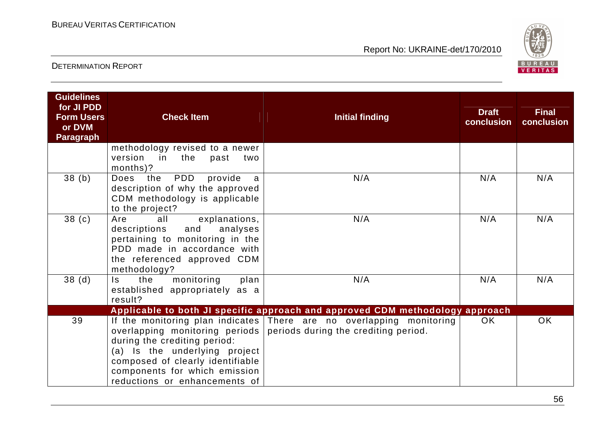

| <b>Guidelines</b><br>for JI PDD<br><b>Form Users</b><br>or DVM<br><b>Paragraph</b> | <b>Check Item</b>                                                                                                                                                                    | <b>Initial finding</b>                                                                                                                                                                                                         | <b>Draft</b><br>conclusion | <b>Final</b><br>conclusion |
|------------------------------------------------------------------------------------|--------------------------------------------------------------------------------------------------------------------------------------------------------------------------------------|--------------------------------------------------------------------------------------------------------------------------------------------------------------------------------------------------------------------------------|----------------------------|----------------------------|
|                                                                                    | methodology revised to a newer<br>version<br>in the past<br>two<br>months)?                                                                                                          |                                                                                                                                                                                                                                |                            |                            |
| 38(b)                                                                              | PDD<br>provide<br>Does<br>the<br>a<br>description of why the approved<br>CDM methodology is applicable<br>to the project?                                                            | N/A                                                                                                                                                                                                                            | N/A                        | N/A                        |
| 38 <sub>(c)</sub>                                                                  | explanations,<br>Are<br>allywood<br>analyses<br>descriptions<br>and<br>pertaining to monitoring in the<br>PDD made in accordance with<br>the referenced approved CDM<br>methodology? | N/A                                                                                                                                                                                                                            | N/A                        | N/A                        |
| 38 <sub>(d)</sub>                                                                  | monitoring<br>plan<br>the<br>$\mathsf{ls}$<br>established appropriately as a<br>result?                                                                                              | N/A                                                                                                                                                                                                                            | N/A                        | N/A                        |
| 39                                                                                 | during the crediting period:<br>(a) Is the underlying project<br>composed of clearly identifiable<br>components for which emission<br>reductions or enhancements of                  | Applicable to both JI specific approach and approved CDM methodology approach<br>If the monitoring plan indicates There are no overlapping monitoring<br>overlapping monitoring periods   periods during the crediting period. | OK.                        | <b>OK</b>                  |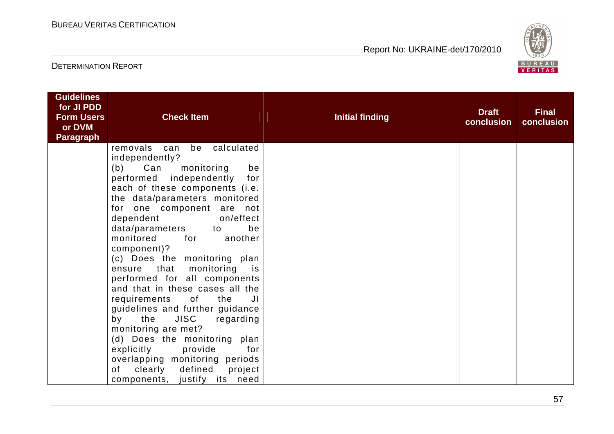

| <b>Guidelines</b><br>for JI PDD<br><b>Form Users</b> | <b>Check Item</b>                                                                                                                                                                                                                                                                                                                                                                                                                                                                                         | <b>Initial finding</b> | <b>Draft</b> | <b>Final</b> |
|------------------------------------------------------|-----------------------------------------------------------------------------------------------------------------------------------------------------------------------------------------------------------------------------------------------------------------------------------------------------------------------------------------------------------------------------------------------------------------------------------------------------------------------------------------------------------|------------------------|--------------|--------------|
| or DVM                                               |                                                                                                                                                                                                                                                                                                                                                                                                                                                                                                           |                        | conclusion   | conclusion   |
| <b>Paragraph</b>                                     | removals<br>calculated<br>be<br>can<br>independently?<br>(b)<br>Can<br>monitoring<br>be<br>performed independently<br>for<br>each of these components (i.e.<br>the data/parameters monitored<br>for one component are not<br>dependent<br>on/effect<br>data/parameters<br>be<br>to<br>monitored<br>for<br>another<br>component)?<br>(c) Does the monitoring plan<br>that<br>monitoring is<br>ensure<br>performed for all components<br>and that in these cases all the<br>requirements<br>of<br>the<br>JI |                        |              |              |
|                                                      | guidelines and further guidance<br><b>JISC</b><br>regarding<br>by<br>the<br>monitoring are met?<br>(d) Does the monitoring plan<br>for<br>explicitly<br>provide<br>overlapping monitoring periods<br>of<br>defined<br>clearly<br>project<br>components, justify its need                                                                                                                                                                                                                                  |                        |              |              |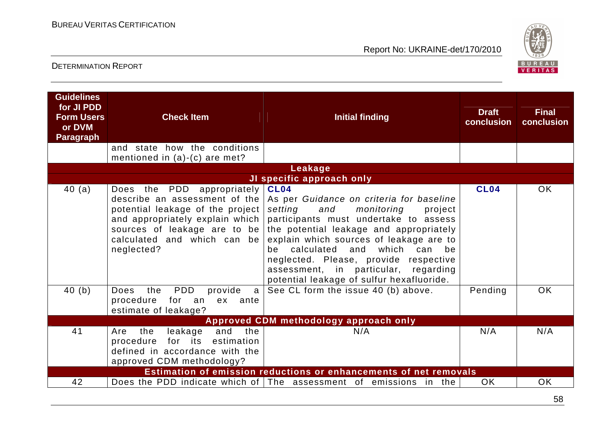

| <b>Guidelines</b><br>for JI PDD<br><b>Form Users</b><br>or DVM<br><b>Paragraph</b> | <b>Check Item</b>                                                                                                                                                               | <b>Initial finding</b>                                                                                                                                                                                                                                                                                                                                                                                                               | <b>Draft</b><br>conclusion | <b>Final</b><br>conclusion |
|------------------------------------------------------------------------------------|---------------------------------------------------------------------------------------------------------------------------------------------------------------------------------|--------------------------------------------------------------------------------------------------------------------------------------------------------------------------------------------------------------------------------------------------------------------------------------------------------------------------------------------------------------------------------------------------------------------------------------|----------------------------|----------------------------|
|                                                                                    | how the conditions<br>and state<br>mentioned in $(a)-(c)$ are met?                                                                                                              |                                                                                                                                                                                                                                                                                                                                                                                                                                      |                            |                            |
|                                                                                    |                                                                                                                                                                                 | Leakage                                                                                                                                                                                                                                                                                                                                                                                                                              |                            |                            |
|                                                                                    |                                                                                                                                                                                 | JI specific approach only                                                                                                                                                                                                                                                                                                                                                                                                            |                            |                            |
| 40(a)                                                                              | Does the PDD appropriately<br>describe an assessment of the<br>potential leakage of the project<br>and appropriately explain which<br>calculated and which can be<br>neglected? | <b>CL04</b><br>As per Guidance on criteria for baseline<br>setting<br>and<br>monitoring<br>project<br>participants must undertake to assess<br>sources of leakage are to be the potential leakage and appropriately<br>explain which sources of leakage are to<br>calculated and which<br>can be<br>be<br>neglected. Please, provide respective<br>assessment, in particular, regarding<br>potential leakage of sulfur hexafluoride. | <b>CL04</b>                | OK                         |
| 40(b)                                                                              | PDD<br>provide<br>the<br><b>Does</b><br>a<br>procedure<br>for<br>an<br>ex ante<br>estimate of leakage?                                                                          | See CL form the issue 40 (b) above.                                                                                                                                                                                                                                                                                                                                                                                                  | Pending                    | <b>OK</b>                  |
|                                                                                    |                                                                                                                                                                                 | Approved CDM methodology approach only                                                                                                                                                                                                                                                                                                                                                                                               |                            |                            |
| 41                                                                                 | and<br>the<br>leakage<br>the<br>Are<br>for its estimation<br>procedure<br>defined in accordance with the<br>approved CDM methodology?                                           | N/A                                                                                                                                                                                                                                                                                                                                                                                                                                  | N/A                        | N/A                        |
|                                                                                    |                                                                                                                                                                                 | Estimation of emission reductions or enhancements of net removals                                                                                                                                                                                                                                                                                                                                                                    |                            |                            |
| 42                                                                                 |                                                                                                                                                                                 | Does the PDD indicate which of $ $ The assessment of emissions in the                                                                                                                                                                                                                                                                                                                                                                | <b>OK</b>                  | <b>OK</b>                  |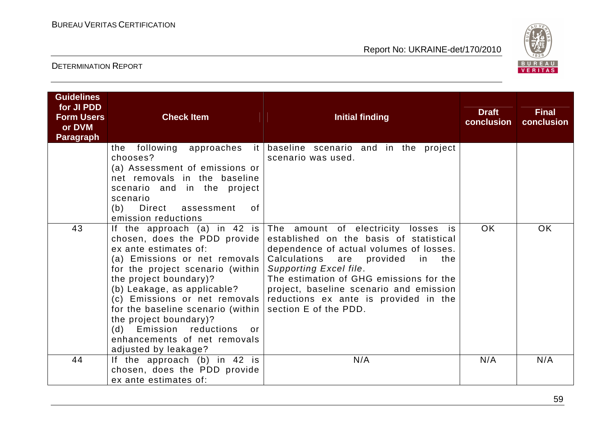

| <b>Guidelines</b><br>for JI PDD<br><b>Form Users</b><br>or DVM<br><b>Paragraph</b> | <b>Check Item</b>                                                                                                                                                                                                                                                                                                                                                                                       | <b>Initial finding</b>                                                                                                                                                                                                                                                                                                                                                             | <b>Draft</b><br>conclusion | <b>Final</b><br>conclusion |
|------------------------------------------------------------------------------------|---------------------------------------------------------------------------------------------------------------------------------------------------------------------------------------------------------------------------------------------------------------------------------------------------------------------------------------------------------------------------------------------------------|------------------------------------------------------------------------------------------------------------------------------------------------------------------------------------------------------------------------------------------------------------------------------------------------------------------------------------------------------------------------------------|----------------------------|----------------------------|
|                                                                                    | the<br>chooses?<br>(a) Assessment of emissions or<br>net removals in the baseline<br>scenario and in the project<br>scenario<br>(b) Direct assessment<br>0f<br>emission reductions                                                                                                                                                                                                                      | following approaches it baseline scenario and in the project<br>scenario was used.                                                                                                                                                                                                                                                                                                 |                            |                            |
| 43                                                                                 | chosen, does the PDD provide<br>ex ante estimates of:<br>(a) Emissions or net removals<br>for the project scenario (within)<br>the project boundary)?<br>(b) Leakage, as applicable?<br>(c) Emissions or net removals<br>for the baseline scenario (within)<br>the project boundary)?<br>Emission reductions<br>(d)<br>$\overline{\mathsf{or}}$<br>enhancements of net removals<br>adjusted by leakage? | If the approach (a) in 42 is The amount of electricity losses is<br>established on the basis of statistical<br>dependence of actual volumes of losses.<br>Calculations are<br>provided<br>in the<br>Supporting Excel file.<br>The estimation of GHG emissions for the<br>project, baseline scenario and emission<br>reductions ex ante is provided in the<br>section E of the PDD. | OK.                        | <b>OK</b>                  |
| 44                                                                                 | If the approach (b) in 42 is<br>chosen, does the PDD provide<br>ex ante estimates of:                                                                                                                                                                                                                                                                                                                   | N/A                                                                                                                                                                                                                                                                                                                                                                                | N/A                        | N/A                        |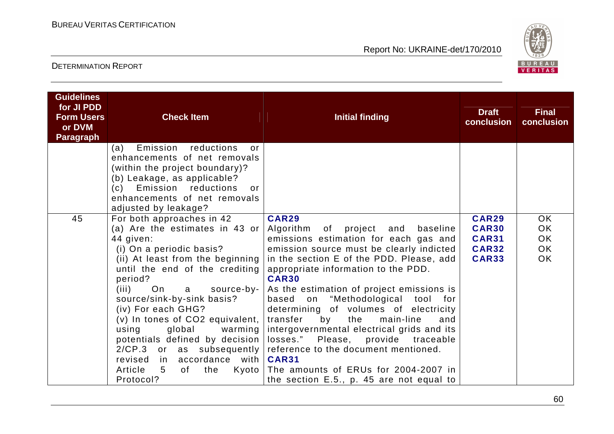

| <b>Guidelines</b><br>for JI PDD<br><b>Form Users</b><br>or DVM<br>Paragraph | <b>Check Item</b>                                                                                                                                                                                                                                                                                                                                                                                                                                                                                    | <b>Initial finding</b>                                                                                                                                                                                                                                                                                                                                                                                                                                                                                                                                                                                                                                              | <b>Draft</b><br>conclusion                                                   | <b>Final</b><br>conclusion                              |
|-----------------------------------------------------------------------------|------------------------------------------------------------------------------------------------------------------------------------------------------------------------------------------------------------------------------------------------------------------------------------------------------------------------------------------------------------------------------------------------------------------------------------------------------------------------------------------------------|---------------------------------------------------------------------------------------------------------------------------------------------------------------------------------------------------------------------------------------------------------------------------------------------------------------------------------------------------------------------------------------------------------------------------------------------------------------------------------------------------------------------------------------------------------------------------------------------------------------------------------------------------------------------|------------------------------------------------------------------------------|---------------------------------------------------------|
|                                                                             | Emission<br>reductions<br>(a)<br>or<br>enhancements of net removals<br>(within the project boundary)?<br>(b) Leakage, as applicable?<br>(c) Emission reductions<br>or<br>enhancements of net removals<br>adjusted by leakage?                                                                                                                                                                                                                                                                        |                                                                                                                                                                                                                                                                                                                                                                                                                                                                                                                                                                                                                                                                     |                                                                              |                                                         |
| 45                                                                          | For both approaches in 42<br>(a) Are the estimates in 43 or<br>44 given:<br>(i) On a periodic basis?<br>(ii) At least from the beginning<br>until the end of the crediting<br>period?<br>(iii)<br>On<br>source-by-<br>a<br>source/sink-by-sink basis?<br>(iv) For each GHG?<br>(v) In tones of CO2 equivalent,<br>global<br>using<br>warming<br>potentials defined by decision<br>2/CP.3 or as subsequently<br>in accordance with<br>revised<br>Article<br>$5\overline{)}$<br>of<br>the<br>Protocol? | <b>CAR29</b><br>Algorithm<br>of project<br>and baseline<br>emissions estimation for each gas and<br>emission source must be clearly indicted<br>in the section E of the PDD. Please, add<br>appropriate information to the PDD.<br><b>CAR30</b><br>As the estimation of project emissions is<br>based<br>"Methodological tool for<br>on<br>determining of volumes of electricity<br>the<br>transfer<br>by<br>main-line<br>and<br>intergovernmental electrical grids and its<br>losses." Please, provide traceable<br>reference to the document mentioned.<br><b>CAR31</b><br>Kyoto The amounts of ERUs for 2004-2007 in<br>the section E.5., p. 45 are not equal to | <b>CAR29</b><br><b>CAR30</b><br><b>CAR31</b><br><b>CAR32</b><br><b>CAR33</b> | <b>OK</b><br><b>OK</b><br><b>OK</b><br>OK.<br><b>OK</b> |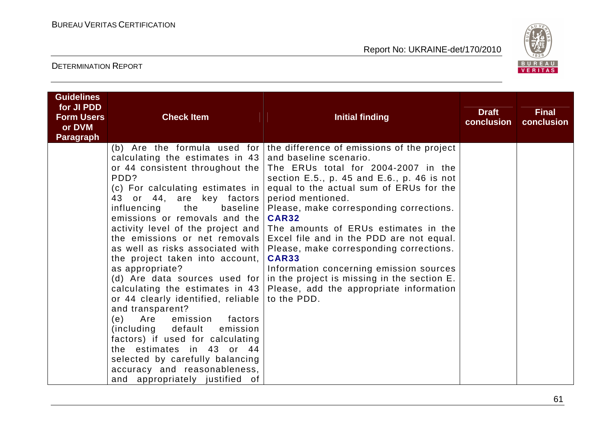

| <b>Guidelines</b><br>for JI PDD |                                                                                                                                                                                                                                                                                                                                                                                                                                                                                                                                                                                                                                                                                                                                                                                               |                                                                                                                                                                                                                                                                                                                                                                                                                                                                                                                                                                                            | <b>Draft</b> | <b>Final</b> |
|---------------------------------|-----------------------------------------------------------------------------------------------------------------------------------------------------------------------------------------------------------------------------------------------------------------------------------------------------------------------------------------------------------------------------------------------------------------------------------------------------------------------------------------------------------------------------------------------------------------------------------------------------------------------------------------------------------------------------------------------------------------------------------------------------------------------------------------------|--------------------------------------------------------------------------------------------------------------------------------------------------------------------------------------------------------------------------------------------------------------------------------------------------------------------------------------------------------------------------------------------------------------------------------------------------------------------------------------------------------------------------------------------------------------------------------------------|--------------|--------------|
| <b>Form Users</b>               | <b>Check Item</b>                                                                                                                                                                                                                                                                                                                                                                                                                                                                                                                                                                                                                                                                                                                                                                             | <b>Initial finding</b>                                                                                                                                                                                                                                                                                                                                                                                                                                                                                                                                                                     | conclusion   | conclusion   |
| or DVM<br><b>Paragraph</b>      |                                                                                                                                                                                                                                                                                                                                                                                                                                                                                                                                                                                                                                                                                                                                                                                               |                                                                                                                                                                                                                                                                                                                                                                                                                                                                                                                                                                                            |              |              |
|                                 | calculating the estimates in $43$ and baseline scenario.<br>or 44 consistent throughout the $ $<br>PDD?<br>(c) For calculating estimates in $ $<br>43 or 44, are key factors<br>influencing<br>the<br>baseline  <br>emissions or removals and the<br>activity level of the project and  <br>the emissions or net removals<br>as well as risks associated with<br>the project taken into account,<br>as appropriate?<br>(d) Are data sources used for<br>calculating the estimates in $43$<br>or 44 clearly identified, reliable  <br>and transparent?<br>Are emission factors<br>(e)<br>(including default)<br>emission<br>factors) if used for calculating<br>the estimates in 43 or 44<br>selected by carefully balancing<br>accuracy and reasonableness,<br>and appropriately justified of | (b) Are the formula used for the difference of emissions of the project<br>The ERUs total for 2004-2007 in the<br>section E.5., p. 45 and E.6., p. 46 is not<br>equal to the actual sum of ERUs for the<br>period mentioned.<br>Please, make corresponding corrections.<br><b>CAR32</b><br>The amounts of ERUs estimates in the<br>Excel file and in the PDD are not equal.<br>Please, make corresponding corrections.<br><b>CAR33</b><br>Information concerning emission sources<br>in the project is missing in the section E.<br>Please, add the appropriate information<br>to the PDD. |              |              |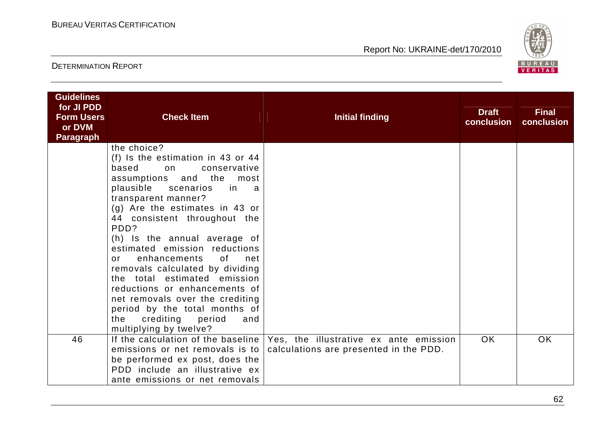

| <b>Guidelines</b><br>for JI PDD<br><b>Form Users</b><br>or DVM<br><b>Paragraph</b> | <b>Check Item</b>                                                                                                                                                                                                                                                                                                                                                                                                                                                                                                                                                                          | <b>Initial finding</b>                                                           | <b>Draft</b><br>conclusion | <b>Final</b><br>conclusion |
|------------------------------------------------------------------------------------|--------------------------------------------------------------------------------------------------------------------------------------------------------------------------------------------------------------------------------------------------------------------------------------------------------------------------------------------------------------------------------------------------------------------------------------------------------------------------------------------------------------------------------------------------------------------------------------------|----------------------------------------------------------------------------------|----------------------------|----------------------------|
|                                                                                    | the choice?<br>(f) Is the estimation in 43 or 44<br>based<br>conservative<br>on<br>assumptions and the most<br>plausible scenarios<br>in<br>a a<br>transparent manner?<br>$(g)$ Are the estimates in 43 or<br>44 consistent throughout the<br>PDD?<br>(h) Is the annual average of<br>estimated emission reductions<br>enhancements<br>0f<br>net<br>or<br>removals calculated by dividing<br>the total estimated emission<br>reductions or enhancements of<br>net removals over the crediting<br>period by the total months of<br>crediting period<br>the<br>and<br>multiplying by twelve? |                                                                                  |                            |                            |
| 46                                                                                 | If the calculation of the baseline  <br>emissions or net removals is to<br>be performed ex post, does the<br>PDD include an illustrative ex<br>ante emissions or net removals                                                                                                                                                                                                                                                                                                                                                                                                              | Yes, the illustrative ex ante emission<br>calculations are presented in the PDD. | OK.                        | OK.                        |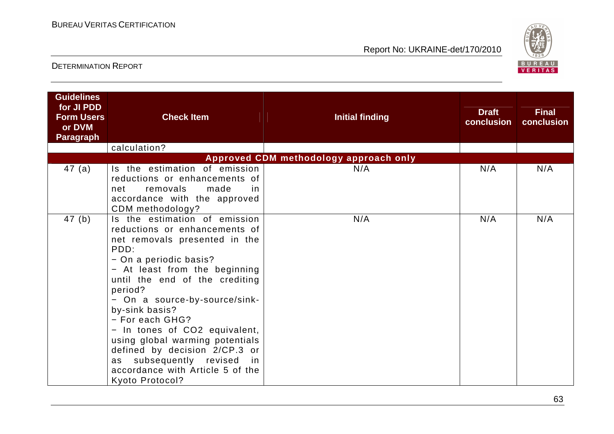

| <b>Guidelines</b><br>for JI PDD<br><b>Form Users</b><br>or DVM<br><b>Paragraph</b> | <b>Check Item</b>                                                                                                                                                                                                                                                                                                                                                                                                                                                                   | <b>Initial finding</b>                 | <b>Draft</b><br>conclusion | <b>Final</b><br>conclusion |
|------------------------------------------------------------------------------------|-------------------------------------------------------------------------------------------------------------------------------------------------------------------------------------------------------------------------------------------------------------------------------------------------------------------------------------------------------------------------------------------------------------------------------------------------------------------------------------|----------------------------------------|----------------------------|----------------------------|
|                                                                                    | calculation?                                                                                                                                                                                                                                                                                                                                                                                                                                                                        |                                        |                            |                            |
|                                                                                    |                                                                                                                                                                                                                                                                                                                                                                                                                                                                                     | Approved CDM methodology approach only |                            |                            |
| 47(a)                                                                              | Is the estimation of emission<br>reductions or enhancements of<br>removals<br>net<br>made<br><sub>in</sub><br>accordance with the approved<br>CDM methodology?                                                                                                                                                                                                                                                                                                                      | N/A                                    | N/A                        | N/A                        |
| 47(b)                                                                              | Is the estimation of emission<br>reductions or enhancements of<br>net removals presented in the<br>PDD:<br>- On a periodic basis?<br>- At least from the beginning<br>until the end of the crediting<br>period?<br>- On a source-by-source/sink-<br>by-sink basis?<br>- For each GHG?<br>- In tones of CO2 equivalent,<br>using global warming potentials<br>defined by decision 2/CP.3 or<br>as subsequently revised<br>in.<br>accordance with Article 5 of the<br>Kyoto Protocol? | N/A                                    | N/A                        | N/A                        |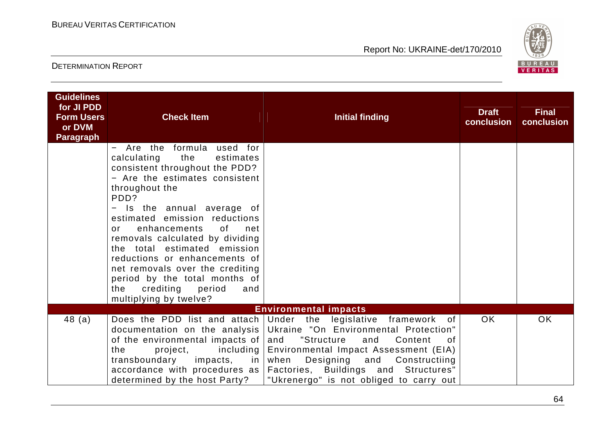

| <b>Guidelines</b><br>for JI PDD<br><b>Form Users</b><br>or DVM<br><b>Paragraph</b> | <b>Check Item</b>                                                                                                                                                                                                                                                                                                                                                                                                                                                                          | <b>Initial finding</b>                                                                                                                                                                                                                                                                                                                          | <b>Draft</b><br>conclusion | <b>Final</b><br>conclusion |
|------------------------------------------------------------------------------------|--------------------------------------------------------------------------------------------------------------------------------------------------------------------------------------------------------------------------------------------------------------------------------------------------------------------------------------------------------------------------------------------------------------------------------------------------------------------------------------------|-------------------------------------------------------------------------------------------------------------------------------------------------------------------------------------------------------------------------------------------------------------------------------------------------------------------------------------------------|----------------------------|----------------------------|
|                                                                                    | - Are the formula used for<br>calculating<br>the<br>estimates<br>consistent throughout the PDD?<br>- Are the estimates consistent<br>throughout the<br>PDD?<br>Is the annual average of<br>$\qquad \qquad -$<br>estimated emission reductions<br>enhancements<br>of<br>net<br>or<br>removals calculated by dividing<br>the total estimated emission<br>reductions or enhancements of<br>net removals over the crediting<br>period by the total months of<br>crediting period<br>the<br>and |                                                                                                                                                                                                                                                                                                                                                 |                            |                            |
|                                                                                    | multiplying by twelve?                                                                                                                                                                                                                                                                                                                                                                                                                                                                     | <b>Environmental impacts</b>                                                                                                                                                                                                                                                                                                                    |                            |                            |
| 48(a)                                                                              | documentation on the analysis<br>of the environmental impacts of $ $<br>the<br>project,<br>including  <br>accordance with procedures as<br>determined by the host Party?                                                                                                                                                                                                                                                                                                                   | Does the PDD list and attach Under the legislative framework of<br>Ukraine "On Environmental Protection"<br>"Structure<br>Content<br>and<br>and<br>0f<br>Environmental Impact Assessment (EIA)<br>transboundary impacts, in when Designing and Constructiing<br>Factories, Buildings and Structures"<br>"Ukrenergo" is not obliged to carry out | OK.                        | <b>OK</b>                  |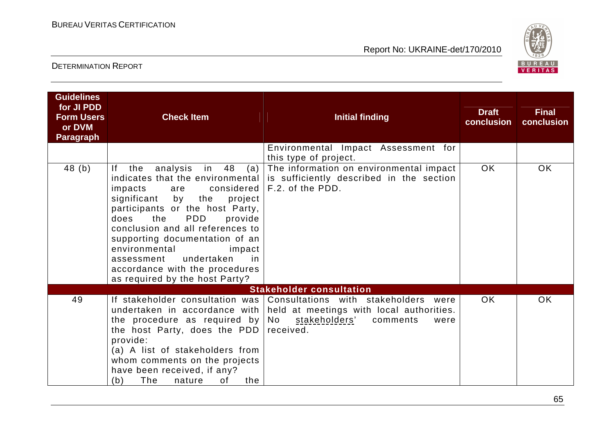

| <b>Guidelines</b><br>for JI PDD<br><b>Form Users</b><br>or DVM<br><b>Paragraph</b> | <b>Check Item</b>                                                                                                                                                                                                                                                                                                                                                                                           | <b>Initial finding</b>                                                                                                                                                                                    | <b>Draft</b><br>conclusion | <b>Final</b><br>conclusion |
|------------------------------------------------------------------------------------|-------------------------------------------------------------------------------------------------------------------------------------------------------------------------------------------------------------------------------------------------------------------------------------------------------------------------------------------------------------------------------------------------------------|-----------------------------------------------------------------------------------------------------------------------------------------------------------------------------------------------------------|----------------------------|----------------------------|
|                                                                                    |                                                                                                                                                                                                                                                                                                                                                                                                             | Environmental Impact Assessment for<br>this type of project.                                                                                                                                              |                            |                            |
| 48(b)                                                                              | analysis in 48<br>If the<br>(a)<br>indicates that the environmental<br>impacts<br>are<br>significant<br>by the<br>project<br>participants or the host Party,<br>the<br><b>PDD</b><br>provide<br>does<br>conclusion and all references to<br>supporting documentation of an<br>environmental<br>impact<br>undertaken<br>assessment<br>in<br>accordance with the procedures<br>as required by the host Party? | The information on environmental impact<br>is sufficiently described in the section<br>considered   F.2. of the PDD.                                                                                      | <b>OK</b>                  | OK                         |
|                                                                                    |                                                                                                                                                                                                                                                                                                                                                                                                             | <b>Stakeholder consultation</b>                                                                                                                                                                           |                            |                            |
| 49                                                                                 | the procedure as required by $\sqrt{N}$<br>the host Party, does the PDD<br>provide:<br>(a) A list of stakeholders from<br>whom comments on the projects<br>have been received, if any?<br>The<br>0f<br>the<br>(b)<br>nature                                                                                                                                                                                 | If stakeholder consultation was Consultations with stakeholders were<br>undertaken in accordance with   held at meetings with local authorities.<br><u>stakeholders'</u><br>comments<br>were<br>received. | <b>OK</b>                  | <b>OK</b>                  |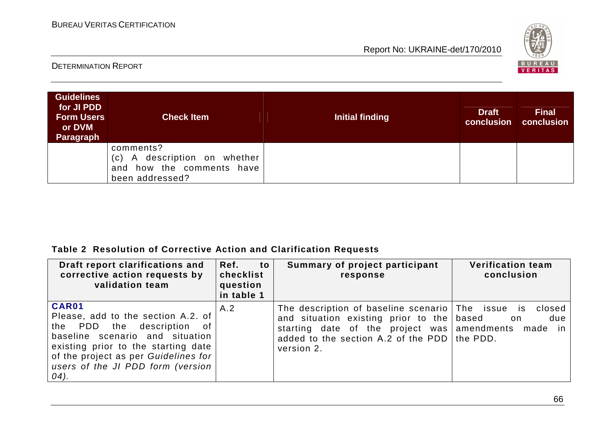

#### DETERMINATION REPORT

| <b>Guidelines</b><br>for JI PDD<br><b>Form Users</b><br>or DVM<br><b>Paragraph</b> | <b>Check Item</b>                                                                         | Initial finding | <b>Draft</b><br>conclusion | <b>Final</b><br>conclusion |
|------------------------------------------------------------------------------------|-------------------------------------------------------------------------------------------|-----------------|----------------------------|----------------------------|
|                                                                                    | comments?<br>(c) A description on whether<br>and how the comments have<br>been addressed? |                 |                            |                            |

#### **Table 2 Resolution of Corrective Action and Clarification Requests**

| Draft report clarifications and<br>corrective action requests by<br>validation team                                                                                                                                                      | Ref. to<br>checklist<br>question<br>in table 1 | Summary of project participant<br>response                                                                                                                                                                       | <b>Verification team</b><br>conclusion   |
|------------------------------------------------------------------------------------------------------------------------------------------------------------------------------------------------------------------------------------------|------------------------------------------------|------------------------------------------------------------------------------------------------------------------------------------------------------------------------------------------------------------------|------------------------------------------|
| CAR01<br>Please, add to the section A.2. of<br>the PDD the description of<br>baseline scenario and situation<br>existing prior to the starting date<br>of the project as per Guidelines for<br>users of the JI PDD form (version<br>04). | A.2                                            | The description of baseline scenario The issue is<br>and situation existing prior to the based<br>starting date of the project was amendments made<br>added to the section A.2 of the PDD the PDD.<br>version 2. | closed<br>due<br>a dia 1999. Ila<br>in I |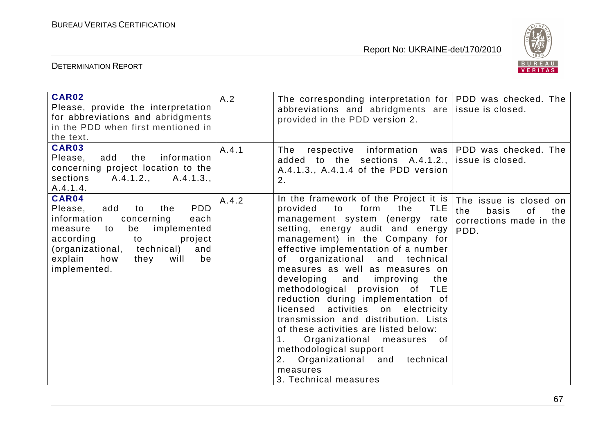

| <b>CAR02</b><br>Please, provide the interpretation<br>for abbreviations and abridgments<br>in the PDD when first mentioned in<br>the text.                                                                                                                | A.2   | The corresponding interpretation for $ PDD$ was checked. The<br>abbreviations and abridgments are issue is closed.<br>provided in the PDD version 2.                                                                                                                                                                                                                                                                                                                                                                                                                                                                                                                                      |                                                                                        |
|-----------------------------------------------------------------------------------------------------------------------------------------------------------------------------------------------------------------------------------------------------------|-------|-------------------------------------------------------------------------------------------------------------------------------------------------------------------------------------------------------------------------------------------------------------------------------------------------------------------------------------------------------------------------------------------------------------------------------------------------------------------------------------------------------------------------------------------------------------------------------------------------------------------------------------------------------------------------------------------|----------------------------------------------------------------------------------------|
| CAR03<br>information<br>add the<br>Please,<br>concerning project location to the<br>sections<br>A.4.1.2., A.4.1.3.,<br>A.4.1.4.                                                                                                                           | A.4.1 | respective information was PDD was checked. The<br>The<br>added to the sections $A.4.1.2$ ., issue is closed.<br>A.4.1.3., A.4.1.4 of the PDD version<br>2.                                                                                                                                                                                                                                                                                                                                                                                                                                                                                                                               |                                                                                        |
| CAR04<br><b>PDD</b><br>Please,<br>add<br>the<br>to<br>information<br>concerning<br>each<br>implemented<br>be<br>measure<br>to<br>according<br>to<br>project<br>(organizational, technical)<br>and<br>explain<br>they<br>be<br>how<br>will<br>implemented. | A.4.2 | In the framework of the Project it is<br>form<br><b>TLE</b><br>provided<br>to<br>the<br>management system (energy rate<br>setting, energy audit and energy<br>management) in the Company for<br>effective implementation of a number<br>of organizational and technical<br>measures as well as measures on<br>developing and improving<br>the<br>methodological provision of TLE<br>reduction during implementation of<br>licensed activities on electricity<br>transmission and distribution. Lists<br>of these activities are listed below:<br>1.<br>Organizational measures of<br>methodological support<br>Organizational and<br>technical<br>2.<br>measures<br>3. Technical measures | The issue is closed on<br>the<br>basis<br>the<br>0f<br>corrections made in the<br>PDD. |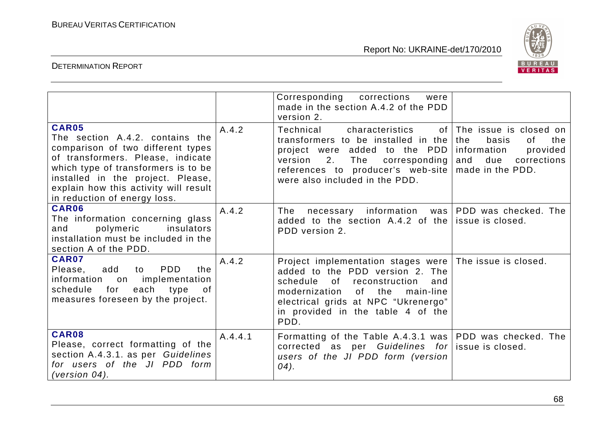

|                                                                                                                                                                                                                                                                         |         | Corresponding corrections<br>were<br>made in the section A.4.2 of the PDD<br>version 2.                                                                                                                                                                           |                                                                                                             |
|-------------------------------------------------------------------------------------------------------------------------------------------------------------------------------------------------------------------------------------------------------------------------|---------|-------------------------------------------------------------------------------------------------------------------------------------------------------------------------------------------------------------------------------------------------------------------|-------------------------------------------------------------------------------------------------------------|
| CAR05<br>The section A.4.2, contains the<br>comparison of two different types<br>of transformers. Please, indicate<br>which type of transformers is to be<br>installed in the project. Please,<br>explain how this activity will result<br>in reduction of energy loss. | A.4.2   | Technical<br>of I<br>characteristics<br>transformers to be installed in the<br>project were added to the PDD<br>The<br>2.<br>corresponding<br>version<br>references to producer's web-site $\vert$ made in the PDD.<br>were also included in the PDD.             | The issue is closed on<br>basis<br>the<br>the<br>0f<br>information<br>provided<br>and<br>due<br>corrections |
| CAR06<br>The information concerning glass<br>insulators<br>polymeric<br>and<br>installation must be included in the<br>section A of the PDD.                                                                                                                            | A.4.2   | The<br>necessary information was PDD was checked. The<br>added to the section $A.4.2$ of the issue is closed.<br>PDD version 2.                                                                                                                                   |                                                                                                             |
| CAR07<br>add<br><b>PDD</b><br>Please,<br>the<br>to<br>information on implementation<br>schedule<br>each type<br>for<br>of<br>measures foreseen by the project.                                                                                                          | A.4.2   | Project implementation stages were The issue is closed.<br>added to the PDD version 2. The<br>schedule<br>0f<br>reconstruction<br>and<br>of the<br>modernization<br>main-line<br>electrical grids at NPC "Ukrenergo"<br>in provided in the table 4 of the<br>PDD. |                                                                                                             |
| CAR08<br>Please, correct formatting of the<br>section A.4.3.1. as per Guidelines<br>for users of the JI PDD form<br>(version $04$ ).                                                                                                                                    | A.4.4.1 | Formatting of the Table A.4.3.1 was   PDD was checked. The<br>corrected as per Guidelines for issue is closed.<br>users of the JI PDD form (version<br>04).                                                                                                       |                                                                                                             |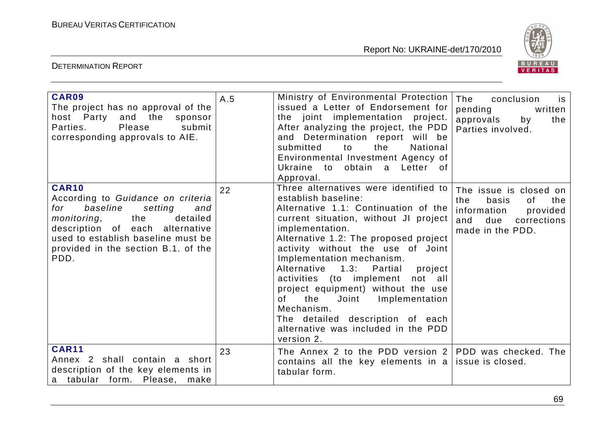

| CAR09<br>The project has no approval of the<br>host Party and the sponsor<br>Please<br>submit<br>Parties.<br>corresponding approvals to AIE.                                                                                              | A.5 | Ministry of Environmental Protection<br>issued a Letter of Endorsement for<br>the joint implementation project.<br>After analyzing the project, the PDD<br>and Determination report will be<br>the<br>submitted<br>to<br>National<br>Environmental Investment Agency of<br>Ukraine to obtain a Letter of<br>Approval.                                                                                                                                                                                                                 | The<br>conclusion<br>is<br>pending<br>written<br>approvals<br>by<br>the<br>Parties involved.                                    |
|-------------------------------------------------------------------------------------------------------------------------------------------------------------------------------------------------------------------------------------------|-----|---------------------------------------------------------------------------------------------------------------------------------------------------------------------------------------------------------------------------------------------------------------------------------------------------------------------------------------------------------------------------------------------------------------------------------------------------------------------------------------------------------------------------------------|---------------------------------------------------------------------------------------------------------------------------------|
| CAR10<br>According to Guidance on criteria<br>baseline<br>setting<br>for<br>and<br>the<br>detailed<br>monitoring,<br>description of each alternative<br>used to establish baseline must be<br>provided in the section B.1. of the<br>PDD. | 22  | Three alternatives were identified to<br>establish baseline:<br>Alternative 1.1: Continuation of the<br>current situation, without JI project<br>implementation.<br>Alternative 1.2: The proposed project<br>activity without the use of Joint<br>Implementation mechanism.<br>Alternative 1.3: Partial<br>project<br>activities (to implement<br>not all<br>project equipment) without the use<br>of the Joint Implementation<br>Mechanism.<br>The detailed description of each<br>alternative was included in the PDD<br>version 2. | The issue is closed on<br>the<br>basis<br>0f<br>the<br>information<br>provided<br>and<br>due<br>corrections<br>made in the PDD. |
| <b>CAR11</b><br>Annex 2 shall contain a short<br>description of the key elements in<br>a tabular form. Please,<br>make                                                                                                                    | 23  | The Annex 2 to the PDD version $2$ PDD was checked. The<br>contains all the key elements in a lissue is closed.<br>tabular form.                                                                                                                                                                                                                                                                                                                                                                                                      |                                                                                                                                 |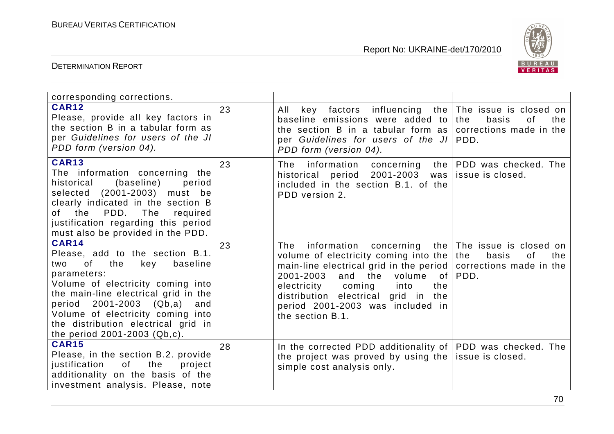

| corresponding corrections.                                                                                                                                                                                                                                                                                                              |    |                                                                                                                                                                                                                                                                                                                                                          |                                                      |
|-----------------------------------------------------------------------------------------------------------------------------------------------------------------------------------------------------------------------------------------------------------------------------------------------------------------------------------------|----|----------------------------------------------------------------------------------------------------------------------------------------------------------------------------------------------------------------------------------------------------------------------------------------------------------------------------------------------------------|------------------------------------------------------|
| <b>CAR12</b><br>Please, provide all key factors in<br>the section B in a tabular form as<br>per Guidelines for users of the JI<br>PDD form (version 04).                                                                                                                                                                                | 23 | key factors influencing the The issue is closed on<br>All<br>baseline emissions were added to<br>the section B in a tabular form as<br>per Guidelines for users of the JI   PDD.<br>PDD form (version 04).                                                                                                                                               | basis<br>the<br>0f<br>the<br>corrections made in the |
| <b>CAR13</b><br>The information concerning the<br>(baseline)<br>historical<br>period<br>(2001-2003) must be<br>selected<br>clearly indicated in the section B<br>PDD.<br>The<br>of the<br>required<br>justification regarding this period<br>must also be provided in the PDD.                                                          | 23 | The<br>information concerning<br>the<br>historical period 2001-2003<br>included in the section B.1. of the<br>PDD version 2.                                                                                                                                                                                                                             | PDD was checked. The<br>was lissue is closed.        |
| <b>CAR14</b><br>Please, add to the section B.1.<br><b>of</b><br>the<br>key<br>baseline<br>two<br>parameters:<br>Volume of electricity coming into<br>the main-line electrical grid in the<br>period 2001-2003 (Qb,a)<br>and<br>Volume of electricity coming into<br>the distribution electrical grid in<br>the period 2001-2003 (Qb,c). | 23 | The<br>information concerning the The issue is closed on<br>volume of electricity coming into the<br>main-line electrical grid in the period   corrections made in the<br>2001-2003<br>and<br>the<br>volume<br>of<br>electricity<br>coming<br>into<br>the<br>distribution electrical grid in the<br>period 2001-2003 was included in<br>the section B.1. | basis<br>the<br>the<br>0f<br>PDD.                    |
| <b>CAR15</b><br>Please, in the section B.2. provide<br>of<br>the<br>justification<br>project<br>additionality on the basis of the<br>investment analysis. Please, note                                                                                                                                                                  | 28 | In the corrected PDD additionality of PDD was checked. The<br>the project was proved by using the $ $<br>simple cost analysis only.                                                                                                                                                                                                                      | issue is closed.                                     |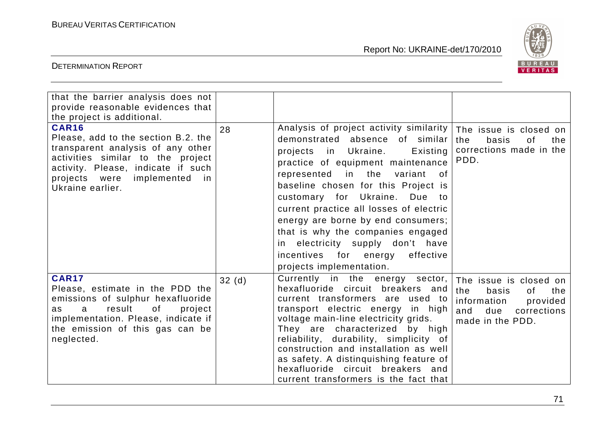

| that the barrier analysis does not<br>provide reasonable evidences that<br>the project is additional.                                                                                                                          |       |                                                                                                                                                                                                                                                                                                                                                                                                                                                                                                  |                                                                                                                                 |
|--------------------------------------------------------------------------------------------------------------------------------------------------------------------------------------------------------------------------------|-------|--------------------------------------------------------------------------------------------------------------------------------------------------------------------------------------------------------------------------------------------------------------------------------------------------------------------------------------------------------------------------------------------------------------------------------------------------------------------------------------------------|---------------------------------------------------------------------------------------------------------------------------------|
| <b>CAR16</b><br>Please, add to the section B.2. the<br>transparent analysis of any other<br>activities similar to the project<br>activity. Please, indicate if such<br>implemented<br>projects were<br>in.<br>Ukraine earlier. | 28    | Analysis of project activity similarity<br>demonstrated absence of similar<br>Existing<br>projects in Ukraine.<br>practice of equipment maintenance<br>represented in the variant<br>. of<br>baseline chosen for this Project is<br>customary for Ukraine.<br>Due to<br>current practice all losses of electric<br>energy are borne by end consumers;<br>that is why the companies engaged<br>in electricity supply don't have<br>incentives for energy<br>effective<br>projects implementation. | The issue is closed on<br>basis<br>the<br>the<br>0f<br>corrections made in the<br>PDD.                                          |
| <b>CAR17</b><br>Please, estimate in the PDD the<br>emissions of sulphur hexafluoride<br>of<br>result<br>project<br>$\mathbf{a}$<br>as<br>implementation. Please, indicate if<br>the emission of this gas can be<br>neglected.  | 32(d) | Currently in the energy sector,<br>hexafluoride circuit breakers and<br>current transformers are used to<br>transport electric energy in high<br>voltage main-line electricity grids.<br>They are characterized by high<br>reliability, durability, simplicity of<br>construction and installation as well<br>as safety. A distinguishing feature of<br>hexafluoride circuit breakers and<br>current transformers is the fact that                                                               | The issue is closed on<br>the<br>basis<br>the<br>of<br>information<br>provided<br>and<br>due<br>corrections<br>made in the PDD. |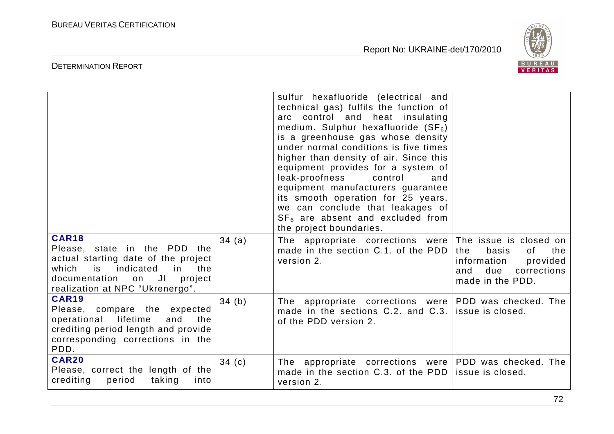

|                                                                                                                                                                                                        |       | sulfur hexafluoride (electrical and<br>technical gas) fulfils the function of<br>arc control and heat insulating<br>medium. Sulphur hexafluoride $(SF_6)$<br>is a greenhouse gas whose density<br>under normal conditions is five times<br>higher than density of air. Since this<br>equipment provides for a system of<br>leak-proofness<br>control<br>and<br>equipment manufacturers guarantee<br>its smooth operation for 25 years,<br>we can conclude that leakages of<br>$SF6$ are absent and excluded from<br>the project boundaries. |                                                                                                       |
|--------------------------------------------------------------------------------------------------------------------------------------------------------------------------------------------------------|-------|---------------------------------------------------------------------------------------------------------------------------------------------------------------------------------------------------------------------------------------------------------------------------------------------------------------------------------------------------------------------------------------------------------------------------------------------------------------------------------------------------------------------------------------------|-------------------------------------------------------------------------------------------------------|
| <b>CAR18</b><br>Please, state in the PDD the<br>actual starting date of the project<br>which<br>indicated<br>the<br>is l<br>in<br>documentation on<br>JI<br>project<br>realization at NPC "Ukrenergo". | 34(a) | The appropriate corrections were The issue is closed on<br>made in the section C.1, of the PDD<br>version 2.                                                                                                                                                                                                                                                                                                                                                                                                                                | the<br>the<br>basis<br>0f<br>information<br>provided<br>corrections<br>due<br>and<br>made in the PDD. |
| <b>CAR19</b><br>Please, compare the expected<br>lifetime<br>operational<br>and<br>the<br>crediting period length and provide<br>corresponding corrections in the<br>PDD.                               | 34(b) | The appropriate corrections were PDD was checked. The<br>made in the sections C.2. and C.3.<br>of the PDD version 2.                                                                                                                                                                                                                                                                                                                                                                                                                        | issue is closed.                                                                                      |
| <b>CAR20</b><br>Please, correct the length of the<br>crediting<br>taking<br>period<br>into                                                                                                             | 34(c) | The appropriate corrections were PDD was checked. The<br>made in the section C.3, of the PDD<br>version 2.                                                                                                                                                                                                                                                                                                                                                                                                                                  | issue is closed.                                                                                      |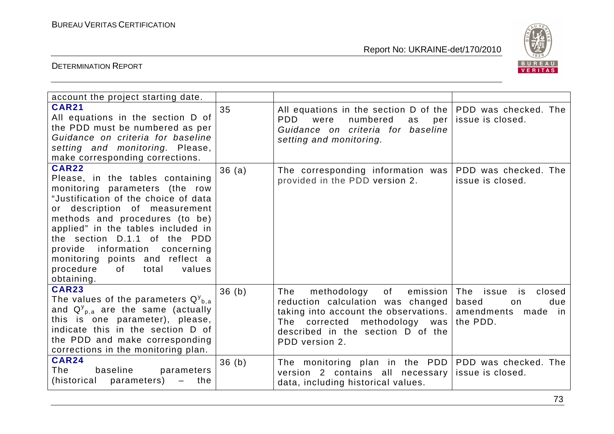

| account the project starting date.                                                                                                                                                                                                                                                                                                                                                           |       |                                                                                                                                                                                                        |                                                                                    |
|----------------------------------------------------------------------------------------------------------------------------------------------------------------------------------------------------------------------------------------------------------------------------------------------------------------------------------------------------------------------------------------------|-------|--------------------------------------------------------------------------------------------------------------------------------------------------------------------------------------------------------|------------------------------------------------------------------------------------|
| <b>CAR21</b><br>All equations in the section D of<br>the PDD must be numbered as per<br>Guidance on criteria for baseline<br>setting and monitoring. Please,<br>make corresponding corrections.                                                                                                                                                                                              | 35    | All equations in the section $D$ of the PDD was checked. The<br>PDD.<br>were<br>numbered<br>as<br>per<br>Guidance on criteria for baseline<br>setting and monitoring.                                  | issue is closed.                                                                   |
| <b>CAR22</b><br>Please, in the tables containing<br>monitoring parameters (the row<br>"Justification of the choice of data<br>or description of measurement<br>methods and procedures (to be)<br>applied" in the tables included in<br>the section D.1.1 of the PDD<br>provide information concerning<br>monitoring points and reflect a<br>procedure<br>total<br>values<br>of<br>obtaining. | 36(a) | The corresponding information was<br>provided in the PDD version 2.                                                                                                                                    | PDD was checked. The<br>issue is closed.                                           |
| <b>CAR23</b><br>The values of the parameters $Q_{b,a}^y$<br>and $Q_{p,a}^{y}$ are the same (actually<br>this is one parameter), please,<br>indicate this in the section D of<br>the PDD and make corresponding<br>corrections in the monitoring plan.                                                                                                                                        | 36(h) | of<br>The<br>methodology<br>reduction calculation was changed based<br>taking into account the observations.  <br>The corrected methodology was<br>described in the section D of the<br>PDD version 2. | emission The issue<br>closed<br>is:<br>due<br>on<br>amendments made in<br>the PDD. |
| <b>CAR24</b><br>The<br>baseline<br>parameters<br>(historical<br>parameters)<br>the<br>$\qquad \qquad -$                                                                                                                                                                                                                                                                                      | 36(b) | The monitoring plan in the PDD   PDD was checked. The<br>version 2 contains all necessary<br>data, including historical values.                                                                        | issue is closed.                                                                   |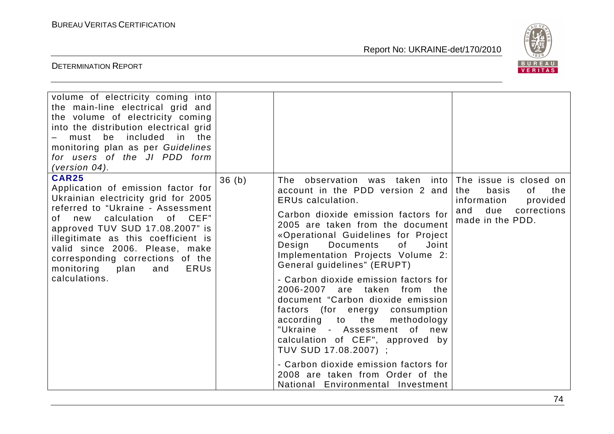

| volume of electricity coming into<br>the main-line electrical grid and<br>the volume of electricity coming<br>into the distribution electrical grid<br>included<br>must be<br>in the<br>monitoring plan as per Guidelines<br>for users of the JI PDD form<br>(version $04$ ).                                                                                                |       |                                                                                                                                                                                                                                                                                                                                                                                                                                                                                                                                                                                                                                                                                                                                      |                                                                                                                                  |
|------------------------------------------------------------------------------------------------------------------------------------------------------------------------------------------------------------------------------------------------------------------------------------------------------------------------------------------------------------------------------|-------|--------------------------------------------------------------------------------------------------------------------------------------------------------------------------------------------------------------------------------------------------------------------------------------------------------------------------------------------------------------------------------------------------------------------------------------------------------------------------------------------------------------------------------------------------------------------------------------------------------------------------------------------------------------------------------------------------------------------------------------|----------------------------------------------------------------------------------------------------------------------------------|
| <b>CAR25</b><br>Application of emission factor for<br>Ukrainian electricity grid for 2005<br>referred to "Ukraine - Assessment<br>calculation of CEF"<br>of new<br>approved TUV SUD 17.08.2007" is<br>illegitimate as this coefficient is<br>valid since 2006. Please, make<br>corresponding corrections of the<br>monitoring<br><b>ERUS</b><br>plan<br>and<br>calculations. | 36(b) | The observation was taken into<br>account in the PDD version 2 and<br><b>ERUs calculation.</b><br>Carbon dioxide emission factors for<br>2005 are taken from the document<br>«Operational Guidelines for Project<br>Design<br>of<br>Joint<br><b>Documents</b><br>Implementation Projects Volume 2:<br>General guidelines" (ERUPT)<br>- Carbon dioxide emission factors for<br>2006-2007 are taken from the<br>document "Carbon dioxide emission<br>factors (for energy consumption<br>according to the<br>methodology<br>"Ukraine - Assessment of new<br>calculation of CEF", approved by<br>TUV SUD 17.08.2007) ;<br>- Carbon dioxide emission factors for<br>2008 are taken from Order of the<br>National Environmental Investment | The issue is closed on<br>basis<br>the<br>the<br>0f.<br>information<br>provided<br>due<br>corrections<br>and<br>made in the PDD. |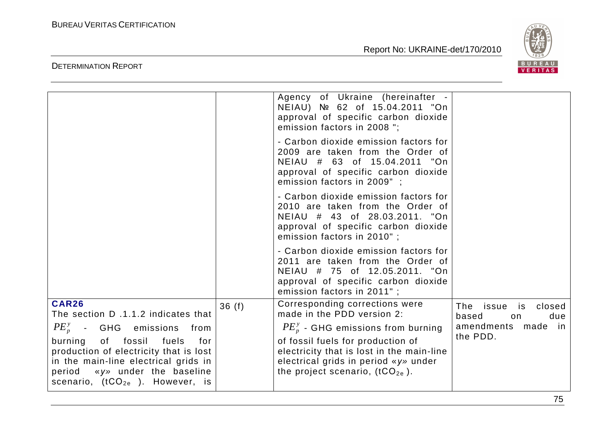

|                                                                                                                                                                                                                  |       | Agency of Ukraine (hereinafter -<br>NEIAU) № 62 of 15.04.2011 "On<br>approval of specific carbon dioxide<br>emission factors in 2008";                                                                                              |                                                                                |
|------------------------------------------------------------------------------------------------------------------------------------------------------------------------------------------------------------------|-------|-------------------------------------------------------------------------------------------------------------------------------------------------------------------------------------------------------------------------------------|--------------------------------------------------------------------------------|
|                                                                                                                                                                                                                  |       | - Carbon dioxide emission factors for<br>2009 are taken from the Order of<br>NEIAU # 63 of 15.04.2011 "On<br>approval of specific carbon dioxide<br>emission factors in 2009";                                                      |                                                                                |
|                                                                                                                                                                                                                  |       | - Carbon dioxide emission factors for<br>2010 are taken from the Order of<br>NEIAU # 43 of 28.03.2011. "On<br>approval of specific carbon dioxide<br>emission factors in 2010";                                                     |                                                                                |
|                                                                                                                                                                                                                  |       | - Carbon dioxide emission factors for<br>2011 are taken from the Order of<br>NEIAU # 75 of 12.05.2011. "On<br>approval of specific carbon dioxide<br>emission factors in 2011" ;                                                    |                                                                                |
| <b>CAR26</b><br>The section D.1.1.2 indicates that<br>$PE_p^y$ - GHG emissions<br>from<br>burning<br>of fossil<br>fuels<br>for<br>production of electricity that is lost<br>in the main-line electrical grids in | 36(f) | Corresponding corrections were<br>made in the PDD version 2:<br>$PE_{p}^{y}$ - GHG emissions from burning<br>of fossil fuels for production of<br>electricity that is lost in the main-line<br>electrical grids in period «y» under | The issue is<br>closed<br>due<br>based<br>on<br>amendments made in<br>the PDD. |
| period «y» under the baseline<br>scenario, $(tCO_{2e}$ ). However, is                                                                                                                                            |       | the project scenario, $(tCO_{2e})$ .                                                                                                                                                                                                |                                                                                |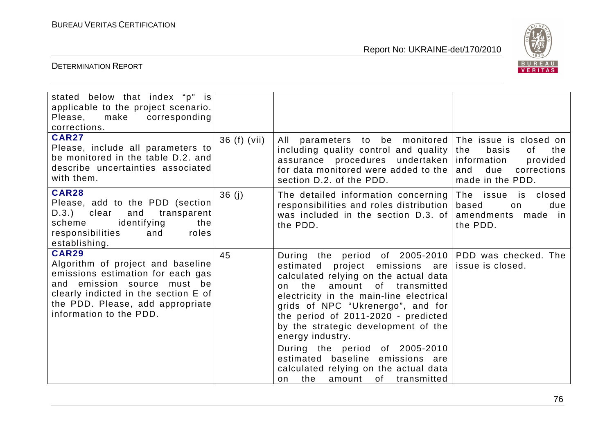

| stated below that index "p" is<br>applicable to the project scenario.<br>Please, make corresponding<br>corrections.<br><b>CAR27</b><br>Please, include all parameters to<br>be monitored in the table D.2. and               | 36 (f) (vii) | parameters to be monitored The issue is closed on<br>All<br>including quality control and quality<br>undertaken   information<br>assurance procedures                                                                                                                                                                                                                                                                                                                                                           | basis<br>the<br>the<br>0f<br>provided                                       |
|------------------------------------------------------------------------------------------------------------------------------------------------------------------------------------------------------------------------------|--------------|-----------------------------------------------------------------------------------------------------------------------------------------------------------------------------------------------------------------------------------------------------------------------------------------------------------------------------------------------------------------------------------------------------------------------------------------------------------------------------------------------------------------|-----------------------------------------------------------------------------|
| describe uncertainties associated<br>with them.                                                                                                                                                                              |              | for data monitored were added to the<br>section D.2. of the PDD.                                                                                                                                                                                                                                                                                                                                                                                                                                                | due<br>and<br>corrections<br>made in the PDD.                               |
| <b>CAR28</b><br>Please, add to the PDD (section<br>D.3.) clear<br>and<br>transparent<br>identifying<br>scheme<br>the<br>responsibilities<br>roles<br>and<br>establishing.                                                    | 36(j)        | The detailed information concerning<br>responsibilities and roles distribution<br>was included in the section D.3. of<br>the PDD.                                                                                                                                                                                                                                                                                                                                                                               | The issue is closed<br>due<br>based<br>on<br>amendments made in<br>the PDD. |
| <b>CAR29</b><br>Algorithm of project and baseline<br>emissions estimation for each gas<br>and emission source must be<br>clearly indicted in the section E of<br>the PDD. Please, add appropriate<br>information to the PDD. | 45           | During the period of 2005-2010 PDD was checked. The<br>estimated project emissions are<br>calculated relying on the actual data<br>amount of transmitted<br>the<br>on<br>electricity in the main-line electrical<br>grids of NPC "Ukrenergo", and for<br>the period of 2011-2020 - predicted<br>by the strategic development of the<br>energy industry.<br>During the period of 2005-2010<br>estimated baseline emissions are<br>calculated relying on the actual data<br>the<br>amount<br>of transmitted<br>on | issue is closed.                                                            |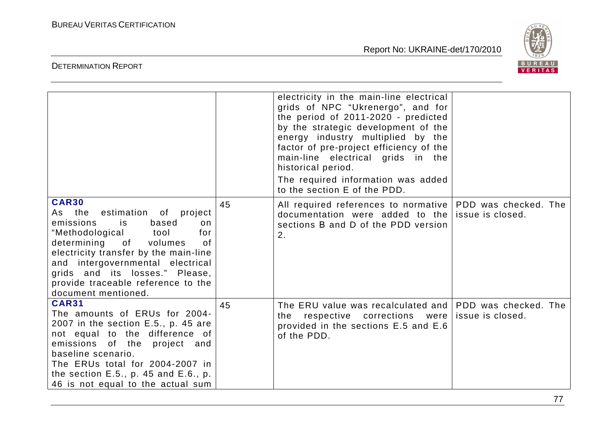

|                                                                                                                                                                                                                                                                                                                           |    | electricity in the main-line electrical<br>grids of NPC "Ukrenergo", and for<br>the period of 2011-2020 - predicted<br>by the strategic development of the<br>energy industry multiplied by the<br>factor of pre-project efficiency of the<br>main-line electrical grids in the<br>historical period.<br>The required information was added<br>to the section E of the PDD. |  |
|---------------------------------------------------------------------------------------------------------------------------------------------------------------------------------------------------------------------------------------------------------------------------------------------------------------------------|----|-----------------------------------------------------------------------------------------------------------------------------------------------------------------------------------------------------------------------------------------------------------------------------------------------------------------------------------------------------------------------------|--|
| <b>CAR30</b><br>As the estimation of project<br>emissions<br>is<br>based<br>on<br>"Methodological tool<br>for<br>determining of volumes<br>0f<br>electricity transfer by the main-line<br>and intergovernmental electrical<br>grids and its losses." Please,<br>provide traceable reference to the<br>document mentioned. | 45 | All required references to normative   PDD was checked. The<br>documentation were added to the issue is closed.<br>sections B and D of the PDD version<br>2.                                                                                                                                                                                                                |  |
| <b>CAR31</b><br>The amounts of ERUs for 2004-<br>2007 in the section $E.5.$ , p. 45 are<br>not equal to the difference of<br>emissions of the project and<br>baseline scenario.<br>The ERUs total for 2004-2007 in<br>the section $E.5.$ , p. 45 and $E.6.$ , p.<br>46 is not equal to the actual sum                     | 45 | The ERU value was recalculated and PDD was checked. The<br>the respective corrections were issue is closed.<br>provided in the sections E.5 and E.6<br>of the PDD.                                                                                                                                                                                                          |  |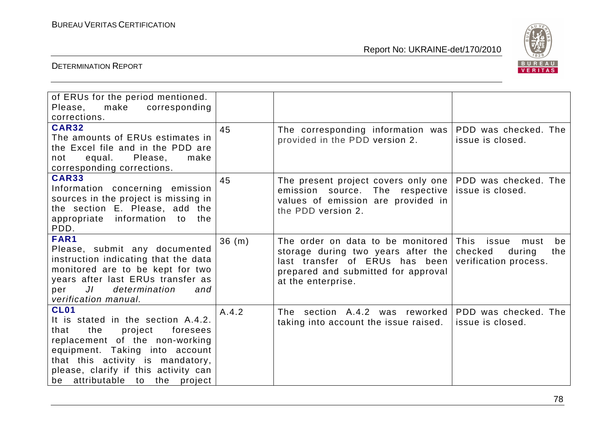

| of ERUs for the period mentioned.<br>Please,<br>make<br>corresponding<br>corrections.                                                                                                                                                                                     |       |                                                                                                                                                                                   |                                                                 |
|---------------------------------------------------------------------------------------------------------------------------------------------------------------------------------------------------------------------------------------------------------------------------|-------|-----------------------------------------------------------------------------------------------------------------------------------------------------------------------------------|-----------------------------------------------------------------|
| <b>CAR32</b><br>The amounts of ERUs estimates in<br>the Excel file and in the PDD are<br>equal. Please,<br>make<br>not<br>corresponding corrections.                                                                                                                      | 45    | The corresponding information was<br>provided in the PDD version 2.                                                                                                               | PDD was checked. The<br>issue is closed.                        |
| <b>CAR33</b><br>Information concerning emission<br>sources in the project is missing in<br>the section E. Please, add the<br>appropriate information to<br>the<br>PDD.                                                                                                    | 45    | The present project covers only one PDD was checked. The<br>emission source. The respective issue is closed.<br>values of emission are provided in<br>the PDD version 2.          |                                                                 |
| FAR1<br>Please, submit any documented<br>instruction indicating that the data<br>monitored are to be kept for two<br>years after last ERUs transfer as<br>$J\Gamma$<br>determination<br>per<br>and<br>verification manual.                                                | 36(m) | The order on data to be monitored This issue<br>storage during two years after the<br>last transfer of ERUs has been<br>prepared and submitted for approval<br>at the enterprise. | must<br>be<br>checked<br>the<br>during<br>verification process. |
| <b>CL01</b><br>It is stated in the section A.4.2.<br>the<br>project<br>foresees<br>that<br>replacement of the non-working<br>equipment. Taking into account<br>that this activity is mandatory,<br>please, clarify if this activity can<br>be attributable to the project | A.4.2 | The section A.4.2 was reworked<br>taking into account the issue raised.                                                                                                           | PDD was checked. The<br>issue is closed.                        |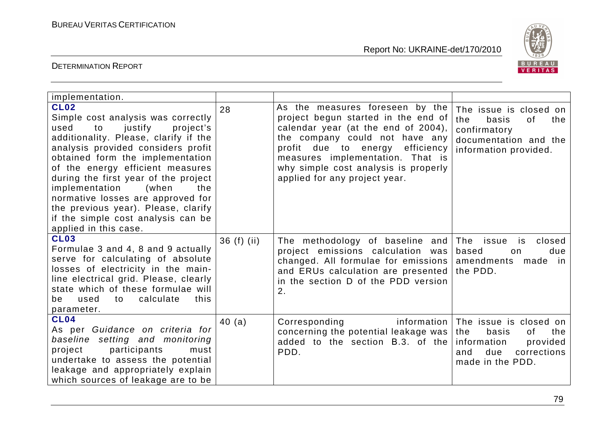

| implementation.                                                                                                                                                                                                                                                                                                                                                                                                                                                  |               |                                                                                                                                                                                                                                                                                                    |                                                                                                                                             |
|------------------------------------------------------------------------------------------------------------------------------------------------------------------------------------------------------------------------------------------------------------------------------------------------------------------------------------------------------------------------------------------------------------------------------------------------------------------|---------------|----------------------------------------------------------------------------------------------------------------------------------------------------------------------------------------------------------------------------------------------------------------------------------------------------|---------------------------------------------------------------------------------------------------------------------------------------------|
| <b>CL02</b><br>Simple cost analysis was correctly<br>used<br>to justify<br>project's<br>additionality. Please, clarify if the<br>analysis provided considers profit<br>obtained form the implementation<br>of the energy efficient measures<br>during the first year of the project<br>implementation<br>(when<br>the<br>normative losses are approved for<br>the previous year). Please, clarify<br>if the simple cost analysis can be<br>applied in this case. | 28            | As the measures foreseen by the<br>project begun started in the end of<br>calendar year (at the end of 2004),<br>the company could not have any<br>profit due to energy<br>efficiency<br>measures implementation. That is<br>why simple cost analysis is properly<br>applied for any project year. | The issue is closed on<br>the<br>basis<br>of<br>the<br>confirmatory<br>documentation and the<br>information provided.                       |
| <b>CL03</b><br>Formulae 3 and 4, 8 and 9 actually<br>serve for calculating of absolute<br>losses of electricity in the main-<br>line electrical grid. Please, clearly<br>state which of these formulae will<br>used<br>calculate<br>this<br>to<br>be<br>parameter.                                                                                                                                                                                               | 36 $(f)$ (ii) | The methodology of baseline and<br>project emissions calculation was<br>changed. All formulae for emissions  <br>and ERUs calculation are presented<br>in the section D of the PDD version<br>2.                                                                                                   | The issue<br>closed<br>is<br>based<br>due<br>on<br>amendments<br>made in<br>the PDD.                                                        |
| CL <sub>04</sub><br>As per Guidance on criteria for<br>baseline setting and monitoring<br>participants<br>project<br>must<br>undertake to assess the potential<br>leakage and appropriately explain<br>which sources of leakage are to be                                                                                                                                                                                                                        | 40 (a)        | Corresponding<br>concerning the potential leakage was<br>added to the section B.3. of the<br>PDD.                                                                                                                                                                                                  | information The issue is closed on<br>the<br>basis<br>the<br>of<br>information<br>provided<br>due<br>corrections<br>and<br>made in the PDD. |